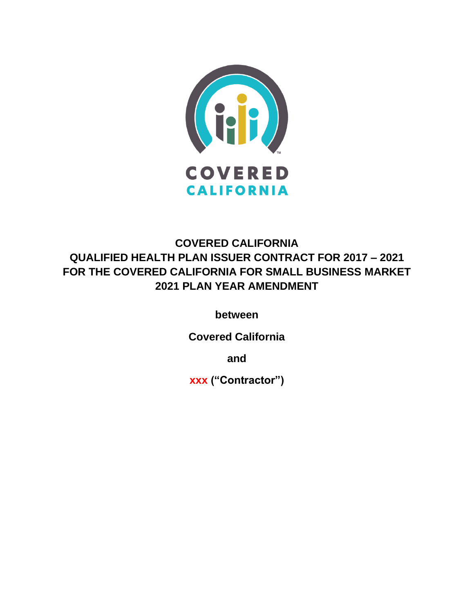

# **COVERED CALIFORNIA QUALIFIED HEALTH PLAN ISSUER CONTRACT FOR 2017 – 2021 FOR THE COVERED CALIFORNIA FOR SMALL BUSINESS MARKET 2021 PLAN YEAR AMENDMENT**

**between**

**Covered California**

**and**

**xxx ("Contractor")**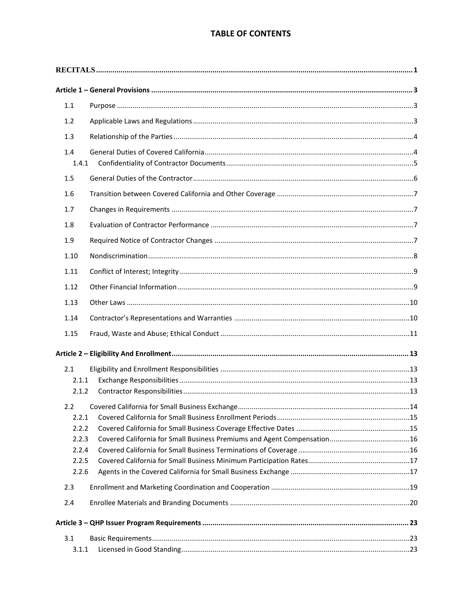## **TABLE OF CONTENTS**

| $1.1\,$      |  |  |
|--------------|--|--|
| 1.2          |  |  |
| 1.3          |  |  |
| 1.4<br>1.4.1 |  |  |
| 1.5          |  |  |
| 1.6          |  |  |
| 1.7          |  |  |
| 1.8          |  |  |
| 1.9          |  |  |
| 1.10         |  |  |
| 1.11         |  |  |
| 1.12         |  |  |
| 1.13         |  |  |
| 1.14         |  |  |
|              |  |  |
| 1.15         |  |  |
|              |  |  |
| 2.1          |  |  |
| 2.1.1        |  |  |
| 2.1.2        |  |  |
| 2.2          |  |  |
| 2.2.1        |  |  |
| 2.2.2        |  |  |
| 2.2.3        |  |  |
| 2.2.4        |  |  |
| 2.2.5        |  |  |
| 2.2.6        |  |  |
| 2.3          |  |  |
| 2.4          |  |  |
|              |  |  |
| 3.1          |  |  |
| 3.1.1        |  |  |
|              |  |  |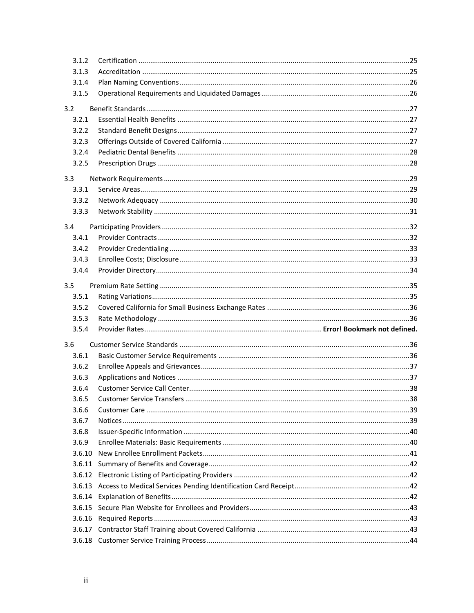| 3.1.2  |  |
|--------|--|
| 3.1.3  |  |
| 3.1.4  |  |
| 3.1.5  |  |
| 3.2    |  |
| 3.2.1  |  |
| 3.2.2  |  |
| 3.2.3  |  |
| 3.2.4  |  |
| 3.2.5  |  |
| 3.3    |  |
| 3.3.1  |  |
| 3.3.2  |  |
| 3.3.3  |  |
| 3.4    |  |
| 3.4.1  |  |
| 3.4.2  |  |
| 3.4.3  |  |
| 3.4.4  |  |
|        |  |
| 3.5    |  |
| 3.5.1  |  |
|        |  |
| 3.5.2  |  |
| 3.5.3  |  |
| 3.5.4  |  |
| 3.6    |  |
| 3.6.1  |  |
| 3.6.2  |  |
| 3.6.3  |  |
| 3.6.4  |  |
| 3.6.5  |  |
| 3.6.6  |  |
| 3.6.7  |  |
| 3.6.8  |  |
| 3.6.9  |  |
| 3.6.10 |  |
| 3.6.11 |  |
| 3.6.12 |  |
|        |  |
|        |  |
|        |  |
|        |  |
|        |  |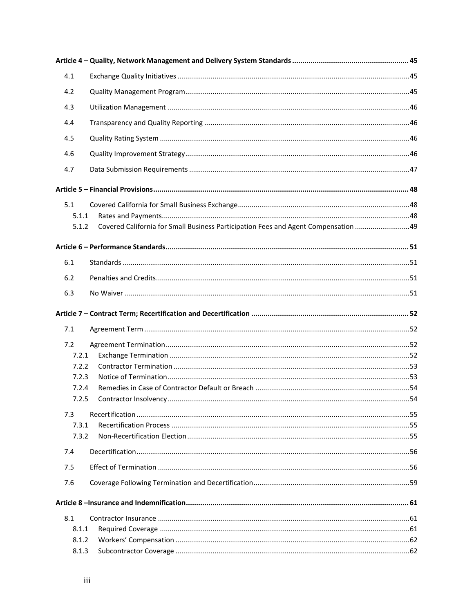| 4.1   |  |
|-------|--|
| 4.2   |  |
| 4.3   |  |
| 4.4   |  |
| 4.5   |  |
| 4.6   |  |
| 4.7   |  |
|       |  |
|       |  |
| 5.1   |  |
| 5.1.1 |  |
| 5.1.2 |  |
|       |  |
| 6.1   |  |
| 6.2   |  |
| 6.3   |  |
|       |  |
|       |  |
|       |  |
| 7.1   |  |
| 7.2   |  |
| 7.2.1 |  |
| 7.2.2 |  |
| 7.2.3 |  |
| 7.2.4 |  |
| 7.2.5 |  |
| 7.3   |  |
| 7.3.1 |  |
| 7.3.2 |  |
| 7.4   |  |
| 7.5   |  |
| 7.6   |  |
|       |  |
| 8.1   |  |
| 8.1.1 |  |
| 8.1.2 |  |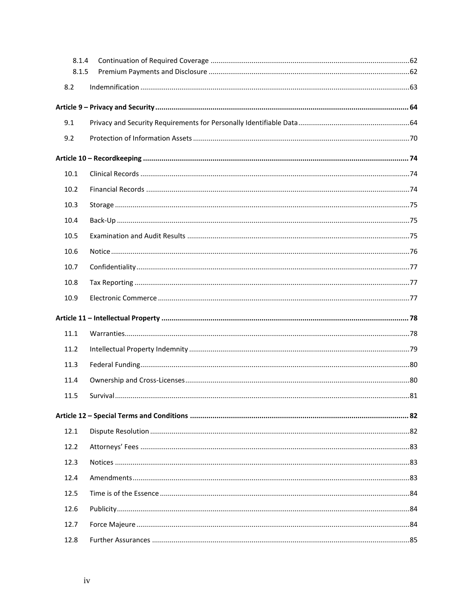| 8.1.4 |  |
|-------|--|
| 8.1.5 |  |
| 8.2   |  |
|       |  |
| 9.1   |  |
| 9.2   |  |
|       |  |
| 10.1  |  |
| 10.2  |  |
| 10.3  |  |
| 10.4  |  |
| 10.5  |  |
| 10.6  |  |
| 10.7  |  |
| 10.8  |  |
| 10.9  |  |
|       |  |
| 11.1  |  |
| 11.2  |  |
| 11.3  |  |
| 11.4  |  |
| 11.5  |  |
|       |  |
| 12.1  |  |
| 12.2  |  |
| 12.3  |  |
| 12.4  |  |
| 12.5  |  |
| 12.6  |  |
| 12.7  |  |
| 12.8  |  |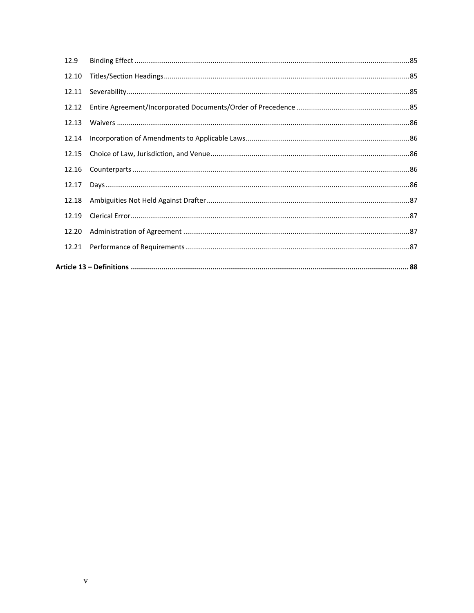| 12.9  |  |
|-------|--|
| 12.10 |  |
| 12.11 |  |
| 12.12 |  |
| 12.13 |  |
| 12.14 |  |
| 12.15 |  |
| 12.16 |  |
| 12.17 |  |
| 12.18 |  |
| 12.19 |  |
| 12.20 |  |
| 12.21 |  |
|       |  |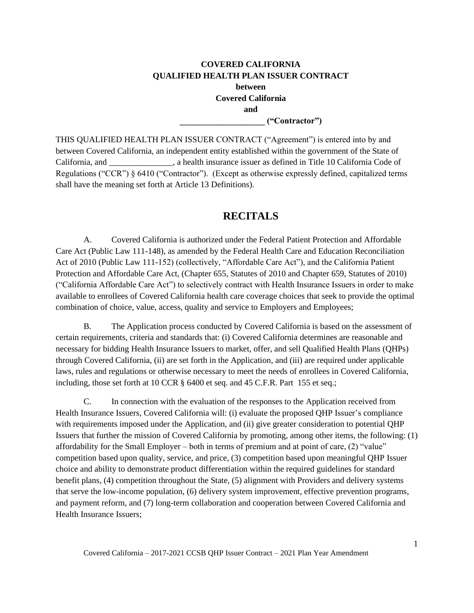## **COVERED CALIFORNIA QUALIFIED HEALTH PLAN ISSUER CONTRACT between Covered California and \_\_\_\_\_\_\_\_\_\_\_\_\_\_\_\_\_\_\_\_ ("Contractor")**

THIS QUALIFIED HEALTH PLAN ISSUER CONTRACT ("Agreement") is entered into by and between Covered California, an independent entity established within the government of the State of California, and \_\_\_\_\_\_\_\_\_\_\_\_\_\_\_, a health insurance issuer as defined in Title 10 California Code of Regulations ("CCR") § 6410 ("Contractor"). (Except as otherwise expressly defined, capitalized terms shall have the meaning set forth at Article 13 Definitions).

## **RECITALS**

<span id="page-6-0"></span>A. Covered California is authorized under the Federal Patient Protection and Affordable Care Act (Public Law 111-148), as amended by the Federal Health Care and Education Reconciliation Act of 2010 (Public Law 111-152) (collectively, "Affordable Care Act"), and the California Patient Protection and Affordable Care Act, (Chapter 655, Statutes of 2010 and Chapter 659, Statutes of 2010) ("California Affordable Care Act") to selectively contract with Health Insurance Issuers in order to make available to enrollees of Covered California health care coverage choices that seek to provide the optimal combination of choice, value, access, quality and service to Employers and Employees;

B. The Application process conducted by Covered California is based on the assessment of certain requirements, criteria and standards that: (i) Covered California determines are reasonable and necessary for bidding Health Insurance Issuers to market, offer, and sell Qualified Health Plans (QHPs) through Covered California, (ii) are set forth in the Application, and (iii) are required under applicable laws, rules and regulations or otherwise necessary to meet the needs of enrollees in Covered California, including, those set forth at 10 CCR § 6400 et seq. and 45 C.F.R. Part 155 et seq.;

C. In connection with the evaluation of the responses to the Application received from Health Insurance Issuers, Covered California will: (i) evaluate the proposed QHP Issuer's compliance with requirements imposed under the Application, and (ii) give greater consideration to potential QHP Issuers that further the mission of Covered California by promoting, among other items, the following: (1) affordability for the Small Employer – both in terms of premium and at point of care, (2) "value" competition based upon quality, service, and price, (3) competition based upon meaningful QHP Issuer choice and ability to demonstrate product differentiation within the required guidelines for standard benefit plans, (4) competition throughout the State, (5) alignment with Providers and delivery systems that serve the low-income population, (6) delivery system improvement, effective prevention programs, and payment reform, and (7) long-term collaboration and cooperation between Covered California and Health Insurance Issuers;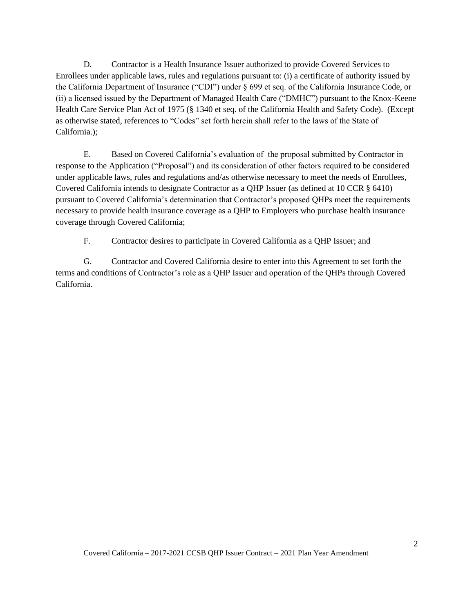D. Contractor is a Health Insurance Issuer authorized to provide Covered Services to Enrollees under applicable laws, rules and regulations pursuant to: (i) a certificate of authority issued by the California Department of Insurance ("CDI") under § 699 et seq. of the California Insurance Code, or (ii) a licensed issued by the Department of Managed Health Care ("DMHC") pursuant to the Knox-Keene Health Care Service Plan Act of 1975 (§ 1340 et seq. of the California Health and Safety Code). (Except as otherwise stated, references to "Codes" set forth herein shall refer to the laws of the State of California.);

E. Based on Covered California's evaluation of the proposal submitted by Contractor in response to the Application ("Proposal") and its consideration of other factors required to be considered under applicable laws, rules and regulations and/as otherwise necessary to meet the needs of Enrollees, Covered California intends to designate Contractor as a QHP Issuer (as defined at 10 CCR § 6410) pursuant to Covered California's determination that Contractor's proposed QHPs meet the requirements necessary to provide health insurance coverage as a QHP to Employers who purchase health insurance coverage through Covered California;

F. Contractor desires to participate in Covered California as a QHP Issuer; and

G. Contractor and Covered California desire to enter into this Agreement to set forth the terms and conditions of Contractor's role as a QHP Issuer and operation of the QHPs through Covered California.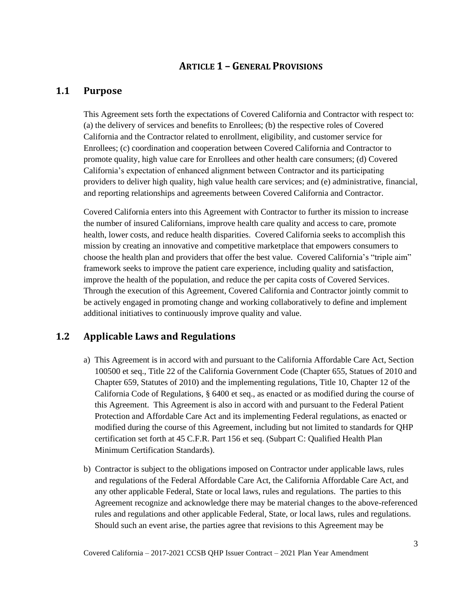## **ARTICLE 1 – GENERAL PROVISIONS**

## <span id="page-8-1"></span><span id="page-8-0"></span>**1.1 Purpose**

This Agreement sets forth the expectations of Covered California and Contractor with respect to: (a) the delivery of services and benefits to Enrollees; (b) the respective roles of Covered California and the Contractor related to enrollment, eligibility, and customer service for Enrollees; (c) coordination and cooperation between Covered California and Contractor to promote quality, high value care for Enrollees and other health care consumers; (d) Covered California's expectation of enhanced alignment between Contractor and its participating providers to deliver high quality, high value health care services; and (e) administrative, financial, and reporting relationships and agreements between Covered California and Contractor.

Covered California enters into this Agreement with Contractor to further its mission to increase the number of insured Californians, improve health care quality and access to care, promote health, lower costs, and reduce health disparities. Covered California seeks to accomplish this mission by creating an innovative and competitive marketplace that empowers consumers to choose the health plan and providers that offer the best value. Covered California's "triple aim" framework seeks to improve the patient care experience, including quality and satisfaction, improve the health of the population, and reduce the per capita costs of Covered Services. Through the execution of this Agreement, Covered California and Contractor jointly commit to be actively engaged in promoting change and working collaboratively to define and implement additional initiatives to continuously improve quality and value.

## <span id="page-8-2"></span>**1.2 Applicable Laws and Regulations**

- a) This Agreement is in accord with and pursuant to the California Affordable Care Act, Section 100500 et seq., Title 22 of the California Government Code (Chapter 655, Statues of 2010 and Chapter 659, Statutes of 2010) and the implementing regulations, Title 10, Chapter 12 of the California Code of Regulations, § 6400 et seq., as enacted or as modified during the course of this Agreement. This Agreement is also in accord with and pursuant to the Federal Patient Protection and Affordable Care Act and its implementing Federal regulations, as enacted or modified during the course of this Agreement, including but not limited to standards for QHP certification set forth at 45 C.F.R. Part 156 et seq. (Subpart C: Qualified Health Plan Minimum Certification Standards).
- b) Contractor is subject to the obligations imposed on Contractor under applicable laws, rules and regulations of the Federal Affordable Care Act, the California Affordable Care Act, and any other applicable Federal, State or local laws, rules and regulations. The parties to this Agreement recognize and acknowledge there may be material changes to the above-referenced rules and regulations and other applicable Federal, State, or local laws, rules and regulations. Should such an event arise, the parties agree that revisions to this Agreement may be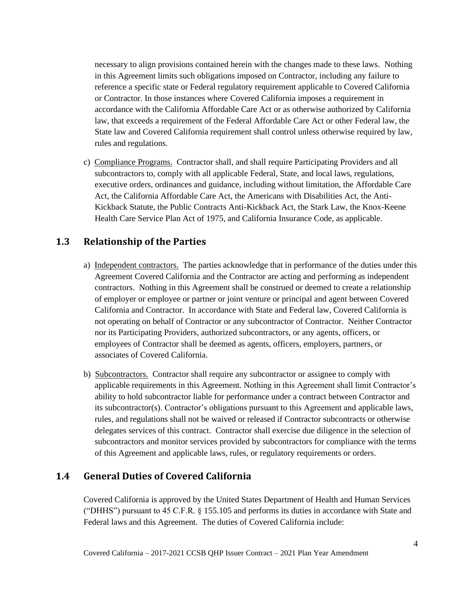necessary to align provisions contained herein with the changes made to these laws. Nothing in this Agreement limits such obligations imposed on Contractor, including any failure to reference a specific state or Federal regulatory requirement applicable to Covered California or Contractor. In those instances where Covered California imposes a requirement in accordance with the California Affordable Care Act or as otherwise authorized by California law, that exceeds a requirement of the Federal Affordable Care Act or other Federal law, the State law and Covered California requirement shall control unless otherwise required by law, rules and regulations.

c) Compliance Programs. Contractor shall, and shall require Participating Providers and all subcontractors to, comply with all applicable Federal, State, and local laws, regulations, executive orders, ordinances and guidance, including without limitation, the Affordable Care Act, the California Affordable Care Act, the Americans with Disabilities Act, the Anti-Kickback Statute, the Public Contracts Anti-Kickback Act, the Stark Law, the Knox-Keene Health Care Service Plan Act of 1975, and California Insurance Code, as applicable.

## <span id="page-9-0"></span>**1.3 Relationship of the Parties**

- a) Independent contractors. The parties acknowledge that in performance of the duties under this Agreement Covered California and the Contractor are acting and performing as independent contractors. Nothing in this Agreement shall be construed or deemed to create a relationship of employer or employee or partner or joint venture or principal and agent between Covered California and Contractor. In accordance with State and Federal law, Covered California is not operating on behalf of Contractor or any subcontractor of Contractor. Neither Contractor nor its Participating Providers, authorized subcontractors, or any agents, officers, or employees of Contractor shall be deemed as agents, officers, employers, partners, or associates of Covered California.
- b) Subcontractors. Contractor shall require any subcontractor or assignee to comply with applicable requirements in this Agreement. Nothing in this Agreement shall limit Contractor's ability to hold subcontractor liable for performance under a contract between Contractor and its subcontractor(s). Contractor's obligations pursuant to this Agreement and applicable laws, rules, and regulations shall not be waived or released if Contractor subcontracts or otherwise delegates services of this contract. Contractor shall exercise due diligence in the selection of subcontractors and monitor services provided by subcontractors for compliance with the terms of this Agreement and applicable laws, rules, or regulatory requirements or orders.

## <span id="page-9-1"></span>**1.4 General Duties of Covered California**

Covered California is approved by the United States Department of Health and Human Services ("DHHS") pursuant to 45 C.F.R. § 155.105 and performs its duties in accordance with State and Federal laws and this Agreement. The duties of Covered California include: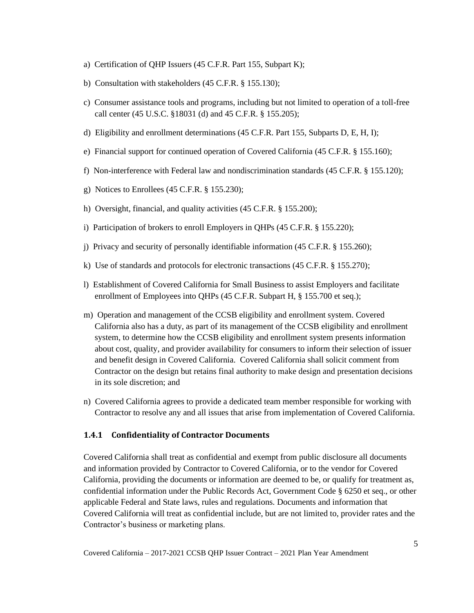- a) Certification of QHP Issuers (45 C.F.R. Part 155, Subpart K);
- b) Consultation with stakeholders (45 C.F.R. § 155.130);
- c) Consumer assistance tools and programs, including but not limited to operation of a toll-free call center (45 U.S.C. §18031 (d) and 45 C.F.R. § 155.205);
- d) Eligibility and enrollment determinations (45 C.F.R. Part 155, Subparts D, E, H, I);
- e) Financial support for continued operation of Covered California (45 C.F.R. § 155.160);
- f) Non-interference with Federal law and nondiscrimination standards (45 C.F.R. § 155.120);
- g) Notices to Enrollees (45 C.F.R. § 155.230);
- h) Oversight, financial, and quality activities (45 C.F.R. § 155.200);
- i) Participation of brokers to enroll Employers in QHPs (45 C.F.R. § 155.220);
- j) Privacy and security of personally identifiable information (45 C.F.R. § 155.260);
- k) Use of standards and protocols for electronic transactions (45 C.F.R. § 155.270);
- l) Establishment of Covered California for Small Business to assist Employers and facilitate enrollment of Employees into QHPs (45 C.F.R. Subpart H, § 155.700 et seq.);
- m) Operation and management of the CCSB eligibility and enrollment system. Covered California also has a duty, as part of its management of the CCSB eligibility and enrollment system, to determine how the CCSB eligibility and enrollment system presents information about cost, quality, and provider availability for consumers to inform their selection of issuer and benefit design in Covered California. Covered California shall solicit comment from Contractor on the design but retains final authority to make design and presentation decisions in its sole discretion; and
- n) Covered California agrees to provide a dedicated team member responsible for working with Contractor to resolve any and all issues that arise from implementation of Covered California.

### <span id="page-10-0"></span>**1.4.1 Confidentiality of Contractor Documents**

Covered California shall treat as confidential and exempt from public disclosure all documents and information provided by Contractor to Covered California, or to the vendor for Covered California, providing the documents or information are deemed to be, or qualify for treatment as, confidential information under the Public Records Act, Government Code § 6250 et seq., or other applicable Federal and State laws, rules and regulations. Documents and information that Covered California will treat as confidential include, but are not limited to, provider rates and the Contractor's business or marketing plans.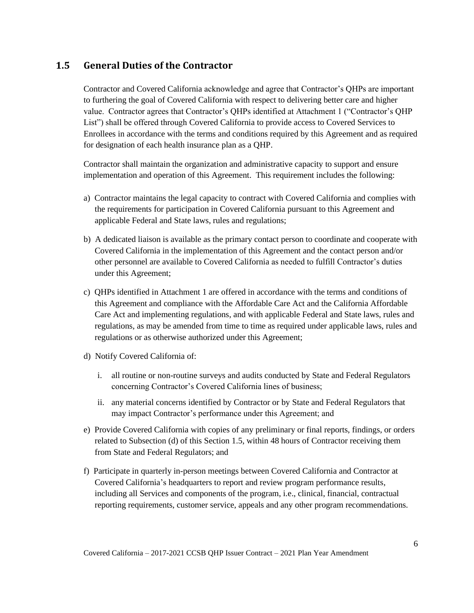## <span id="page-11-0"></span>**1.5 General Duties of the Contractor**

Contractor and Covered California acknowledge and agree that Contractor's QHPs are important to furthering the goal of Covered California with respect to delivering better care and higher value. Contractor agrees that Contractor's QHPs identified at Attachment 1 ("Contractor's QHP List") shall be offered through Covered California to provide access to Covered Services to Enrollees in accordance with the terms and conditions required by this Agreement and as required for designation of each health insurance plan as a QHP.

Contractor shall maintain the organization and administrative capacity to support and ensure implementation and operation of this Agreement. This requirement includes the following:

- a) Contractor maintains the legal capacity to contract with Covered California and complies with the requirements for participation in Covered California pursuant to this Agreement and applicable Federal and State laws, rules and regulations;
- b) A dedicated liaison is available as the primary contact person to coordinate and cooperate with Covered California in the implementation of this Agreement and the contact person and/or other personnel are available to Covered California as needed to fulfill Contractor's duties under this Agreement;
- c) QHPs identified in Attachment 1 are offered in accordance with the terms and conditions of this Agreement and compliance with the Affordable Care Act and the California Affordable Care Act and implementing regulations, and with applicable Federal and State laws, rules and regulations, as may be amended from time to time as required under applicable laws, rules and regulations or as otherwise authorized under this Agreement;
- d) Notify Covered California of:
	- i. all routine or non-routine surveys and audits conducted by State and Federal Regulators concerning Contractor's Covered California lines of business;
	- ii. any material concerns identified by Contractor or by State and Federal Regulators that may impact Contractor's performance under this Agreement; and
- e) Provide Covered California with copies of any preliminary or final reports, findings, or orders related to Subsection (d) of this Section 1.5, within 48 hours of Contractor receiving them from State and Federal Regulators; and
- f) Participate in quarterly in-person meetings between Covered California and Contractor at Covered California's headquarters to report and review program performance results, including all Services and components of the program, i.e., clinical, financial, contractual reporting requirements, customer service, appeals and any other program recommendations.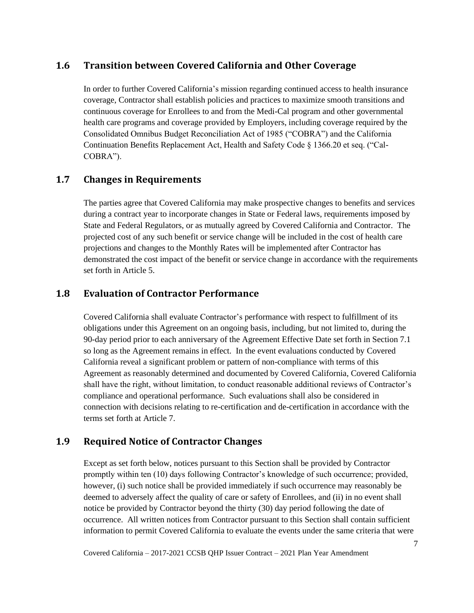## <span id="page-12-0"></span>**1.6 Transition between Covered California and Other Coverage**

In order to further Covered California's mission regarding continued access to health insurance coverage, Contractor shall establish policies and practices to maximize smooth transitions and continuous coverage for Enrollees to and from the Medi-Cal program and other governmental health care programs and coverage provided by Employers, including coverage required by the Consolidated Omnibus Budget Reconciliation Act of 1985 ("COBRA") and the California Continuation Benefits Replacement Act, Health and Safety Code § 1366.20 et seq. ("Cal-COBRA").

## <span id="page-12-1"></span>**1.7 Changes in Requirements**

The parties agree that Covered California may make prospective changes to benefits and services during a contract year to incorporate changes in State or Federal laws, requirements imposed by State and Federal Regulators, or as mutually agreed by Covered California and Contractor. The projected cost of any such benefit or service change will be included in the cost of health care projections and changes to the Monthly Rates will be implemented after Contractor has demonstrated the cost impact of the benefit or service change in accordance with the requirements set forth in Article 5.

### <span id="page-12-2"></span>**1.8 Evaluation of Contractor Performance**

Covered California shall evaluate Contractor's performance with respect to fulfillment of its obligations under this Agreement on an ongoing basis, including, but not limited to, during the 90-day period prior to each anniversary of the Agreement Effective Date set forth in Section 7.1 so long as the Agreement remains in effect. In the event evaluations conducted by Covered California reveal a significant problem or pattern of non-compliance with terms of this Agreement as reasonably determined and documented by Covered California, Covered California shall have the right, without limitation, to conduct reasonable additional reviews of Contractor's compliance and operational performance. Such evaluations shall also be considered in connection with decisions relating to re-certification and de-certification in accordance with the terms set forth at Article 7.

## <span id="page-12-3"></span>**1.9 Required Notice of Contractor Changes**

Except as set forth below, notices pursuant to this Section shall be provided by Contractor promptly within ten (10) days following Contractor's knowledge of such occurrence; provided, however, (i) such notice shall be provided immediately if such occurrence may reasonably be deemed to adversely affect the quality of care or safety of Enrollees, and (ii) in no event shall notice be provided by Contractor beyond the thirty (30) day period following the date of occurrence. All written notices from Contractor pursuant to this Section shall contain sufficient information to permit Covered California to evaluate the events under the same criteria that were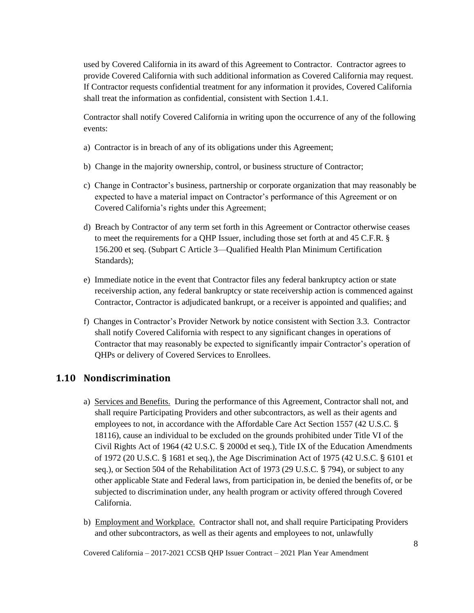used by Covered California in its award of this Agreement to Contractor. Contractor agrees to provide Covered California with such additional information as Covered California may request. If Contractor requests confidential treatment for any information it provides, Covered California shall treat the information as confidential, consistent with Section 1.4.1.

Contractor shall notify Covered California in writing upon the occurrence of any of the following events:

- a) Contractor is in breach of any of its obligations under this Agreement;
- b) Change in the majority ownership, control, or business structure of Contractor;
- c) Change in Contractor's business, partnership or corporate organization that may reasonably be expected to have a material impact on Contractor's performance of this Agreement or on Covered California's rights under this Agreement;
- d) Breach by Contractor of any term set forth in this Agreement or Contractor otherwise ceases to meet the requirements for a QHP Issuer, including those set forth at and 45 C.F.R. § 156.200 et seq. (Subpart C Article 3—Qualified Health Plan Minimum Certification Standards);
- e) Immediate notice in the event that Contractor files any federal bankruptcy action or state receivership action, any federal bankruptcy or state receivership action is commenced against Contractor, Contractor is adjudicated bankrupt, or a receiver is appointed and qualifies; and
- f) Changes in Contractor's Provider Network by notice consistent with Section 3.3. Contractor shall notify Covered California with respect to any significant changes in operations of Contractor that may reasonably be expected to significantly impair Contractor's operation of QHPs or delivery of Covered Services to Enrollees.

## <span id="page-13-0"></span>**1.10 Nondiscrimination**

- a) Services and Benefits. During the performance of this Agreement, Contractor shall not, and shall require Participating Providers and other subcontractors, as well as their agents and employees to not, in accordance with the Affordable Care Act Section 1557 (42 U.S.C. § 18116), cause an individual to be excluded on the grounds prohibited under Title VI of the Civil Rights Act of 1964 (42 U.S.C. § 2000d et seq.), Title IX of the Education Amendments of 1972 (20 U.S.C. § 1681 et seq.), the Age Discrimination Act of 1975 (42 U.S.C. § 6101 et seq.), or Section 504 of the Rehabilitation Act of 1973 (29 U.S.C. § 794), or subject to any other applicable State and Federal laws, from participation in, be denied the benefits of, or be subjected to discrimination under, any health program or activity offered through Covered California.
- b) Employment and Workplace. Contractor shall not, and shall require Participating Providers and other subcontractors, as well as their agents and employees to not, unlawfully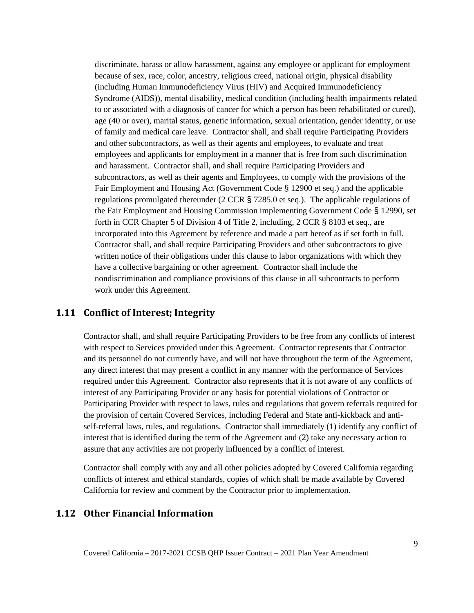discriminate, harass or allow harassment, against any employee or applicant for employment because of sex, race, color, ancestry, religious creed, national origin, physical disability (including Human Immunodeficiency Virus (HIV) and Acquired Immunodeficiency Syndrome (AIDS)), mental disability, medical condition (including health impairments related to or associated with a diagnosis of cancer for which a person has been rehabilitated or cured), age (40 or over), marital status, genetic information, sexual orientation, gender identity, or use of family and medical care leave. Contractor shall, and shall require Participating Providers and other subcontractors, as well as their agents and employees, to evaluate and treat employees and applicants for employment in a manner that is free from such discrimination and harassment. Contractor shall, and shall require Participating Providers and subcontractors, as well as their agents and Employees, to comply with the provisions of the Fair Employment and Housing Act (Government Code § 12900 et seq.) and the applicable regulations promulgated thereunder (2 CCR § 7285.0 et seq.). The applicable regulations of the Fair Employment and Housing Commission implementing Government Code § 12990, set forth in CCR Chapter 5 of Division 4 of Title 2, including, 2 CCR § 8103 et seq., are incorporated into this Agreement by reference and made a part hereof as if set forth in full. Contractor shall, and shall require Participating Providers and other subcontractors to give written notice of their obligations under this clause to labor organizations with which they have a collective bargaining or other agreement. Contractor shall include the nondiscrimination and compliance provisions of this clause in all subcontracts to perform work under this Agreement.

### <span id="page-14-0"></span>**1.11 Conflict of Interest; Integrity**

Contractor shall, and shall require Participating Providers to be free from any conflicts of interest with respect to Services provided under this Agreement. Contractor represents that Contractor and its personnel do not currently have, and will not have throughout the term of the Agreement, any direct interest that may present a conflict in any manner with the performance of Services required under this Agreement. Contractor also represents that it is not aware of any conflicts of interest of any Participating Provider or any basis for potential violations of Contractor or Participating Provider with respect to laws, rules and regulations that govern referrals required for the provision of certain Covered Services, including Federal and State anti-kickback and antiself-referral laws, rules, and regulations. Contractor shall immediately (1) identify any conflict of interest that is identified during the term of the Agreement and (2) take any necessary action to assure that any activities are not properly influenced by a conflict of interest.

Contractor shall comply with any and all other policies adopted by Covered California regarding conflicts of interest and ethical standards, copies of which shall be made available by Covered California for review and comment by the Contractor prior to implementation.

### <span id="page-14-1"></span>**1.12 Other Financial Information**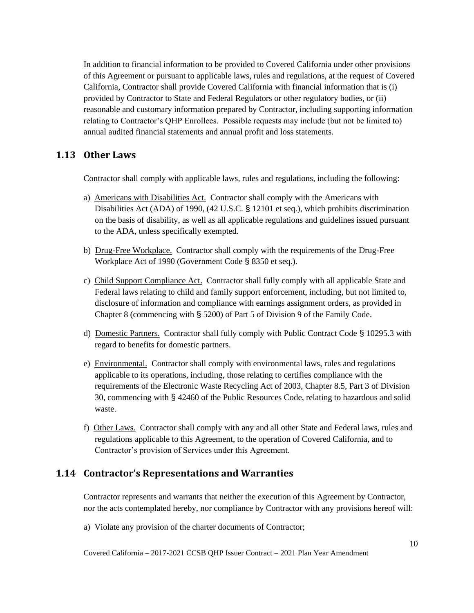In addition to financial information to be provided to Covered California under other provisions of this Agreement or pursuant to applicable laws, rules and regulations, at the request of Covered California, Contractor shall provide Covered California with financial information that is (i) provided by Contractor to State and Federal Regulators or other regulatory bodies, or (ii) reasonable and customary information prepared by Contractor, including supporting information relating to Contractor's QHP Enrollees. Possible requests may include (but not be limited to) annual audited financial statements and annual profit and loss statements.

### <span id="page-15-0"></span>**1.13 Other Laws**

Contractor shall comply with applicable laws, rules and regulations, including the following:

- a) Americans with Disabilities Act. Contractor shall comply with the Americans with Disabilities Act (ADA) of 1990, (42 U.S.C. § 12101 et seq.), which prohibits discrimination on the basis of disability, as well as all applicable regulations and guidelines issued pursuant to the ADA, unless specifically exempted.
- b) Drug-Free Workplace. Contractor shall comply with the requirements of the Drug-Free Workplace Act of 1990 (Government Code § 8350 et seq.).
- c) Child Support Compliance Act. Contractor shall fully comply with all applicable State and Federal laws relating to child and family support enforcement, including, but not limited to, disclosure of information and compliance with earnings assignment orders, as provided in Chapter 8 (commencing with § 5200) of Part 5 of Division 9 of the Family Code.
- d) Domestic Partners. Contractor shall fully comply with Public Contract Code § 10295.3 with regard to benefits for domestic partners.
- e) Environmental. Contractor shall comply with environmental laws, rules and regulations applicable to its operations, including, those relating to certifies compliance with the requirements of the Electronic Waste Recycling Act of 2003, Chapter 8.5, Part 3 of Division 30, commencing with § 42460 of the Public Resources Code, relating to hazardous and solid waste.
- f) Other Laws. Contractor shall comply with any and all other State and Federal laws, rules and regulations applicable to this Agreement, to the operation of Covered California, and to Contractor's provision of Services under this Agreement.

## <span id="page-15-1"></span>**1.14 Contractor's Representations and Warranties**

Contractor represents and warrants that neither the execution of this Agreement by Contractor, nor the acts contemplated hereby, nor compliance by Contractor with any provisions hereof will:

a) Violate any provision of the charter documents of Contractor;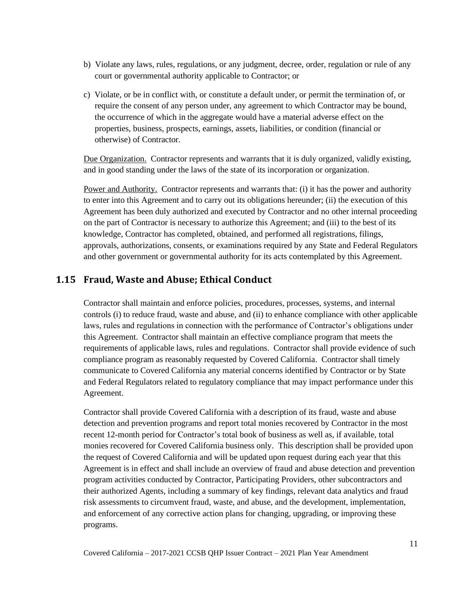- b) Violate any laws, rules, regulations, or any judgment, decree, order, regulation or rule of any court or governmental authority applicable to Contractor; or
- c) Violate, or be in conflict with, or constitute a default under, or permit the termination of, or require the consent of any person under, any agreement to which Contractor may be bound, the occurrence of which in the aggregate would have a material adverse effect on the properties, business, prospects, earnings, assets, liabilities, or condition (financial or otherwise) of Contractor.

Due Organization. Contractor represents and warrants that it is duly organized, validly existing, and in good standing under the laws of the state of its incorporation or organization.

Power and Authority. Contractor represents and warrants that: (i) it has the power and authority to enter into this Agreement and to carry out its obligations hereunder; (ii) the execution of this Agreement has been duly authorized and executed by Contractor and no other internal proceeding on the part of Contractor is necessary to authorize this Agreement; and (iii) to the best of its knowledge, Contractor has completed, obtained, and performed all registrations, filings, approvals, authorizations, consents, or examinations required by any State and Federal Regulators and other government or governmental authority for its acts contemplated by this Agreement.

## <span id="page-16-0"></span>**1.15 Fraud, Waste and Abuse; Ethical Conduct**

Contractor shall maintain and enforce policies, procedures, processes, systems, and internal controls (i) to reduce fraud, waste and abuse, and (ii) to enhance compliance with other applicable laws, rules and regulations in connection with the performance of Contractor's obligations under this Agreement. Contractor shall maintain an effective compliance program that meets the requirements of applicable laws, rules and regulations. Contractor shall provide evidence of such compliance program as reasonably requested by Covered California. Contractor shall timely communicate to Covered California any material concerns identified by Contractor or by State and Federal Regulators related to regulatory compliance that may impact performance under this Agreement.

Contractor shall provide Covered California with a description of its fraud, waste and abuse detection and prevention programs and report total monies recovered by Contractor in the most recent 12-month period for Contractor's total book of business as well as, if available, total monies recovered for Covered California business only. This description shall be provided upon the request of Covered California and will be updated upon request during each year that this Agreement is in effect and shall include an overview of fraud and abuse detection and prevention program activities conducted by Contractor, Participating Providers, other subcontractors and their authorized Agents, including a summary of key findings, relevant data analytics and fraud risk assessments to circumvent fraud, waste, and abuse, and the development, implementation, and enforcement of any corrective action plans for changing, upgrading, or improving these programs.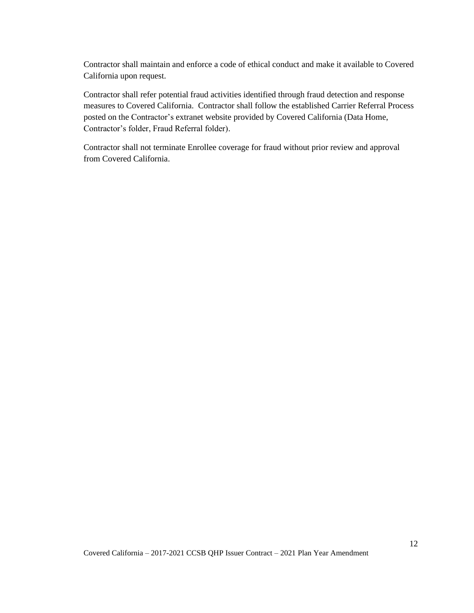Contractor shall maintain and enforce a code of ethical conduct and make it available to Covered California upon request.

Contractor shall refer potential fraud activities identified through fraud detection and response measures to Covered California. Contractor shall follow the established Carrier Referral Process posted on the Contractor's extranet website provided by Covered California (Data Home, Contractor's folder, Fraud Referral folder).

Contractor shall not terminate Enrollee coverage for fraud without prior review and approval from Covered California.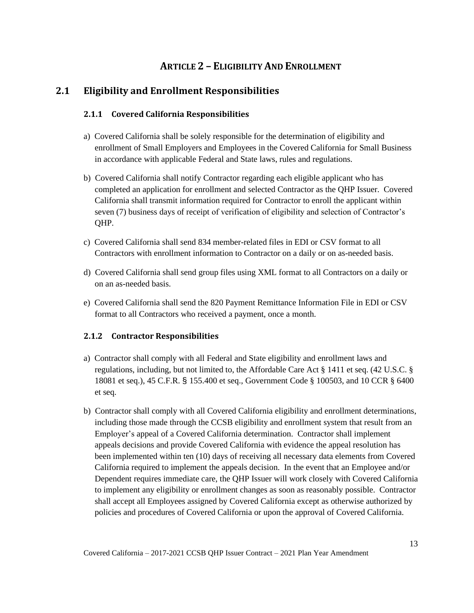## **ARTICLE 2 – ELIGIBILITY AND ENROLLMENT**

## <span id="page-18-2"></span><span id="page-18-1"></span><span id="page-18-0"></span>**2.1 Eligibility and Enrollment Responsibilities**

### **2.1.1 Covered California Responsibilities**

- a) Covered California shall be solely responsible for the determination of eligibility and enrollment of Small Employers and Employees in the Covered California for Small Business in accordance with applicable Federal and State laws, rules and regulations.
- b) Covered California shall notify Contractor regarding each eligible applicant who has completed an application for enrollment and selected Contractor as the QHP Issuer. Covered California shall transmit information required for Contractor to enroll the applicant within seven (7) business days of receipt of verification of eligibility and selection of Contractor's QHP.
- c) Covered California shall send 834 member-related files in EDI or CSV format to all Contractors with enrollment information to Contractor on a daily or on as-needed basis.
- d) Covered California shall send group files using XML format to all Contractors on a daily or on an as-needed basis.
- e) Covered California shall send the 820 Payment Remittance Information File in EDI or CSV format to all Contractors who received a payment, once a month.

### <span id="page-18-3"></span>**2.1.2 Contractor Responsibilities**

- a) Contractor shall comply with all Federal and State eligibility and enrollment laws and regulations, including, but not limited to, the Affordable Care Act § 1411 et seq. (42 U.S.C. § 18081 et seq.), 45 C.F.R. § 155.400 et seq., Government Code § 100503, and 10 CCR § 6400 et seq.
- b) Contractor shall comply with all Covered California eligibility and enrollment determinations, including those made through the CCSB eligibility and enrollment system that result from an Employer's appeal of a Covered California determination. Contractor shall implement appeals decisions and provide Covered California with evidence the appeal resolution has been implemented within ten (10) days of receiving all necessary data elements from Covered California required to implement the appeals decision. In the event that an Employee and/or Dependent requires immediate care, the QHP Issuer will work closely with Covered California to implement any eligibility or enrollment changes as soon as reasonably possible. Contractor shall accept all Employees assigned by Covered California except as otherwise authorized by policies and procedures of Covered California or upon the approval of Covered California.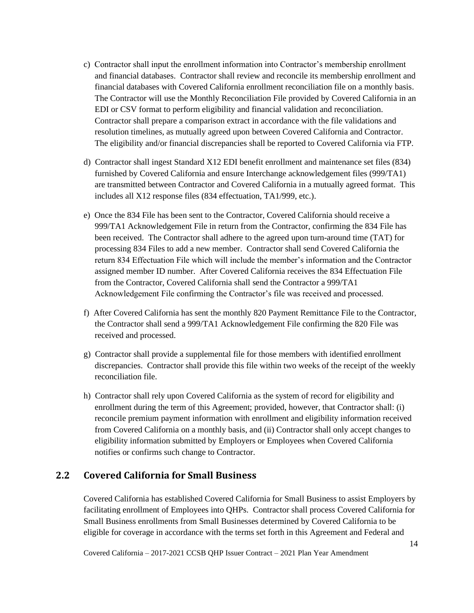- c) Contractor shall input the enrollment information into Contractor's membership enrollment and financial databases. Contractor shall review and reconcile its membership enrollment and financial databases with Covered California enrollment reconciliation file on a monthly basis. The Contractor will use the Monthly Reconciliation File provided by Covered California in an EDI or CSV format to perform eligibility and financial validation and reconciliation. Contractor shall prepare a comparison extract in accordance with the file validations and resolution timelines, as mutually agreed upon between Covered California and Contractor. The eligibility and/or financial discrepancies shall be reported to Covered California via FTP.
- d) Contractor shall ingest Standard X12 EDI benefit enrollment and maintenance set files (834) furnished by Covered California and ensure Interchange acknowledgement files (999/TA1) are transmitted between Contractor and Covered California in a mutually agreed format. This includes all X12 response files (834 effectuation, TA1/999, etc.).
- e) Once the 834 File has been sent to the Contractor, Covered California should receive a 999/TA1 Acknowledgement File in return from the Contractor, confirming the 834 File has been received. The Contractor shall adhere to the agreed upon turn-around time (TAT) for processing 834 Files to add a new member. Contractor shall send Covered California the return 834 Effectuation File which will include the member's information and the Contractor assigned member ID number. After Covered California receives the 834 Effectuation File from the Contractor, Covered California shall send the Contractor a 999/TA1 Acknowledgement File confirming the Contractor's file was received and processed.
- f) After Covered California has sent the monthly 820 Payment Remittance File to the Contractor, the Contractor shall send a 999/TA1 Acknowledgement File confirming the 820 File was received and processed.
- g) Contractor shall provide a supplemental file for those members with identified enrollment discrepancies. Contractor shall provide this file within two weeks of the receipt of the weekly reconciliation file.
- h) Contractor shall rely upon Covered California as the system of record for eligibility and enrollment during the term of this Agreement; provided, however, that Contractor shall: (i) reconcile premium payment information with enrollment and eligibility information received from Covered California on a monthly basis, and (ii) Contractor shall only accept changes to eligibility information submitted by Employers or Employees when Covered California notifies or confirms such change to Contractor.

## <span id="page-19-0"></span>**2.2 Covered California for Small Business**

Covered California has established Covered California for Small Business to assist Employers by facilitating enrollment of Employees into QHPs. Contractor shall process Covered California for Small Business enrollments from Small Businesses determined by Covered California to be eligible for coverage in accordance with the terms set forth in this Agreement and Federal and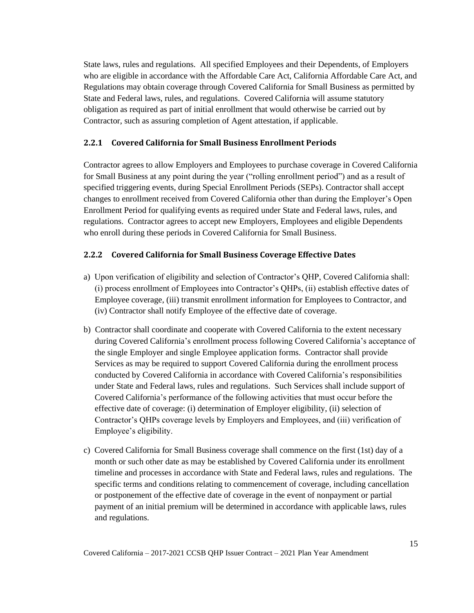State laws, rules and regulations. All specified Employees and their Dependents, of Employers who are eligible in accordance with the Affordable Care Act, California Affordable Care Act, and Regulations may obtain coverage through Covered California for Small Business as permitted by State and Federal laws, rules, and regulations. Covered California will assume statutory obligation as required as part of initial enrollment that would otherwise be carried out by Contractor, such as assuring completion of Agent attestation, if applicable.

### <span id="page-20-0"></span>**2.2.1 Covered California for Small Business Enrollment Periods**

Contractor agrees to allow Employers and Employees to purchase coverage in Covered California for Small Business at any point during the year ("rolling enrollment period") and as a result of specified triggering events, during Special Enrollment Periods (SEPs). Contractor shall accept changes to enrollment received from Covered California other than during the Employer's Open Enrollment Period for qualifying events as required under State and Federal laws, rules, and regulations. Contractor agrees to accept new Employers, Employees and eligible Dependents who enroll during these periods in Covered California for Small Business.

### <span id="page-20-1"></span>**2.2.2 Covered California for Small Business Coverage Effective Dates**

- a) Upon verification of eligibility and selection of Contractor's QHP, Covered California shall: (i) process enrollment of Employees into Contractor's QHPs, (ii) establish effective dates of Employee coverage, (iii) transmit enrollment information for Employees to Contractor, and (iv) Contractor shall notify Employee of the effective date of coverage.
- b) Contractor shall coordinate and cooperate with Covered California to the extent necessary during Covered California's enrollment process following Covered California's acceptance of the single Employer and single Employee application forms. Contractor shall provide Services as may be required to support Covered California during the enrollment process conducted by Covered California in accordance with Covered California's responsibilities under State and Federal laws, rules and regulations. Such Services shall include support of Covered California's performance of the following activities that must occur before the effective date of coverage: (i) determination of Employer eligibility, (ii) selection of Contractor's QHPs coverage levels by Employers and Employees, and (iii) verification of Employee's eligibility.
- c) Covered California for Small Business coverage shall commence on the first (1st) day of a month or such other date as may be established by Covered California under its enrollment timeline and processes in accordance with State and Federal laws, rules and regulations. The specific terms and conditions relating to commencement of coverage, including cancellation or postponement of the effective date of coverage in the event of nonpayment or partial payment of an initial premium will be determined in accordance with applicable laws, rules and regulations.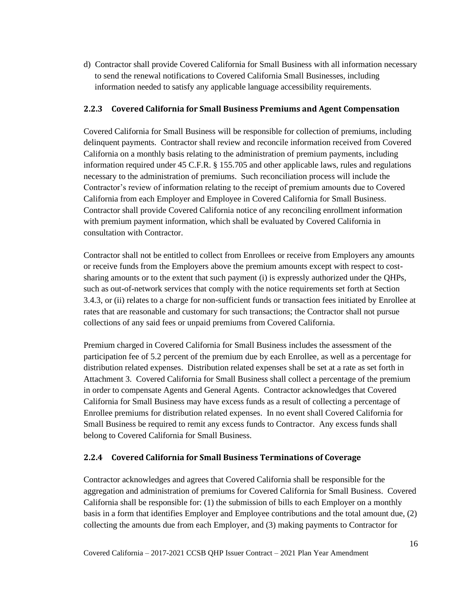d) Contractor shall provide Covered California for Small Business with all information necessary to send the renewal notifications to Covered California Small Businesses, including information needed to satisfy any applicable language accessibility requirements.

### <span id="page-21-0"></span>**2.2.3 Covered California for Small Business Premiums and Agent Compensation**

Covered California for Small Business will be responsible for collection of premiums, including delinquent payments. Contractor shall review and reconcile information received from Covered California on a monthly basis relating to the administration of premium payments, including information required under 45 C.F.R. § 155.705 and other applicable laws, rules and regulations necessary to the administration of premiums. Such reconciliation process will include the Contractor's review of information relating to the receipt of premium amounts due to Covered California from each Employer and Employee in Covered California for Small Business. Contractor shall provide Covered California notice of any reconciling enrollment information with premium payment information, which shall be evaluated by Covered California in consultation with Contractor.

Contractor shall not be entitled to collect from Enrollees or receive from Employers any amounts or receive funds from the Employers above the premium amounts except with respect to costsharing amounts or to the extent that such payment (i) is expressly authorized under the QHPs, such as out-of-network services that comply with the notice requirements set forth at Section 3.4.3, or (ii) relates to a charge for non-sufficient funds or transaction fees initiated by Enrollee at rates that are reasonable and customary for such transactions; the Contractor shall not pursue collections of any said fees or unpaid premiums from Covered California.

Premium charged in Covered California for Small Business includes the assessment of the participation fee of 5.2 percent of the premium due by each Enrollee, as well as a percentage for distribution related expenses. Distribution related expenses shall be set at a rate as set forth in Attachment 3. Covered California for Small Business shall collect a percentage of the premium in order to compensate Agents and General Agents. Contractor acknowledges that Covered California for Small Business may have excess funds as a result of collecting a percentage of Enrollee premiums for distribution related expenses. In no event shall Covered California for Small Business be required to remit any excess funds to Contractor. Any excess funds shall belong to Covered California for Small Business.

### <span id="page-21-1"></span>**2.2.4 Covered California for Small Business Terminations of Coverage**

Contractor acknowledges and agrees that Covered California shall be responsible for the aggregation and administration of premiums for Covered California for Small Business. Covered California shall be responsible for: (1) the submission of bills to each Employer on a monthly basis in a form that identifies Employer and Employee contributions and the total amount due, (2) collecting the amounts due from each Employer, and (3) making payments to Contractor for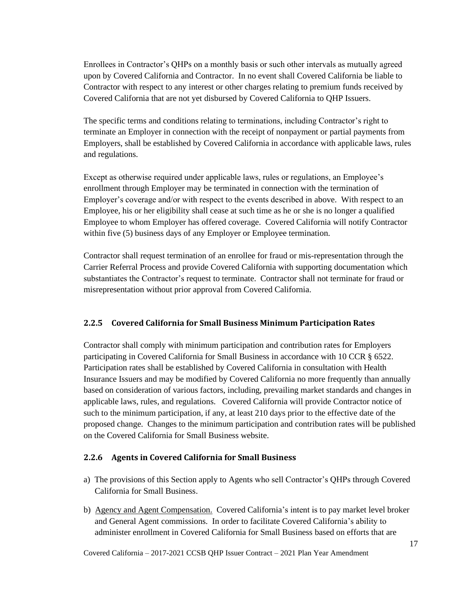Enrollees in Contractor's QHPs on a monthly basis or such other intervals as mutually agreed upon by Covered California and Contractor. In no event shall Covered California be liable to Contractor with respect to any interest or other charges relating to premium funds received by Covered California that are not yet disbursed by Covered California to QHP Issuers.

The specific terms and conditions relating to terminations, including Contractor's right to terminate an Employer in connection with the receipt of nonpayment or partial payments from Employers, shall be established by Covered California in accordance with applicable laws, rules and regulations.

Except as otherwise required under applicable laws, rules or regulations, an Employee's enrollment through Employer may be terminated in connection with the termination of Employer's coverage and/or with respect to the events described in above. With respect to an Employee, his or her eligibility shall cease at such time as he or she is no longer a qualified Employee to whom Employer has offered coverage. Covered California will notify Contractor within five (5) business days of any Employer or Employee termination.

Contractor shall request termination of an enrollee for fraud or mis-representation through the Carrier Referral Process and provide Covered California with supporting documentation which substantiates the Contractor's request to terminate. Contractor shall not terminate for fraud or misrepresentation without prior approval from Covered California.

### <span id="page-22-0"></span>**2.2.5 Covered California for Small Business Minimum Participation Rates**

Contractor shall comply with minimum participation and contribution rates for Employers participating in Covered California for Small Business in accordance with 10 CCR § 6522. Participation rates shall be established by Covered California in consultation with Health Insurance Issuers and may be modified by Covered California no more frequently than annually based on consideration of various factors, including, prevailing market standards and changes in applicable laws, rules, and regulations. Covered California will provide Contractor notice of such to the minimum participation, if any, at least 210 days prior to the effective date of the proposed change. Changes to the minimum participation and contribution rates will be published on the Covered California for Small Business website.

### <span id="page-22-1"></span>**2.2.6 Agents in Covered California for Small Business**

- a) The provisions of this Section apply to Agents who sell Contractor's QHPs through Covered California for Small Business.
- b) Agency and Agent Compensation. Covered California's intent is to pay market level broker and General Agent commissions. In order to facilitate Covered California's ability to administer enrollment in Covered California for Small Business based on efforts that are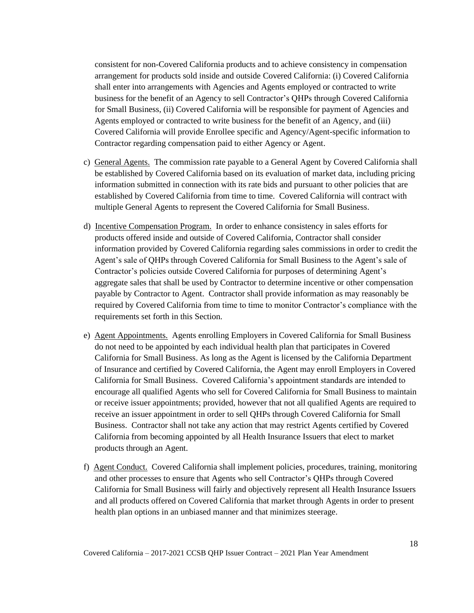consistent for non-Covered California products and to achieve consistency in compensation arrangement for products sold inside and outside Covered California: (i) Covered California shall enter into arrangements with Agencies and Agents employed or contracted to write business for the benefit of an Agency to sell Contractor's QHPs through Covered California for Small Business, (ii) Covered California will be responsible for payment of Agencies and Agents employed or contracted to write business for the benefit of an Agency, and (iii) Covered California will provide Enrollee specific and Agency/Agent-specific information to Contractor regarding compensation paid to either Agency or Agent.

- c) General Agents. The commission rate payable to a General Agent by Covered California shall be established by Covered California based on its evaluation of market data, including pricing information submitted in connection with its rate bids and pursuant to other policies that are established by Covered California from time to time. Covered California will contract with multiple General Agents to represent the Covered California for Small Business.
- d) Incentive Compensation Program. In order to enhance consistency in sales efforts for products offered inside and outside of Covered California, Contractor shall consider information provided by Covered California regarding sales commissions in order to credit the Agent's sale of QHPs through Covered California for Small Business to the Agent's sale of Contractor's policies outside Covered California for purposes of determining Agent's aggregate sales that shall be used by Contractor to determine incentive or other compensation payable by Contractor to Agent. Contractor shall provide information as may reasonably be required by Covered California from time to time to monitor Contractor's compliance with the requirements set forth in this Section.
- e) Agent Appointments. Agents enrolling Employers in Covered California for Small Business do not need to be appointed by each individual health plan that participates in Covered California for Small Business. As long as the Agent is licensed by the California Department of Insurance and certified by Covered California, the Agent may enroll Employers in Covered California for Small Business. Covered California's appointment standards are intended to encourage all qualified Agents who sell for Covered California for Small Business to maintain or receive issuer appointments; provided, however that not all qualified Agents are required to receive an issuer appointment in order to sell QHPs through Covered California for Small Business. Contractor shall not take any action that may restrict Agents certified by Covered California from becoming appointed by all Health Insurance Issuers that elect to market products through an Agent.
- f) Agent Conduct. Covered California shall implement policies, procedures, training, monitoring and other processes to ensure that Agents who sell Contractor's QHPs through Covered California for Small Business will fairly and objectively represent all Health Insurance Issuers and all products offered on Covered California that market through Agents in order to present health plan options in an unbiased manner and that minimizes steerage.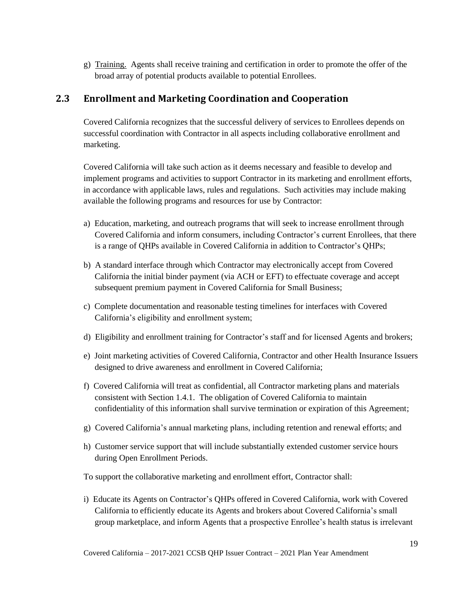g) Training. Agents shall receive training and certification in order to promote the offer of the broad array of potential products available to potential Enrollees.

## <span id="page-24-0"></span>**2.3 Enrollment and Marketing Coordination and Cooperation**

Covered California recognizes that the successful delivery of services to Enrollees depends on successful coordination with Contractor in all aspects including collaborative enrollment and marketing.

Covered California will take such action as it deems necessary and feasible to develop and implement programs and activities to support Contractor in its marketing and enrollment efforts, in accordance with applicable laws, rules and regulations. Such activities may include making available the following programs and resources for use by Contractor:

- a) Education, marketing, and outreach programs that will seek to increase enrollment through Covered California and inform consumers, including Contractor's current Enrollees, that there is a range of QHPs available in Covered California in addition to Contractor's QHPs;
- b) A standard interface through which Contractor may electronically accept from Covered California the initial binder payment (via ACH or EFT) to effectuate coverage and accept subsequent premium payment in Covered California for Small Business;
- c) Complete documentation and reasonable testing timelines for interfaces with Covered California's eligibility and enrollment system;
- d) Eligibility and enrollment training for Contractor's staff and for licensed Agents and brokers;
- e) Joint marketing activities of Covered California, Contractor and other Health Insurance Issuers designed to drive awareness and enrollment in Covered California;
- f) Covered California will treat as confidential, all Contractor marketing plans and materials consistent with Section 1.4.1. The obligation of Covered California to maintain confidentiality of this information shall survive termination or expiration of this Agreement;
- g) Covered California's annual marketing plans, including retention and renewal efforts; and
- h) Customer service support that will include substantially extended customer service hours during Open Enrollment Periods.

To support the collaborative marketing and enrollment effort, Contractor shall:

i) Educate its Agents on Contractor's QHPs offered in Covered California, work with Covered California to efficiently educate its Agents and brokers about Covered California's small group marketplace, and inform Agents that a prospective Enrollee's health status is irrelevant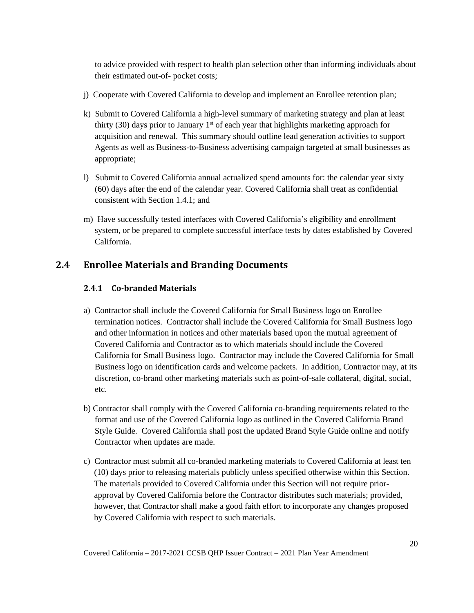to advice provided with respect to health plan selection other than informing individuals about their estimated out-of- pocket costs;

- j) Cooperate with Covered California to develop and implement an Enrollee retention plan;
- k) Submit to Covered California a high-level summary of marketing strategy and plan at least thirty (30) days prior to January  $1<sup>st</sup>$  of each year that highlights marketing approach for acquisition and renewal. This summary should outline lead generation activities to support Agents as well as Business-to-Business advertising campaign targeted at small businesses as appropriate;
- l) Submit to Covered California annual actualized spend amounts for: the calendar year sixty (60) days after the end of the calendar year. Covered California shall treat as confidential consistent with Section 1.4.1; and
- m) Have successfully tested interfaces with Covered California's eligibility and enrollment system, or be prepared to complete successful interface tests by dates established by Covered California.

## <span id="page-25-0"></span>**2.4 Enrollee Materials and Branding Documents**

## **2.4.1 Co-branded Materials**

- a) Contractor shall include the Covered California for Small Business logo on Enrollee termination notices. Contractor shall include the Covered California for Small Business logo and other information in notices and other materials based upon the mutual agreement of Covered California and Contractor as to which materials should include the Covered California for Small Business logo. Contractor may include the Covered California for Small Business logo on identification cards and welcome packets. In addition, Contractor may, at its discretion, co-brand other marketing materials such as point-of-sale collateral, digital, social, etc.
- b) Contractor shall comply with the Covered California co-branding requirements related to the format and use of the Covered California logo as outlined in the Covered California Brand Style Guide. Covered California shall post the updated Brand Style Guide online and notify Contractor when updates are made.
- c) Contractor must submit all co-branded marketing materials to Covered California at least ten (10) days prior to releasing materials publicly unless specified otherwise within this Section. The materials provided to Covered California under this Section will not require priorapproval by Covered California before the Contractor distributes such materials; provided, however, that Contractor shall make a good faith effort to incorporate any changes proposed by Covered California with respect to such materials.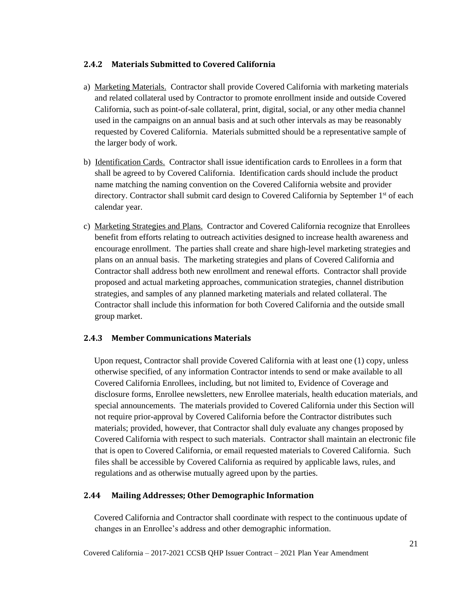### **2.4.2 Materials Submitted to Covered California**

- a) Marketing Materials. Contractor shall provide Covered California with marketing materials and related collateral used by Contractor to promote enrollment inside and outside Covered California, such as point-of-sale collateral, print, digital, social, or any other media channel used in the campaigns on an annual basis and at such other intervals as may be reasonably requested by Covered California. Materials submitted should be a representative sample of the larger body of work.
- b) Identification Cards. Contractor shall issue identification cards to Enrollees in a form that shall be agreed to by Covered California. Identification cards should include the product name matching the naming convention on the Covered California website and provider directory. Contractor shall submit card design to Covered California by September 1<sup>st</sup> of each calendar year.
- c) Marketing Strategies and Plans. Contractor and Covered California recognize that Enrollees benefit from efforts relating to outreach activities designed to increase health awareness and encourage enrollment. The parties shall create and share high-level marketing strategies and plans on an annual basis. The marketing strategies and plans of Covered California and Contractor shall address both new enrollment and renewal efforts. Contractor shall provide proposed and actual marketing approaches, communication strategies, channel distribution strategies, and samples of any planned marketing materials and related collateral. The Contractor shall include this information for both Covered California and the outside small group market.

### **2.4.3 Member Communications Materials**

 Upon request, Contractor shall provide Covered California with at least one (1) copy, unless otherwise specified, of any information Contractor intends to send or make available to all Covered California Enrollees, including, but not limited to, Evidence of Coverage and disclosure forms, Enrollee newsletters, new Enrollee materials, health education materials, and special announcements. The materials provided to Covered California under this Section will not require prior-approval by Covered California before the Contractor distributes such materials; provided, however, that Contractor shall duly evaluate any changes proposed by Covered California with respect to such materials. Contractor shall maintain an electronic file that is open to Covered California, or email requested materials to Covered California. Such files shall be accessible by Covered California as required by applicable laws, rules, and regulations and as otherwise mutually agreed upon by the parties.

### **2.44 Mailing Addresses; Other Demographic Information**

 Covered California and Contractor shall coordinate with respect to the continuous update of changes in an Enrollee's address and other demographic information.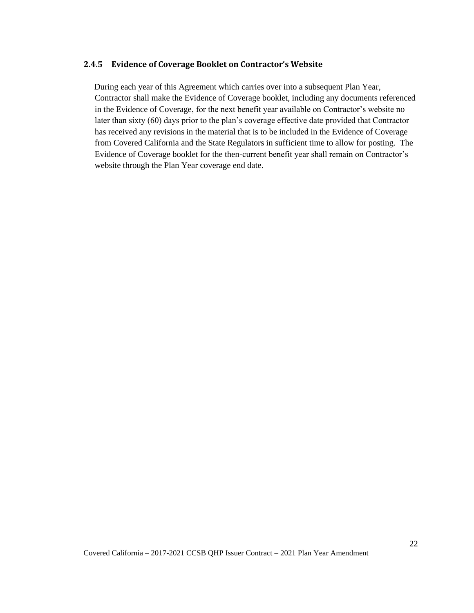#### **2.4.5 Evidence of Coverage Booklet on Contractor's Website**

 During each year of this Agreement which carries over into a subsequent Plan Year, Contractor shall make the Evidence of Coverage booklet, including any documents referenced in the Evidence of Coverage, for the next benefit year available on Contractor's website no later than sixty (60) days prior to the plan's coverage effective date provided that Contractor has received any revisions in the material that is to be included in the Evidence of Coverage from Covered California and the State Regulators in sufficient time to allow for posting. The Evidence of Coverage booklet for the then-current benefit year shall remain on Contractor's website through the Plan Year coverage end date.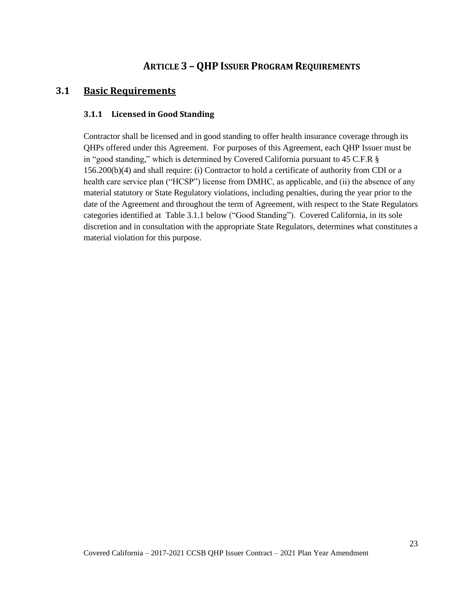## <span id="page-28-0"></span>**ARTICLE 3 – QHP ISSUER PROGRAM REQUIREMENTS**

### <span id="page-28-2"></span><span id="page-28-1"></span>**3.1 Basic Requirements**

### **3.1.1 Licensed in Good Standing**

Contractor shall be licensed and in good standing to offer health insurance coverage through its QHPs offered under this Agreement. For purposes of this Agreement, each QHP Issuer must be in "good standing," which is determined by Covered California pursuant to 45 C.F.R § 156.200(b)(4) and shall require: (i) Contractor to hold a certificate of authority from CDI or a health care service plan ("HCSP") license from DMHC, as applicable, and (ii) the absence of any material statutory or State Regulatory violations, including penalties, during the year prior to the date of the Agreement and throughout the term of Agreement, with respect to the State Regulators categories identified at Table 3.1.1 below ("Good Standing"). Covered California, in its sole discretion and in consultation with the appropriate State Regulators, determines what constitutes a material violation for this purpose.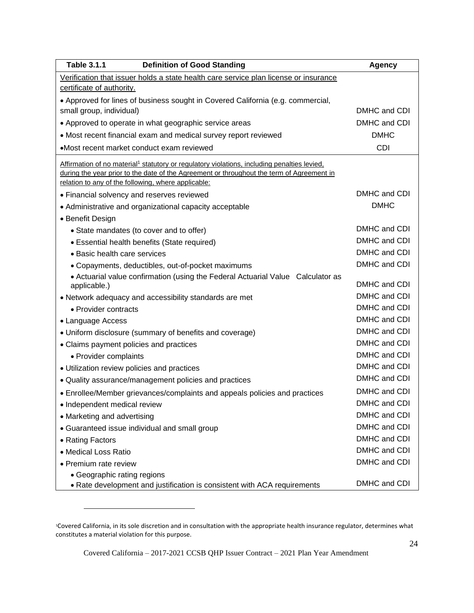| <b>Table 3.1.1</b><br><b>Definition of Good Standing</b>                                                                                         | <b>Agency</b> |
|--------------------------------------------------------------------------------------------------------------------------------------------------|---------------|
| Verification that issuer holds a state health care service plan license or insurance                                                             |               |
| certificate of authority.                                                                                                                        |               |
| • Approved for lines of business sought in Covered California (e.g. commercial,                                                                  |               |
| small group, individual)                                                                                                                         | DMHC and CDI  |
| • Approved to operate in what geographic service areas                                                                                           | DMHC and CDI  |
| • Most recent financial exam and medical survey report reviewed                                                                                  | <b>DMHC</b>   |
| •Most recent market conduct exam reviewed                                                                                                        | <b>CDI</b>    |
| Affirmation of no material <sup>1</sup> statutory or regulatory violations, including penalties levied,                                          |               |
| during the year prior to the date of the Agreement or throughout the term of Agreement in<br>relation to any of the following, where applicable: |               |
| • Financial solvency and reserves reviewed                                                                                                       | DMHC and CDI  |
| • Administrative and organizational capacity acceptable                                                                                          | <b>DMHC</b>   |
| • Benefit Design                                                                                                                                 |               |
| • State mandates (to cover and to offer)                                                                                                         | DMHC and CDI  |
| • Essential health benefits (State required)                                                                                                     | DMHC and CDI  |
| • Basic health care services                                                                                                                     | DMHC and CDI  |
| • Copayments, deductibles, out-of-pocket maximums                                                                                                | DMHC and CDI  |
| • Actuarial value confirmation (using the Federal Actuarial Value Calculator as<br>applicable.)                                                  | DMHC and CDI  |
| • Network adequacy and accessibility standards are met                                                                                           | DMHC and CDI  |
| • Provider contracts                                                                                                                             | DMHC and CDI  |
| • Language Access                                                                                                                                | DMHC and CDI  |
| • Uniform disclosure (summary of benefits and coverage)                                                                                          | DMHC and CDI  |
| • Claims payment policies and practices                                                                                                          | DMHC and CDI  |
| • Provider complaints                                                                                                                            | DMHC and CDI  |
| • Utilization review policies and practices                                                                                                      | DMHC and CDI  |
| • Quality assurance/management policies and practices                                                                                            | DMHC and CDI  |
| • Enrollee/Member grievances/complaints and appeals policies and practices                                                                       | DMHC and CDI  |
| • Independent medical review                                                                                                                     | DMHC and CDI  |
| • Marketing and advertising                                                                                                                      | DMHC and CDI  |
| • Guaranteed issue individual and small group                                                                                                    | DMHC and CDI  |
| • Rating Factors                                                                                                                                 | DMHC and CDI  |
| • Medical Loss Ratio                                                                                                                             | DMHC and CDI  |
| • Premium rate review                                                                                                                            | DMHC and CDI  |
| • Geographic rating regions                                                                                                                      |               |
| • Rate development and justification is consistent with ACA requirements                                                                         | DMHC and CDI  |

<sup>1</sup>Covered California, in its sole discretion and in consultation with the appropriate health insurance regulator, determines what constitutes a material violation for this purpose.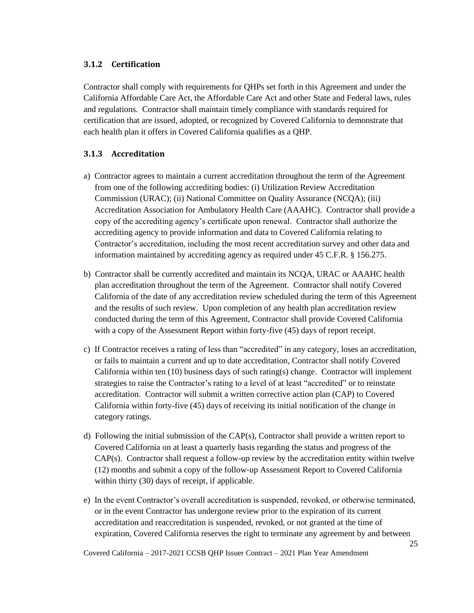### <span id="page-30-0"></span>**3.1.2 Certification**

Contractor shall comply with requirements for QHPs set forth in this Agreement and under the California Affordable Care Act, the Affordable Care Act and other State and Federal laws, rules and regulations*.* Contractor shall maintain timely compliance with standards required for certification that are issued, adopted, or recognized by Covered California to demonstrate that each health plan it offers in Covered California qualifies as a QHP.

### <span id="page-30-1"></span>**3.1.3 Accreditation**

- a) Contractor agrees to maintain a current accreditation throughout the term of the Agreement from one of the following accrediting bodies: (i) Utilization Review Accreditation Commission (URAC); (ii) National Committee on Quality Assurance (NCQA); (iii) Accreditation Association for Ambulatory Health Care (AAAHC). Contractor shall provide a copy of the accrediting agency's certificate upon renewal. Contractor shall authorize the accrediting agency to provide information and data to Covered California relating to Contractor's accreditation, including the most recent accreditation survey and other data and information maintained by accrediting agency as required under 45 C.F.R. § 156.275.
- b) Contractor shall be currently accredited and maintain its NCQA, URAC or AAAHC health plan accreditation throughout the term of the Agreement. Contractor shall notify Covered California of the date of any accreditation review scheduled during the term of this Agreement and the results of such review. Upon completion of any health plan accreditation review conducted during the term of this Agreement, Contractor shall provide Covered California with a copy of the Assessment Report within forty-five (45) days of report receipt.
- c) If Contractor receives a rating of less than "accredited" in any category, loses an accreditation, or fails to maintain a current and up to date accreditation, Contractor shall notify Covered California within ten  $(10)$  business days of such rating(s) change. Contractor will implement strategies to raise the Contractor's rating to a level of at least "accredited" or to reinstate accreditation. Contractor will submit a written corrective action plan (CAP) to Covered California within forty-five (45) days of receiving its initial notification of the change in category ratings.
- d) Following the initial submission of the CAP(s), Contractor shall provide a written report to Covered California on at least a quarterly basis regarding the status and progress of the  $CAP(s)$ . Contractor shall request a follow-up review by the accreditation entity within twelve (12) months and submit a copy of the follow-up Assessment Report to Covered California within thirty (30) days of receipt, if applicable.
- e) In the event Contractor's overall accreditation is suspended, revoked, or otherwise terminated, or in the event Contractor has undergone review prior to the expiration of its current accreditation and reaccreditation is suspended, revoked, or not granted at the time of expiration, Covered California reserves the right to terminate any agreement by and between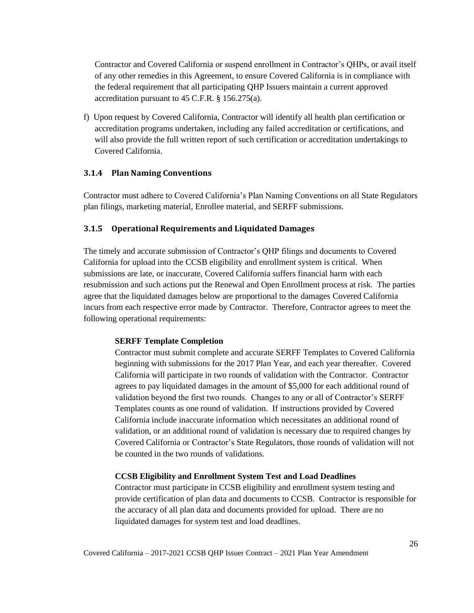Contractor and Covered California or suspend enrollment in Contractor's QHPs, or avail itself of any other remedies in this Agreement, to ensure Covered California is in compliance with the federal requirement that all participating QHP Issuers maintain a current approved accreditation pursuant to 45 C.F.R. § 156.275(a).

f) Upon request by Covered California, Contractor will identify all health plan certification or accreditation programs undertaken, including any failed accreditation or certifications, and will also provide the full written report of such certification or accreditation undertakings to Covered California.

### <span id="page-31-0"></span>**3.1.4 Plan Naming Conventions**

Contractor must adhere to Covered California's Plan Naming Conventions on all State Regulators plan filings, marketing material, Enrollee material, and SERFF submissions.

### <span id="page-31-1"></span>**3.1.5 Operational Requirements and Liquidated Damages**

The timely and accurate submission of Contractor's QHP filings and documents to Covered California for upload into the CCSB eligibility and enrollment system is critical. When submissions are late, or inaccurate, Covered California suffers financial harm with each resubmission and such actions put the Renewal and Open Enrollment process at risk. The parties agree that the liquidated damages below are proportional to the damages Covered California incurs from each respective error made by Contractor. Therefore, Contractor agrees to meet the following operational requirements:

### **SERFF Template Completion**

Contractor must submit complete and accurate SERFF Templates to Covered California beginning with submissions for the 2017 Plan Year, and each year thereafter. Covered California will participate in two rounds of validation with the Contractor. Contractor agrees to pay liquidated damages in the amount of \$5,000 for each additional round of validation beyond the first two rounds. Changes to any or all of Contractor's SERFF Templates counts as one round of validation. If instructions provided by Covered California include inaccurate information which necessitates an additional round of validation, or an additional round of validation is necessary due to required changes by Covered California or Contractor's State Regulators, those rounds of validation will not be counted in the two rounds of validations.

#### **CCSB Eligibility and Enrollment System Test and Load Deadlines**

Contractor must participate in CCSB eligibility and enrollment system testing and provide certification of plan data and documents to CCSB. Contractor is responsible for the accuracy of all plan data and documents provided for upload. There are no liquidated damages for system test and load deadlines.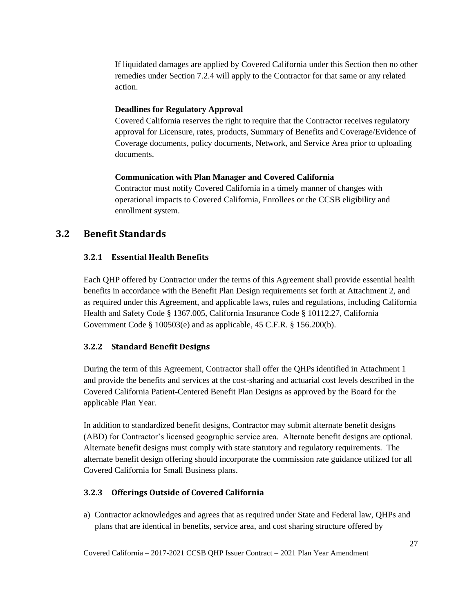If liquidated damages are applied by Covered California under this Section then no other remedies under Section 7.2.4 will apply to the Contractor for that same or any related action.

#### **Deadlines for Regulatory Approval**

Covered California reserves the right to require that the Contractor receives regulatory approval for Licensure, rates, products, Summary of Benefits and Coverage/Evidence of Coverage documents, policy documents, Network, and Service Area prior to uploading documents.

#### **Communication with Plan Manager and Covered California**

Contractor must notify Covered California in a timely manner of changes with operational impacts to Covered California, Enrollees or the CCSB eligibility and enrollment system.

## <span id="page-32-1"></span><span id="page-32-0"></span>**3.2 Benefit Standards**

### **3.2.1 Essential Health Benefits**

Each QHP offered by Contractor under the terms of this Agreement shall provide essential health benefits in accordance with the Benefit Plan Design requirements set forth at Attachment 2, and as required under this Agreement, and applicable laws, rules and regulations, including California Health and Safety Code § 1367.005, California Insurance Code § 10112.27, California Government Code § 100503(e) and as applicable, 45 C.F.R. § 156.200(b).

### <span id="page-32-2"></span>**3.2.2 Standard Benefit Designs**

During the term of this Agreement, Contractor shall offer the QHPs identified in Attachment 1 and provide the benefits and services at the cost-sharing and actuarial cost levels described in the Covered California Patient-Centered Benefit Plan Designs as approved by the Board for the applicable Plan Year.

In addition to standardized benefit designs, Contractor may submit alternate benefit designs (ABD) for Contractor's licensed geographic service area. Alternate benefit designs are optional. Alternate benefit designs must comply with state statutory and regulatory requirements. The alternate benefit design offering should incorporate the commission rate guidance utilized for all Covered California for Small Business plans.

#### <span id="page-32-3"></span>**3.2.3 Offerings Outside of Covered California**

a) Contractor acknowledges and agrees that as required under State and Federal law, QHPs and plans that are identical in benefits, service area, and cost sharing structure offered by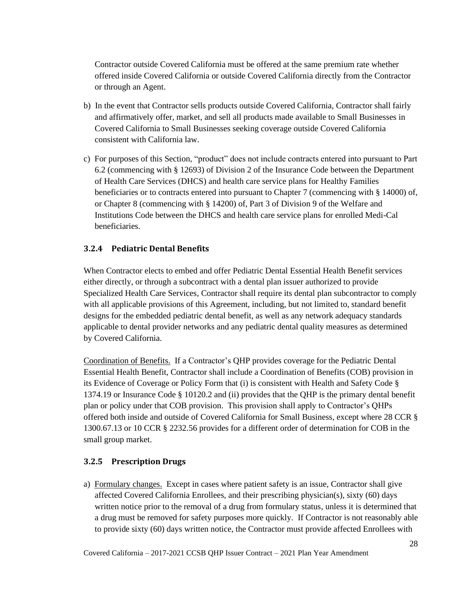Contractor outside Covered California must be offered at the same premium rate whether offered inside Covered California or outside Covered California directly from the Contractor or through an Agent.

- b) In the event that Contractor sells products outside Covered California, Contractor shall fairly and affirmatively offer, market, and sell all products made available to Small Businesses in Covered California to Small Businesses seeking coverage outside Covered California consistent with California law.
- c) For purposes of this Section, "product" does not include contracts entered into pursuant to Part 6.2 (commencing with § 12693) of Division 2 of the Insurance Code between the Department of Health Care Services (DHCS) and health care service plans for Healthy Families beneficiaries or to contracts entered into pursuant to Chapter 7 (commencing with § 14000) of, or Chapter 8 (commencing with § 14200) of, Part 3 of Division 9 of the Welfare and Institutions Code between the DHCS and health care service plans for enrolled Medi-Cal beneficiaries.

### <span id="page-33-0"></span>**3.2.4 Pediatric Dental Benefits**

When Contractor elects to embed and offer Pediatric Dental Essential Health Benefit services either directly, or through a subcontract with a dental plan issuer authorized to provide Specialized Health Care Services, Contractor shall require its dental plan subcontractor to comply with all applicable provisions of this Agreement, including, but not limited to, standard benefit designs for the embedded pediatric dental benefit, as well as any network adequacy standards applicable to dental provider networks and any pediatric dental quality measures as determined by Covered California.

Coordination of Benefits. If a Contractor's QHP provides coverage for the Pediatric Dental Essential Health Benefit, Contractor shall include a Coordination of Benefits (COB) provision in its Evidence of Coverage or Policy Form that (i) is consistent with Health and Safety Code § 1374.19 or Insurance Code § 10120.2 and (ii) provides that the QHP is the primary dental benefit plan or policy under that COB provision. This provision shall apply to Contractor's QHPs offered both inside and outside of Covered California for Small Business, except where 28 CCR § 1300.67.13 or 10 CCR § 2232.56 provides for a different order of determination for COB in the small group market.

#### <span id="page-33-1"></span>**3.2.5 Prescription Drugs**

a) Formulary changes. Except in cases where patient safety is an issue, Contractor shall give affected Covered California Enrollees, and their prescribing physician(s), sixty (60) days written notice prior to the removal of a drug from formulary status, unless it is determined that a drug must be removed for safety purposes more quickly. If Contractor is not reasonably able to provide sixty (60) days written notice, the Contractor must provide affected Enrollees with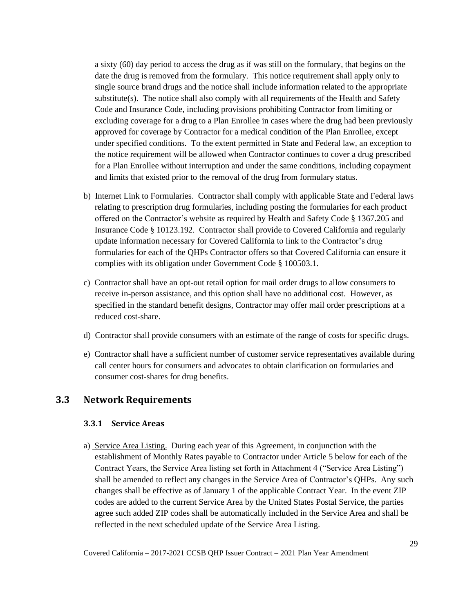a sixty (60) day period to access the drug as if was still on the formulary, that begins on the date the drug is removed from the formulary. This notice requirement shall apply only to single source brand drugs and the notice shall include information related to the appropriate substitute(s). The notice shall also comply with all requirements of the Health and Safety Code and Insurance Code, including provisions prohibiting Contractor from limiting or excluding coverage for a drug to a Plan Enrollee in cases where the drug had been previously approved for coverage by Contractor for a medical condition of the Plan Enrollee, except under specified conditions. To the extent permitted in State and Federal law, an exception to the notice requirement will be allowed when Contractor continues to cover a drug prescribed for a Plan Enrollee without interruption and under the same conditions, including copayment and limits that existed prior to the removal of the drug from formulary status.

- b) Internet Link to Formularies. Contractor shall comply with applicable State and Federal laws relating to prescription drug formularies, including posting the formularies for each product offered on the Contractor's website as required by Health and Safety Code § 1367.205 and Insurance Code § 10123.192. Contractor shall provide to Covered California and regularly update information necessary for Covered California to link to the Contractor's drug formularies for each of the QHPs Contractor offers so that Covered California can ensure it complies with its obligation under Government Code § 100503.1.
- c) Contractor shall have an opt-out retail option for mail order drugs to allow consumers to receive in-person assistance, and this option shall have no additional cost. However, as specified in the standard benefit designs, Contractor may offer mail order prescriptions at a reduced cost-share.
- d) Contractor shall provide consumers with an estimate of the range of costs for specific drugs.
- e) Contractor shall have a sufficient number of customer service representatives available during call center hours for consumers and advocates to obtain clarification on formularies and consumer cost-shares for drug benefits.

### <span id="page-34-1"></span><span id="page-34-0"></span>**3.3 Network Requirements**

#### **3.3.1 Service Areas**

a) Service Area Listing. During each year of this Agreement, in conjunction with the establishment of Monthly Rates payable to Contractor under Article 5 below for each of the Contract Years, the Service Area listing set forth in Attachment 4 ("Service Area Listing") shall be amended to reflect any changes in the Service Area of Contractor's QHPs. Any such changes shall be effective as of January 1 of the applicable Contract Year. In the event ZIP codes are added to the current Service Area by the United States Postal Service, the parties agree such added ZIP codes shall be automatically included in the Service Area and shall be reflected in the next scheduled update of the Service Area Listing.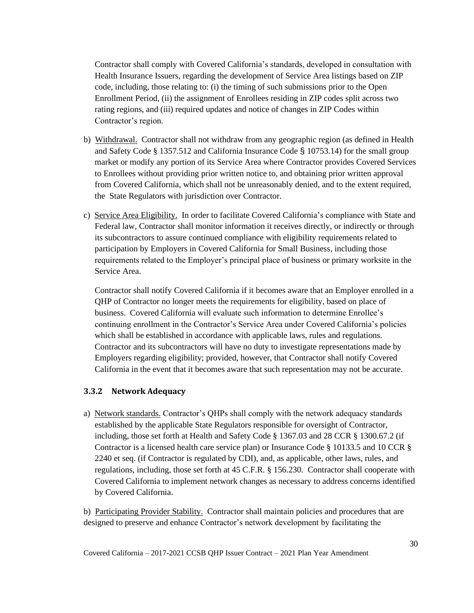Contractor shall comply with Covered California's standards, developed in consultation with Health Insurance Issuers, regarding the development of Service Area listings based on ZIP code, including, those relating to: (i) the timing of such submissions prior to the Open Enrollment Period, (ii) the assignment of Enrollees residing in ZIP codes split across two rating regions, and (iii) required updates and notice of changes in ZIP Codes within Contractor's region.

- b) Withdrawal. Contractor shall not withdraw from any geographic region (as defined in Health and Safety Code § 1357.512 and California Insurance Code § 10753.14) for the small group market or modify any portion of its Service Area where Contractor provides Covered Services to Enrollees without providing prior written notice to, and obtaining prior written approval from Covered California, which shall not be unreasonably denied, and to the extent required, the State Regulators with jurisdiction over Contractor.
- c) Service Area Eligibility. In order to facilitate Covered California's compliance with State and Federal law, Contractor shall monitor information it receives directly, or indirectly or through its subcontractors to assure continued compliance with eligibility requirements related to participation by Employers in Covered California for Small Business, including those requirements related to the Employer's principal place of business or primary worksite in the Service Area.

Contractor shall notify Covered California if it becomes aware that an Employer enrolled in a QHP of Contractor no longer meets the requirements for eligibility, based on place of business. Covered California will evaluate such information to determine Enrollee's continuing enrollment in the Contractor's Service Area under Covered California's policies which shall be established in accordance with applicable laws, rules and regulations. Contractor and its subcontractors will have no duty to investigate representations made by Employers regarding eligibility; provided, however, that Contractor shall notify Covered California in the event that it becomes aware that such representation may not be accurate.

### <span id="page-35-0"></span>**3.3.2 Network Adequacy**

a) Network standards. Contractor's QHPs shall comply with the network adequacy standards established by the applicable State Regulators responsible for oversight of Contractor, including, those set forth at Health and Safety Code § 1367.03 and 28 CCR § 1300.67.2 (if Contractor is a licensed health care service plan) or Insurance Code § 10133.5 and 10 CCR § 2240 et seq. (if Contractor is regulated by CDI), and, as applicable, other laws, rules, and regulations, including, those set forth at 45 C.F.R. § 156.230. Contractor shall cooperate with Covered California to implement network changes as necessary to address concerns identified by Covered California.

b) Participating Provider Stability. Contractor shall maintain policies and procedures that are designed to preserve and enhance Contractor's network development by facilitating the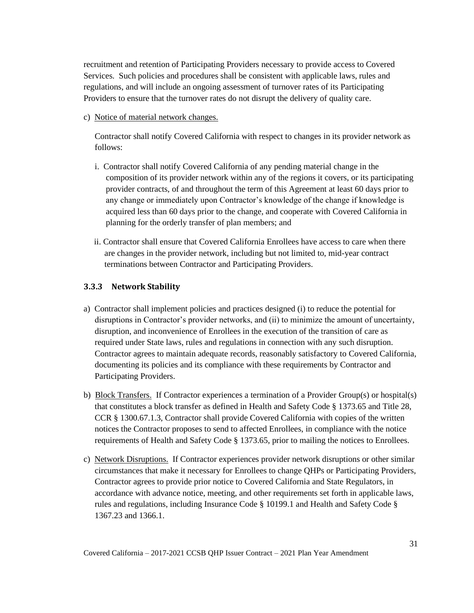recruitment and retention of Participating Providers necessary to provide access to Covered Services. Such policies and procedures shall be consistent with applicable laws, rules and regulations, and will include an ongoing assessment of turnover rates of its Participating Providers to ensure that the turnover rates do not disrupt the delivery of quality care.

c) Notice of material network changes.

Contractor shall notify Covered California with respect to changes in its provider network as follows:

- i. Contractor shall notify Covered California of any pending material change in the composition of its provider network within any of the regions it covers, or its participating provider contracts, of and throughout the term of this Agreement at least 60 days prior to any change or immediately upon Contractor's knowledge of the change if knowledge is acquired less than 60 days prior to the change, and cooperate with Covered California in planning for the orderly transfer of plan members; and
- ii. Contractor shall ensure that Covered California Enrollees have access to care when there are changes in the provider network, including but not limited to, mid-year contract terminations between Contractor and Participating Providers.

#### **3.3.3 Network Stability**

- a) Contractor shall implement policies and practices designed (i) to reduce the potential for disruptions in Contractor's provider networks, and (ii) to minimize the amount of uncertainty, disruption, and inconvenience of Enrollees in the execution of the transition of care as required under State laws, rules and regulations in connection with any such disruption. Contractor agrees to maintain adequate records, reasonably satisfactory to Covered California, documenting its policies and its compliance with these requirements by Contractor and Participating Providers.
- b) Block Transfers. If Contractor experiences a termination of a Provider Group(s) or hospital(s) that constitutes a block transfer as defined in Health and Safety Code § 1373.65 and Title 28, CCR § 1300.67.1.3, Contractor shall provide Covered California with copies of the written notices the Contractor proposes to send to affected Enrollees, in compliance with the notice requirements of Health and Safety Code § 1373.65, prior to mailing the notices to Enrollees.
- c) Network Disruptions. If Contractor experiences provider network disruptions or other similar circumstances that make it necessary for Enrollees to change QHPs or Participating Providers, Contractor agrees to provide prior notice to Covered California and State Regulators, in accordance with advance notice, meeting, and other requirements set forth in applicable laws, rules and regulations, including Insurance Code § 10199.1 and Health and Safety Code § 1367.23 and 1366.1.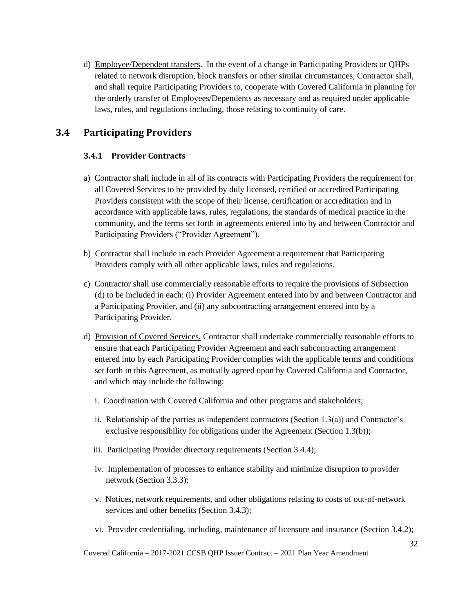d) Employee/Dependent transfers. In the event of a change in Participating Providers or QHPs related to network disruption, block transfers or other similar circumstances, Contractor shall, and shall require Participating Providers to, cooperate with Covered California in planning for the orderly transfer of Employees/Dependents as necessary and as required under applicable laws, rules, and regulations including, those relating to continuity of care.

# **3.4 Participating Providers**

# **3.4.1 Provider Contracts**

- a) Contractor shall include in all of its contracts with Participating Providers the requirement for all Covered Services to be provided by duly licensed, certified or accredited Participating Providers consistent with the scope of their license, certification or accreditation and in accordance with applicable laws, rules, regulations, the standards of medical practice in the community, and the terms set forth in agreements entered into by and between Contractor and Participating Providers ("Provider Agreement").
- b) Contractor shall include in each Provider Agreement a requirement that Participating Providers comply with all other applicable laws, rules and regulations.
- c) Contractor shall use commercially reasonable efforts to require the provisions of Subsection (d) to be included in each: (i) Provider Agreement entered into by and between Contractor and a Participating Provider, and (ii) any subcontracting arrangement entered into by a Participating Provider.
- d) Provision of Covered Services. Contractor shall undertake commercially reasonable efforts to ensure that each Participating Provider Agreement and each subcontracting arrangement entered into by each Participating Provider complies with the applicable terms and conditions set forth in this Agreement, as mutually agreed upon by Covered California and Contractor, and which may include the following:
	- i. Coordination with Covered California and other programs and stakeholders;
	- ii. Relationship of the parties as independent contractors (Section  $1.3(a)$ ) and Contractor's exclusive responsibility for obligations under the Agreement (Section 1.3(b));
	- iii. Participating Provider directory requirements (Section 3.4.4);
	- iv. Implementation of processes to enhance stability and minimize disruption to provider network (Section 3.3.3);
	- v. Notices, network requirements, and other obligations relating to costs of out-of-network services and other benefits (Section 3.4.3);
	- vi. Provider credentialing, including, maintenance of licensure and insurance (Section 3.4.2);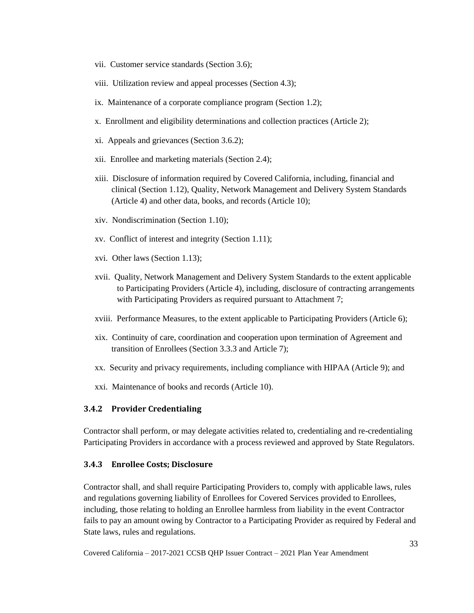- vii. Customer service standards (Section 3.6);
- viii. Utilization review and appeal processes (Section 4.3);
- ix. Maintenance of a corporate compliance program (Section 1.2);
- x. Enrollment and eligibility determinations and collection practices (Article 2);
- xi. Appeals and grievances (Section 3.6.2);
- xii. Enrollee and marketing materials (Section 2.4);
- xiii. Disclosure of information required by Covered California, including, financial and clinical (Section 1.12), Quality, Network Management and Delivery System Standards (Article 4) and other data, books, and records (Article 10);
- xiv. Nondiscrimination (Section 1.10);
- xv. Conflict of interest and integrity (Section 1.11);
- xvi. Other laws (Section 1.13);
- xvii. Quality, Network Management and Delivery System Standards to the extent applicable to Participating Providers (Article 4), including, disclosure of contracting arrangements with Participating Providers as required pursuant to Attachment 7;
- xviii. Performance Measures, to the extent applicable to Participating Providers (Article 6);
- xix. Continuity of care, coordination and cooperation upon termination of Agreement and transition of Enrollees (Section 3.3.3 and Article 7);
- xx. Security and privacy requirements, including compliance with HIPAA (Article 9); and
- xxi. Maintenance of books and records (Article 10).

#### **3.4.2 Provider Credentialing**

Contractor shall perform, or may delegate activities related to, credentialing and re-credentialing Participating Providers in accordance with a process reviewed and approved by State Regulators.

#### **3.4.3 Enrollee Costs; Disclosure**

Contractor shall, and shall require Participating Providers to, comply with applicable laws, rules and regulations governing liability of Enrollees for Covered Services provided to Enrollees, including, those relating to holding an Enrollee harmless from liability in the event Contractor fails to pay an amount owing by Contractor to a Participating Provider as required by Federal and State laws, rules and regulations.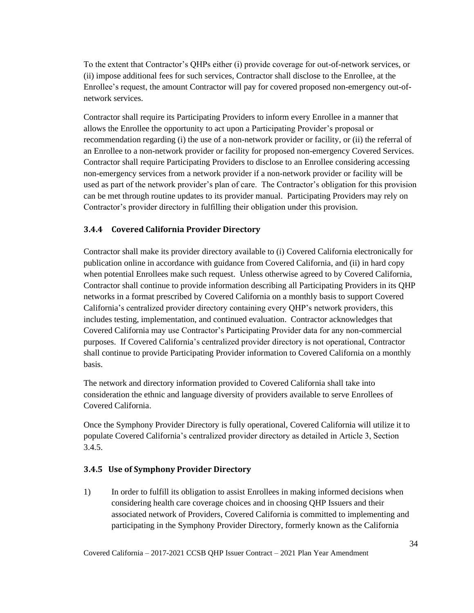To the extent that Contractor's QHPs either (i) provide coverage for out-of-network services, or (ii) impose additional fees for such services, Contractor shall disclose to the Enrollee, at the Enrollee's request, the amount Contractor will pay for covered proposed non-emergency out-ofnetwork services.

Contractor shall require its Participating Providers to inform every Enrollee in a manner that allows the Enrollee the opportunity to act upon a Participating Provider's proposal or recommendation regarding (i) the use of a non-network provider or facility, or (ii) the referral of an Enrollee to a non-network provider or facility for proposed non-emergency Covered Services. Contractor shall require Participating Providers to disclose to an Enrollee considering accessing non-emergency services from a network provider if a non-network provider or facility will be used as part of the network provider's plan of care. The Contractor's obligation for this provision can be met through routine updates to its provider manual. Participating Providers may rely on Contractor's provider directory in fulfilling their obligation under this provision.

# **3.4.4 Covered California Provider Directory**

Contractor shall make its provider directory available to (i) Covered California electronically for publication online in accordance with guidance from Covered California, and (ii) in hard copy when potential Enrollees make such request. Unless otherwise agreed to by Covered California, Contractor shall continue to provide information describing all Participating Providers in its QHP networks in a format prescribed by Covered California on a monthly basis to support Covered California's centralized provider directory containing every QHP's network providers, this includes testing, implementation, and continued evaluation. Contractor acknowledges that Covered California may use Contractor's Participating Provider data for any non-commercial purposes. If Covered California's centralized provider directory is not operational, Contractor shall continue to provide Participating Provider information to Covered California on a monthly basis.

The network and directory information provided to Covered California shall take into consideration the ethnic and language diversity of providers available to serve Enrollees of Covered California.

Once the Symphony Provider Directory is fully operational, Covered California will utilize it to populate Covered California's centralized provider directory as detailed in Article 3, Section 3.4.5.

# **3.4.5 Use of Symphony Provider Directory**

1) In order to fulfill its obligation to assist Enrollees in making informed decisions when considering health care coverage choices and in choosing QHP Issuers and their associated network of Providers, Covered California is committed to implementing and participating in the Symphony Provider Directory, formerly known as the California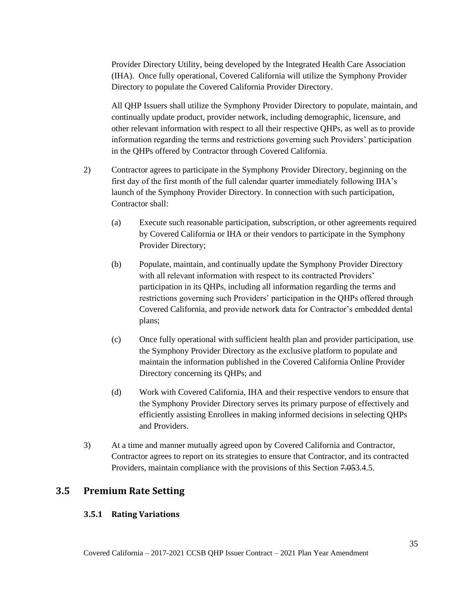Provider Directory Utility, being developed by the Integrated Health Care Association (IHA). Once fully operational, Covered California will utilize the Symphony Provider Directory to populate the Covered California Provider Directory.

All QHP Issuers shall utilize the Symphony Provider Directory to populate, maintain, and continually update product, provider network, including demographic, licensure, and other relevant information with respect to all their respective QHPs, as well as to provide information regarding the terms and restrictions governing such Providers' participation in the QHPs offered by Contractor through Covered California.

- 2) Contractor agrees to participate in the Symphony Provider Directory, beginning on the first day of the first month of the full calendar quarter immediately following IHA's launch of the Symphony Provider Directory. In connection with such participation, Contractor shall:
	- (a) Execute such reasonable participation, subscription, or other agreements required by Covered California or IHA or their vendors to participate in the Symphony Provider Directory;
	- (b) Populate, maintain, and continually update the Symphony Provider Directory with all relevant information with respect to its contracted Providers' participation in its QHPs, including all information regarding the terms and restrictions governing such Providers' participation in the QHPs offered through Covered California, and provide network data for Contractor's embedded dental plans;
	- (c) Once fully operational with sufficient health plan and provider participation, use the Symphony Provider Directory as the exclusive platform to populate and maintain the information published in the Covered California Online Provider Directory concerning its QHPs; and
	- (d) Work with Covered California, IHA and their respective vendors to ensure that the Symphony Provider Directory serves its primary purpose of effectively and efficiently assisting Enrollees in making informed decisions in selecting QHPs and Providers.
- 3) At a time and manner mutually agreed upon by Covered California and Contractor, Contractor agrees to report on its strategies to ensure that Contractor, and its contracted Providers, maintain compliance with the provisions of this Section 7.053.4.5.

# **3.5 Premium Rate Setting**

#### **3.5.1 Rating Variations**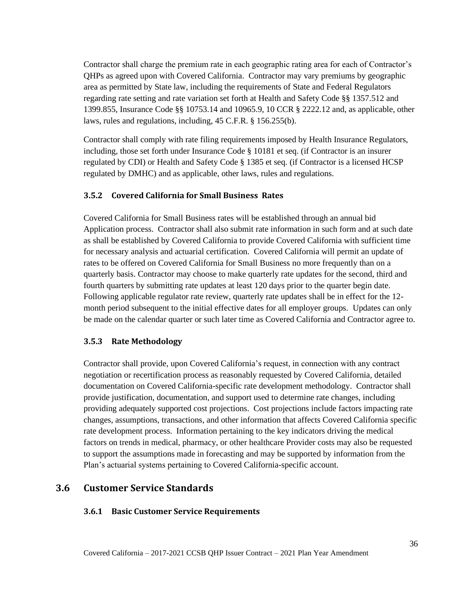Contractor shall charge the premium rate in each geographic rating area for each of Contractor's QHPs as agreed upon with Covered California. Contractor may vary premiums by geographic area as permitted by State law, including the requirements of State and Federal Regulators regarding rate setting and rate variation set forth at Health and Safety Code §§ 1357.512 and 1399.855, Insurance Code §§ 10753.14 and 10965.9, 10 CCR § 2222.12 and, as applicable, other laws, rules and regulations, including, 45 C.F.R. § 156.255(b).

Contractor shall comply with rate filing requirements imposed by Health Insurance Regulators, including, those set forth under Insurance Code § 10181 et seq*.* (if Contractor is an insurer regulated by CDI) or Health and Safety Code § 1385 et seq*.* (if Contractor is a licensed HCSP regulated by DMHC) and as applicable, other laws, rules and regulations.

# **3.5.2 Covered California for Small Business Rates**

Covered California for Small Business rates will be established through an annual bid Application process. Contractor shall also submit rate information in such form and at such date as shall be established by Covered California to provide Covered California with sufficient time for necessary analysis and actuarial certification. Covered California will permit an update of rates to be offered on Covered California for Small Business no more frequently than on a quarterly basis. Contractor may choose to make quarterly rate updates for the second, third and fourth quarters by submitting rate updates at least 120 days prior to the quarter begin date. Following applicable regulator rate review, quarterly rate updates shall be in effect for the 12 month period subsequent to the initial effective dates for all employer groups. Updates can only be made on the calendar quarter or such later time as Covered California and Contractor agree to.

# **3.5.3 Rate Methodology**

Contractor shall provide, upon Covered California's request, in connection with any contract negotiation or recertification process as reasonably requested by Covered California, detailed documentation on Covered California-specific rate development methodology. Contractor shall provide justification, documentation, and support used to determine rate changes, including providing adequately supported cost projections. Cost projections include factors impacting rate changes, assumptions, transactions, and other information that affects Covered California specific rate development process. Information pertaining to the key indicators driving the medical factors on trends in medical, pharmacy, or other healthcare Provider costs may also be requested to support the assumptions made in forecasting and may be supported by information from the Plan's actuarial systems pertaining to Covered California-specific account.

# **3.6 Customer Service Standards**

# **3.6.1 Basic Customer Service Requirements**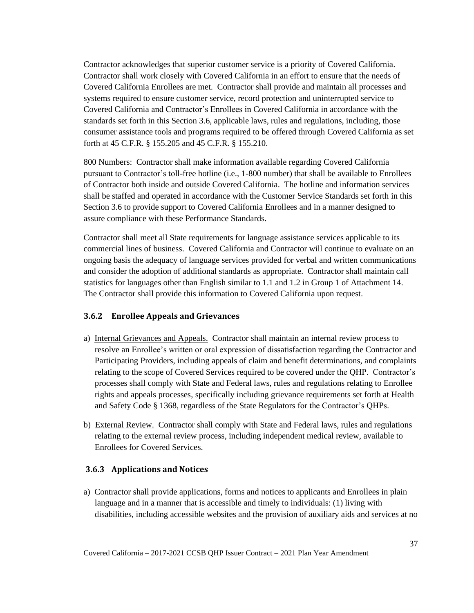Contractor acknowledges that superior customer service is a priority of Covered California. Contractor shall work closely with Covered California in an effort to ensure that the needs of Covered California Enrollees are met. Contractor shall provide and maintain all processes and systems required to ensure customer service, record protection and uninterrupted service to Covered California and Contractor's Enrollees in Covered California in accordance with the standards set forth in this Section 3.6, applicable laws, rules and regulations, including, those consumer assistance tools and programs required to be offered through Covered California as set forth at 45 C.F.R. § 155.205 and 45 C.F.R. § 155.210.

800 Numbers: Contractor shall make information available regarding Covered California pursuant to Contractor's toll-free hotline (i.e., 1-800 number) that shall be available to Enrollees of Contractor both inside and outside Covered California. The hotline and information services shall be staffed and operated in accordance with the Customer Service Standards set forth in this Section 3.6 to provide support to Covered California Enrollees and in a manner designed to assure compliance with these Performance Standards.

Contractor shall meet all State requirements for language assistance services applicable to its commercial lines of business. Covered California and Contractor will continue to evaluate on an ongoing basis the adequacy of language services provided for verbal and written communications and consider the adoption of additional standards as appropriate. Contractor shall maintain call statistics for languages other than English similar to 1.1 and 1.2 in Group 1 of Attachment 14. The Contractor shall provide this information to Covered California upon request.

#### **3.6.2 Enrollee Appeals and Grievances**

- a) Internal Grievances and Appeals. Contractor shall maintain an internal review process to resolve an Enrollee's written or oral expression of dissatisfaction regarding the Contractor and Participating Providers, including appeals of claim and benefit determinations, and complaints relating to the scope of Covered Services required to be covered under the QHP. Contractor's processes shall comply with State and Federal laws, rules and regulations relating to Enrollee rights and appeals processes, specifically including grievance requirements set forth at Health and Safety Code § 1368, regardless of the State Regulators for the Contractor's QHPs.
- b) External Review. Contractor shall comply with State and Federal laws, rules and regulations relating to the external review process, including independent medical review, available to Enrollees for Covered Services.

#### **3.6.3 Applications and Notices**

a) Contractor shall provide applications, forms and notices to applicants and Enrollees in plain language and in a manner that is accessible and timely to individuals: (1) living with disabilities, including accessible websites and the provision of auxiliary aids and services at no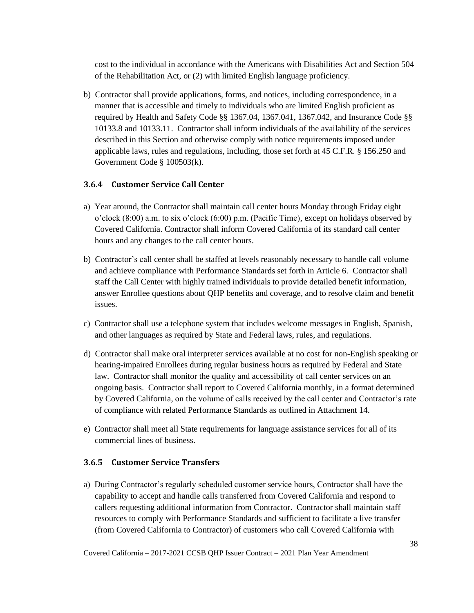cost to the individual in accordance with the Americans with Disabilities Act and Section 504 of the Rehabilitation Act, or (2) with limited English language proficiency.

b) Contractor shall provide applications, forms, and notices, including correspondence, in a manner that is accessible and timely to individuals who are limited English proficient as required by Health and Safety Code §§ 1367.04, 1367.041, 1367.042, and Insurance Code §§ 10133.8 and 10133.11. Contractor shall inform individuals of the availability of the services described in this Section and otherwise comply with notice requirements imposed under applicable laws, rules and regulations, including, those set forth at 45 C.F.R. § 156.250 and Government Code § 100503(k).

# **3.6.4 Customer Service Call Center**

- a) Year around, the Contractor shall maintain call center hours Monday through Friday eight o'clock (8:00) a.m. to six o'clock (6:00) p.m. (Pacific Time), except on holidays observed by Covered California. Contractor shall inform Covered California of its standard call center hours and any changes to the call center hours.
- b) Contractor's call center shall be staffed at levels reasonably necessary to handle call volume and achieve compliance with Performance Standards set forth in Article 6. Contractor shall staff the Call Center with highly trained individuals to provide detailed benefit information, answer Enrollee questions about QHP benefits and coverage, and to resolve claim and benefit issues.
- c) Contractor shall use a telephone system that includes welcome messages in English, Spanish, and other languages as required by State and Federal laws, rules, and regulations.
- d) Contractor shall make oral interpreter services available at no cost for non-English speaking or hearing-impaired Enrollees during regular business hours as required by Federal and State law. Contractor shall monitor the quality and accessibility of call center services on an ongoing basis. Contractor shall report to Covered California monthly, in a format determined by Covered California, on the volume of calls received by the call center and Contractor's rate of compliance with related Performance Standards as outlined in Attachment 14.
- e) Contractor shall meet all State requirements for language assistance services for all of its commercial lines of business.

#### **3.6.5 Customer Service Transfers**

a) During Contractor's regularly scheduled customer service hours, Contractor shall have the capability to accept and handle calls transferred from Covered California and respond to callers requesting additional information from Contractor. Contractor shall maintain staff resources to comply with Performance Standards and sufficient to facilitate a live transfer (from Covered California to Contractor) of customers who call Covered California with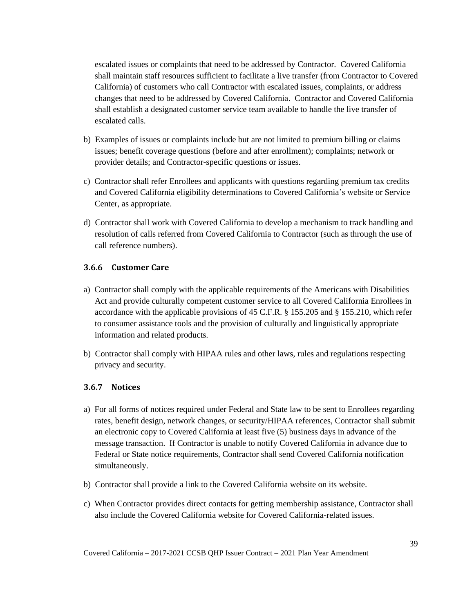escalated issues or complaints that need to be addressed by Contractor. Covered California shall maintain staff resources sufficient to facilitate a live transfer (from Contractor to Covered California) of customers who call Contractor with escalated issues, complaints, or address changes that need to be addressed by Covered California. Contractor and Covered California shall establish a designated customer service team available to handle the live transfer of escalated calls.

- b) Examples of issues or complaints include but are not limited to premium billing or claims issues; benefit coverage questions (before and after enrollment); complaints; network or provider details; and Contractor-specific questions or issues.
- c) Contractor shall refer Enrollees and applicants with questions regarding premium tax credits and Covered California eligibility determinations to Covered California's website or Service Center, as appropriate.
- d) Contractor shall work with Covered California to develop a mechanism to track handling and resolution of calls referred from Covered California to Contractor (such as through the use of call reference numbers).

#### **3.6.6 Customer Care**

- a) Contractor shall comply with the applicable requirements of the Americans with Disabilities Act and provide culturally competent customer service to all Covered California Enrollees in accordance with the applicable provisions of 45 C.F.R. § 155.205 and § 155.210, which refer to consumer assistance tools and the provision of culturally and linguistically appropriate information and related products.
- b) Contractor shall comply with HIPAA rules and other laws, rules and regulations respecting privacy and security.

#### **3.6.7 Notices**

- a) For all forms of notices required under Federal and State law to be sent to Enrollees regarding rates, benefit design, network changes, or security/HIPAA references, Contractor shall submit an electronic copy to Covered California at least five (5) business days in advance of the message transaction. If Contractor is unable to notify Covered California in advance due to Federal or State notice requirements, Contractor shall send Covered California notification simultaneously.
- b) Contractor shall provide a link to the Covered California website on its website.
- c) When Contractor provides direct contacts for getting membership assistance, Contractor shall also include the Covered California website for Covered California-related issues.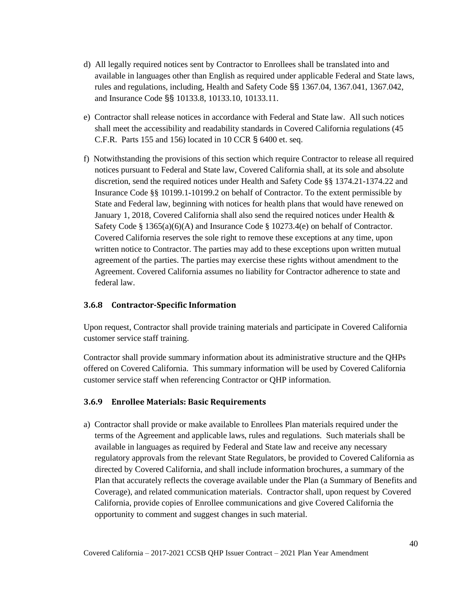- d) All legally required notices sent by Contractor to Enrollees shall be translated into and available in languages other than English as required under applicable Federal and State laws, rules and regulations, including, Health and Safety Code §§ 1367.04, 1367.041, 1367.042, and Insurance Code §§ 10133.8, 10133.10, 10133.11.
- e) Contractor shall release notices in accordance with Federal and State law. All such notices shall meet the accessibility and readability standards in Covered California regulations (45 C.F.R. Parts 155 and 156) located in 10 CCR § 6400 et. seq.
- f) Notwithstanding the provisions of this section which require Contractor to release all required notices pursuant to Federal and State law, Covered California shall, at its sole and absolute discretion, send the required notices under Health and Safety Code §§ 1374.21-1374.22 and Insurance Code §§ 10199.1-10199.2 on behalf of Contractor. To the extent permissible by State and Federal law, beginning with notices for health plans that would have renewed on January 1, 2018, Covered California shall also send the required notices under Health & Safety Code § 1365(a)(6)(A) and Insurance Code § 10273.4(e) on behalf of Contractor. Covered California reserves the sole right to remove these exceptions at any time, upon written notice to Contractor. The parties may add to these exceptions upon written mutual agreement of the parties. The parties may exercise these rights without amendment to the Agreement. Covered California assumes no liability for Contractor adherence to state and federal law.

#### **3.6.8 Contractor-Specific Information**

Upon request, Contractor shall provide training materials and participate in Covered California customer service staff training.

Contractor shall provide summary information about its administrative structure and the QHPs offered on Covered California. This summary information will be used by Covered California customer service staff when referencing Contractor or QHP information.

#### **3.6.9 Enrollee Materials: Basic Requirements**

a) Contractor shall provide or make available to Enrollees Plan materials required under the terms of the Agreement and applicable laws, rules and regulations. Such materials shall be available in languages as required by Federal and State law and receive any necessary regulatory approvals from the relevant State Regulators, be provided to Covered California as directed by Covered California, and shall include information brochures, a summary of the Plan that accurately reflects the coverage available under the Plan (a Summary of Benefits and Coverage), and related communication materials. Contractor shall, upon request by Covered California, provide copies of Enrollee communications and give Covered California the opportunity to comment and suggest changes in such material.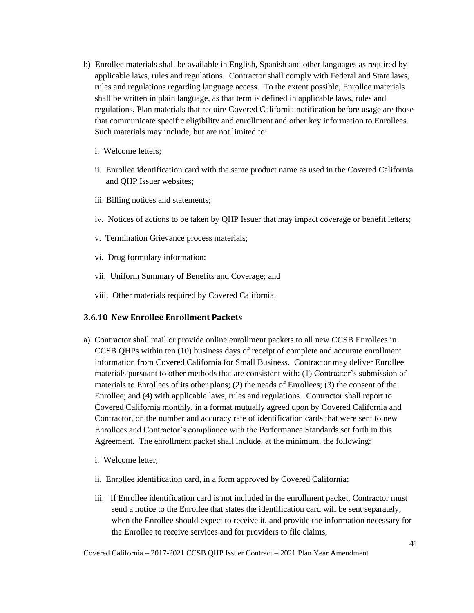- b) Enrollee materials shall be available in English, Spanish and other languages as required by applicable laws, rules and regulations. Contractor shall comply with Federal and State laws, rules and regulations regarding language access. To the extent possible, Enrollee materials shall be written in plain language, as that term is defined in applicable laws, rules and regulations. Plan materials that require Covered California notification before usage are those that communicate specific eligibility and enrollment and other key information to Enrollees. Such materials may include, but are not limited to:
	- i. Welcome letters;
	- ii. Enrollee identification card with the same product name as used in the Covered California and QHP Issuer websites;
	- iii. Billing notices and statements;
	- iv. Notices of actions to be taken by QHP Issuer that may impact coverage or benefit letters;
	- v. Termination Grievance process materials;
	- vi. Drug formulary information;
	- vii. Uniform Summary of Benefits and Coverage; and
	- viii. Other materials required by Covered California.

#### **3.6.10 New Enrollee Enrollment Packets**

- a) Contractor shall mail or provide online enrollment packets to all new CCSB Enrollees in CCSB QHPs within ten (10) business days of receipt of complete and accurate enrollment information from Covered California for Small Business. Contractor may deliver Enrollee materials pursuant to other methods that are consistent with: (1) Contractor's submission of materials to Enrollees of its other plans; (2) the needs of Enrollees; (3) the consent of the Enrollee; and (4) with applicable laws, rules and regulations. Contractor shall report to Covered California monthly, in a format mutually agreed upon by Covered California and Contractor, on the number and accuracy rate of identification cards that were sent to new Enrollees and Contractor's compliance with the Performance Standards set forth in this Agreement. The enrollment packet shall include, at the minimum, the following:
	- i. Welcome letter;
	- ii. Enrollee identification card, in a form approved by Covered California;
	- iii. If Enrollee identification card is not included in the enrollment packet, Contractor must send a notice to the Enrollee that states the identification card will be sent separately, when the Enrollee should expect to receive it, and provide the information necessary for the Enrollee to receive services and for providers to file claims;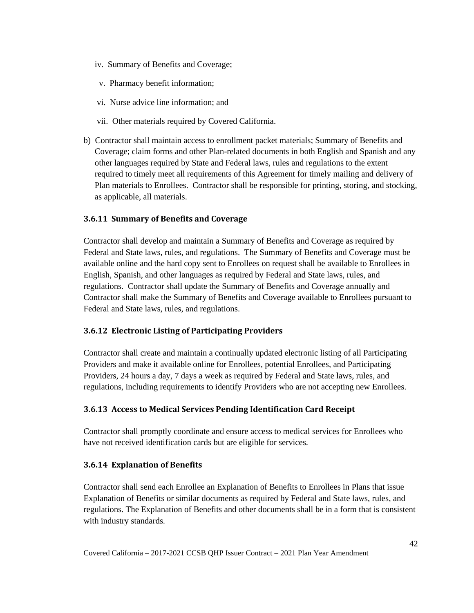- iv. Summary of Benefits and Coverage;
- v. Pharmacy benefit information;
- vi. Nurse advice line information; and
- vii. Other materials required by Covered California.
- b) Contractor shall maintain access to enrollment packet materials; Summary of Benefits and Coverage; claim forms and other Plan-related documents in both English and Spanish and any other languages required by State and Federal laws, rules and regulations to the extent required to timely meet all requirements of this Agreement for timely mailing and delivery of Plan materials to Enrollees. Contractor shall be responsible for printing, storing, and stocking, as applicable, all materials.

#### **3.6.11 Summary of Benefits and Coverage**

Contractor shall develop and maintain a Summary of Benefits and Coverage as required by Federal and State laws, rules, and regulations. The Summary of Benefits and Coverage must be available online and the hard copy sent to Enrollees on request shall be available to Enrollees in English, Spanish, and other languages as required by Federal and State laws, rules, and regulations. Contractor shall update the Summary of Benefits and Coverage annually and Contractor shall make the Summary of Benefits and Coverage available to Enrollees pursuant to Federal and State laws, rules, and regulations.

#### **3.6.12 Electronic Listing of Participating Providers**

Contractor shall create and maintain a continually updated electronic listing of all Participating Providers and make it available online for Enrollees, potential Enrollees, and Participating Providers, 24 hours a day, 7 days a week as required by Federal and State laws, rules, and regulations, including requirements to identify Providers who are not accepting new Enrollees.

#### **3.6.13 Access to Medical Services Pending Identification Card Receipt**

Contractor shall promptly coordinate and ensure access to medical services for Enrollees who have not received identification cards but are eligible for services.

#### **3.6.14 Explanation of Benefits**

Contractor shall send each Enrollee an Explanation of Benefits to Enrollees in Plans that issue Explanation of Benefits or similar documents as required by Federal and State laws, rules, and regulations. The Explanation of Benefits and other documents shall be in a form that is consistent with industry standards.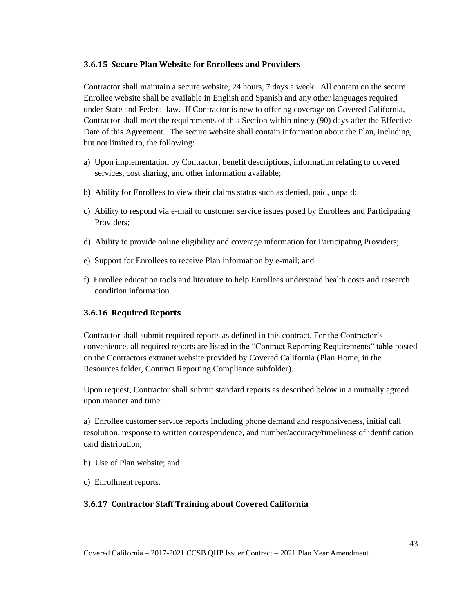#### **3.6.15 Secure Plan Website for Enrollees and Providers**

Contractor shall maintain a secure website, 24 hours, 7 days a week. All content on the secure Enrollee website shall be available in English and Spanish and any other languages required under State and Federal law. If Contractor is new to offering coverage on Covered California, Contractor shall meet the requirements of this Section within ninety (90) days after the Effective Date of this Agreement. The secure website shall contain information about the Plan, including, but not limited to, the following:

- a) Upon implementation by Contractor, benefit descriptions, information relating to covered services, cost sharing, and other information available;
- b) Ability for Enrollees to view their claims status such as denied, paid, unpaid;
- c) Ability to respond via e-mail to customer service issues posed by Enrollees and Participating Providers;
- d) Ability to provide online eligibility and coverage information for Participating Providers;
- e) Support for Enrollees to receive Plan information by e-mail; and
- f) Enrollee education tools and literature to help Enrollees understand health costs and research condition information.

# **3.6.16 Required Reports**

Contractor shall submit required reports as defined in this contract. For the Contractor's convenience, all required reports are listed in the "Contract Reporting Requirements" table posted on the Contractors extranet website provided by Covered California (Plan Home, in the Resources folder, Contract Reporting Compliance subfolder).

Upon request, Contractor shall submit standard reports as described below in a mutually agreed upon manner and time:

a) Enrollee customer service reports including phone demand and responsiveness, initial call resolution, response to written correspondence, and number/accuracy/timeliness of identification card distribution;

- b) Use of Plan website; and
- c) Enrollment reports.

# **3.6.17 Contractor Staff Training about Covered California**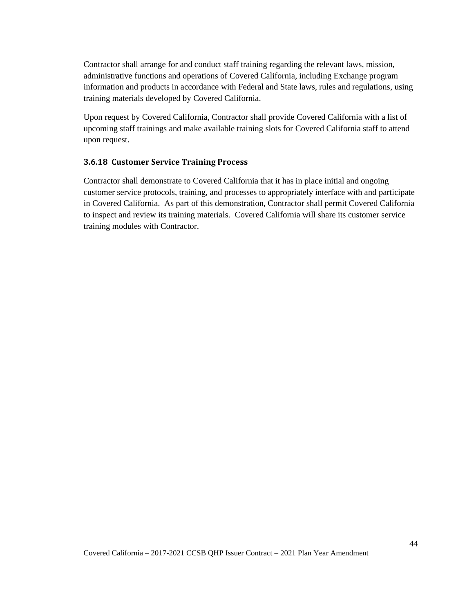Contractor shall arrange for and conduct staff training regarding the relevant laws, mission, administrative functions and operations of Covered California, including Exchange program information and products in accordance with Federal and State laws, rules and regulations, using training materials developed by Covered California.

Upon request by Covered California, Contractor shall provide Covered California with a list of upcoming staff trainings and make available training slots for Covered California staff to attend upon request.

#### **3.6.18 Customer Service Training Process**

Contractor shall demonstrate to Covered California that it has in place initial and ongoing customer service protocols, training, and processes to appropriately interface with and participate in Covered California. As part of this demonstration, Contractor shall permit Covered California to inspect and review its training materials. Covered California will share its customer service training modules with Contractor.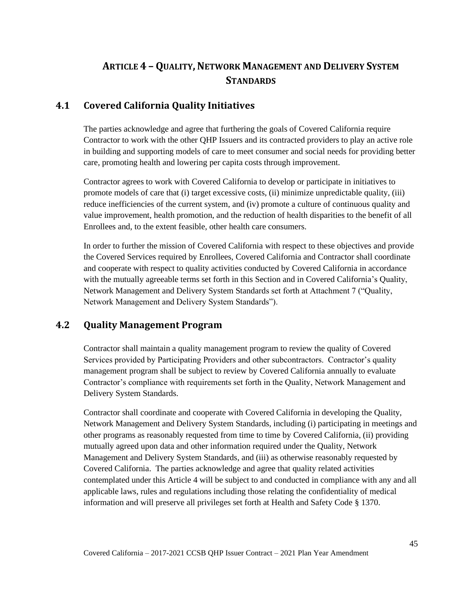# **ARTICLE 4 – QUALITY,NETWORK MANAGEMENT AND DELIVERY SYSTEM STANDARDS**

# **4.1 Covered California Quality Initiatives**

The parties acknowledge and agree that furthering the goals of Covered California require Contractor to work with the other QHP Issuers and its contracted providers to play an active role in building and supporting models of care to meet consumer and social needs for providing better care, promoting health and lowering per capita costs through improvement.

Contractor agrees to work with Covered California to develop or participate in initiatives to promote models of care that (i) target excessive costs, (ii) minimize unpredictable quality, (iii) reduce inefficiencies of the current system, and (iv) promote a culture of continuous quality and value improvement, health promotion, and the reduction of health disparities to the benefit of all Enrollees and, to the extent feasible, other health care consumers.

In order to further the mission of Covered California with respect to these objectives and provide the Covered Services required by Enrollees, Covered California and Contractor shall coordinate and cooperate with respect to quality activities conducted by Covered California in accordance with the mutually agreeable terms set forth in this Section and in Covered California's Quality, Network Management and Delivery System Standards set forth at Attachment 7 ("Quality, Network Management and Delivery System Standards").

# **4.2 Quality Management Program**

Contractor shall maintain a quality management program to review the quality of Covered Services provided by Participating Providers and other subcontractors. Contractor's quality management program shall be subject to review by Covered California annually to evaluate Contractor's compliance with requirements set forth in the Quality, Network Management and Delivery System Standards.

Contractor shall coordinate and cooperate with Covered California in developing the Quality, Network Management and Delivery System Standards, including (i) participating in meetings and other programs as reasonably requested from time to time by Covered California, (ii) providing mutually agreed upon data and other information required under the Quality, Network Management and Delivery System Standards, and (iii) as otherwise reasonably requested by Covered California. The parties acknowledge and agree that quality related activities contemplated under this Article 4 will be subject to and conducted in compliance with any and all applicable laws, rules and regulations including those relating the confidentiality of medical information and will preserve all privileges set forth at Health and Safety Code § 1370.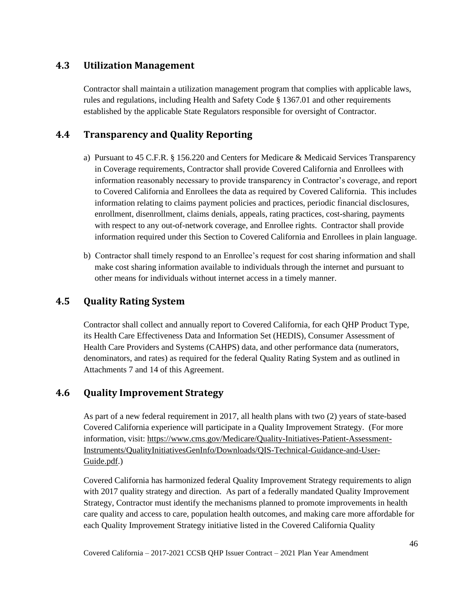# **4.3 Utilization Management**

Contractor shall maintain a utilization management program that complies with applicable laws, rules and regulations, including Health and Safety Code § 1367.01 and other requirements established by the applicable State Regulators responsible for oversight of Contractor.

# **4.4 Transparency and Quality Reporting**

- a) Pursuant to 45 C.F.R. § 156.220 and Centers for Medicare & Medicaid Services Transparency in Coverage requirements, Contractor shall provide Covered California and Enrollees with information reasonably necessary to provide transparency in Contractor's coverage, and report to Covered California and Enrollees the data as required by Covered California. This includes information relating to claims payment policies and practices, periodic financial disclosures, enrollment, disenrollment, claims denials, appeals, rating practices, cost-sharing, payments with respect to any out-of-network coverage, and Enrollee rights. Contractor shall provide information required under this Section to Covered California and Enrollees in plain language.
- b) Contractor shall timely respond to an Enrollee's request for cost sharing information and shall make cost sharing information available to individuals through the internet and pursuant to other means for individuals without internet access in a timely manner.

# **4.5 Quality Rating System**

Contractor shall collect and annually report to Covered California, for each QHP Product Type, its Health Care Effectiveness Data and Information Set (HEDIS), Consumer Assessment of Health Care Providers and Systems (CAHPS) data, and other performance data (numerators, denominators, and rates) as required for the federal Quality Rating System and as outlined in Attachments 7 and 14 of this Agreement.

# **4.6 Quality Improvement Strategy**

As part of a new federal requirement in 2017, all health plans with two (2) years of state-based Covered California experience will participate in a Quality Improvement Strategy. (For more information, visit: [https://www.cms.gov/Medicare/Quality-Initiatives-Patient-Assessment-](https://www.cms.gov/Medicare/Quality-Initiatives-Patient-Assessment-Instruments/QualityInitiativesGenInfo/Downloads/QIS-Technical-Guidance-and-User-Guide.pdf)[Instruments/QualityInitiativesGenInfo/Downloads/QIS-Technical-Guidance-and-User-](https://www.cms.gov/Medicare/Quality-Initiatives-Patient-Assessment-Instruments/QualityInitiativesGenInfo/Downloads/QIS-Technical-Guidance-and-User-Guide.pdf)[Guide.pdf.](https://www.cms.gov/Medicare/Quality-Initiatives-Patient-Assessment-Instruments/QualityInitiativesGenInfo/Downloads/QIS-Technical-Guidance-and-User-Guide.pdf))

Covered California has harmonized federal Quality Improvement Strategy requirements to align with 2017 quality strategy and direction. As part of a federally mandated Quality Improvement Strategy, Contractor must identify the mechanisms planned to promote improvements in health care quality and access to care, population health outcomes, and making care more affordable for each Quality Improvement Strategy initiative listed in the Covered California Quality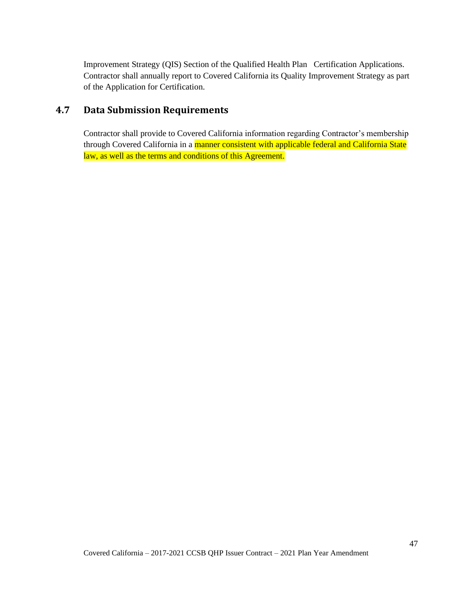Improvement Strategy (QIS) Section of the Qualified Health Plan Certification Applications. Contractor shall annually report to Covered California its Quality Improvement Strategy as part of the Application for Certification.

# **4.7 Data Submission Requirements**

Contractor shall provide to Covered California information regarding Contractor's membership through Covered California in a manner consistent with applicable federal and California State law, as well as the terms and conditions of this Agreement.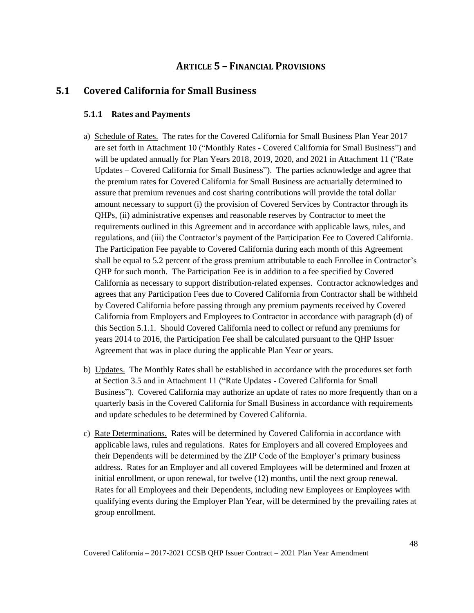# **ARTICLE 5 – FINANCIAL PROVISIONS**

# **5.1 Covered California for Small Business**

#### **5.1.1 Rates and Payments**

- a) Schedule of Rates. The rates for the Covered California for Small Business Plan Year 2017 are set forth in Attachment 10 ("Monthly Rates - Covered California for Small Business") and will be updated annually for Plan Years 2018, 2019, 2020, and 2021 in Attachment 11 ("Rate Updates – Covered California for Small Business"). The parties acknowledge and agree that the premium rates for Covered California for Small Business are actuarially determined to assure that premium revenues and cost sharing contributions will provide the total dollar amount necessary to support (i) the provision of Covered Services by Contractor through its QHPs, (ii) administrative expenses and reasonable reserves by Contractor to meet the requirements outlined in this Agreement and in accordance with applicable laws, rules, and regulations, and (iii) the Contractor's payment of the Participation Fee to Covered California. The Participation Fee payable to Covered California during each month of this Agreement shall be equal to 5.2 percent of the gross premium attributable to each Enrollee in Contractor's QHP for such month. The Participation Fee is in addition to a fee specified by Covered California as necessary to support distribution-related expenses. Contractor acknowledges and agrees that any Participation Fees due to Covered California from Contractor shall be withheld by Covered California before passing through any premium payments received by Covered California from Employers and Employees to Contractor in accordance with paragraph (d) of this Section 5.1.1. Should Covered California need to collect or refund any premiums for years 2014 to 2016, the Participation Fee shall be calculated pursuant to the QHP Issuer Agreement that was in place during the applicable Plan Year or years.
- b) Updates. The Monthly Rates shall be established in accordance with the procedures set forth at Section 3.5 and in Attachment 11 ("Rate Updates - Covered California for Small Business"). Covered California may authorize an update of rates no more frequently than on a quarterly basis in the Covered California for Small Business in accordance with requirements and update schedules to be determined by Covered California.
- c) Rate Determinations. Rates will be determined by Covered California in accordance with applicable laws, rules and regulations. Rates for Employers and all covered Employees and their Dependents will be determined by the ZIP Code of the Employer's primary business address. Rates for an Employer and all covered Employees will be determined and frozen at initial enrollment, or upon renewal, for twelve (12) months, until the next group renewal. Rates for all Employees and their Dependents, including new Employees or Employees with qualifying events during the Employer Plan Year, will be determined by the prevailing rates at group enrollment.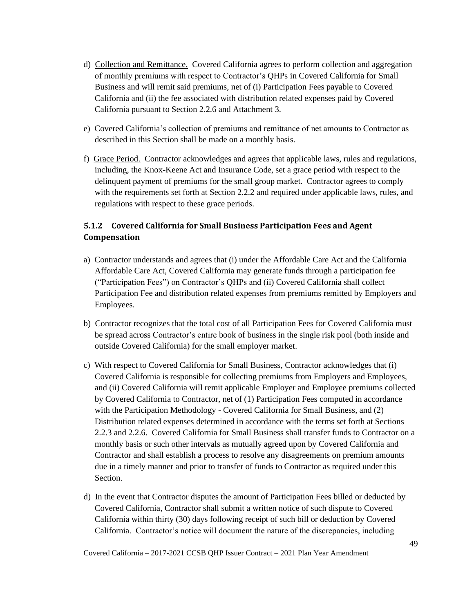- d) Collection and Remittance. Covered California agrees to perform collection and aggregation of monthly premiums with respect to Contractor's QHPs in Covered California for Small Business and will remit said premiums, net of (i) Participation Fees payable to Covered California and (ii) the fee associated with distribution related expenses paid by Covered California pursuant to Section 2.2.6 and Attachment 3.
- e) Covered California's collection of premiums and remittance of net amounts to Contractor as described in this Section shall be made on a monthly basis.
- f) Grace Period. Contractor acknowledges and agrees that applicable laws, rules and regulations, including, the Knox-Keene Act and Insurance Code, set a grace period with respect to the delinquent payment of premiums for the small group market. Contractor agrees to comply with the requirements set forth at Section 2.2.2 and required under applicable laws, rules, and regulations with respect to these grace periods.

# **5.1.2 Covered California for Small Business Participation Fees and Agent Compensation**

- a) Contractor understands and agrees that (i) under the Affordable Care Act and the California Affordable Care Act, Covered California may generate funds through a participation fee ("Participation Fees") on Contractor's QHPs and (ii) Covered California shall collect Participation Fee and distribution related expenses from premiums remitted by Employers and Employees.
- b) Contractor recognizes that the total cost of all Participation Fees for Covered California must be spread across Contractor's entire book of business in the single risk pool (both inside and outside Covered California) for the small employer market.
- c) With respect to Covered California for Small Business, Contractor acknowledges that (i) Covered California is responsible for collecting premiums from Employers and Employees, and (ii) Covered California will remit applicable Employer and Employee premiums collected by Covered California to Contractor, net of (1) Participation Fees computed in accordance with the Participation Methodology - Covered California for Small Business, and (2) Distribution related expenses determined in accordance with the terms set forth at Sections 2.2.3 and 2.2.6. Covered California for Small Business shall transfer funds to Contractor on a monthly basis or such other intervals as mutually agreed upon by Covered California and Contractor and shall establish a process to resolve any disagreements on premium amounts due in a timely manner and prior to transfer of funds to Contractor as required under this Section.
- d) In the event that Contractor disputes the amount of Participation Fees billed or deducted by Covered California, Contractor shall submit a written notice of such dispute to Covered California within thirty (30) days following receipt of such bill or deduction by Covered California. Contractor's notice will document the nature of the discrepancies, including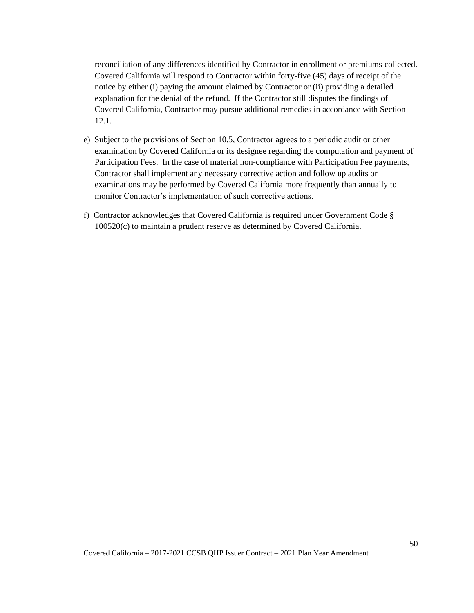reconciliation of any differences identified by Contractor in enrollment or premiums collected. Covered California will respond to Contractor within forty-five (45) days of receipt of the notice by either (i) paying the amount claimed by Contractor or (ii) providing a detailed explanation for the denial of the refund. If the Contractor still disputes the findings of Covered California, Contractor may pursue additional remedies in accordance with Section 12.1.

- e) Subject to the provisions of Section 10.5, Contractor agrees to a periodic audit or other examination by Covered California or its designee regarding the computation and payment of Participation Fees. In the case of material non-compliance with Participation Fee payments, Contractor shall implement any necessary corrective action and follow up audits or examinations may be performed by Covered California more frequently than annually to monitor Contractor's implementation of such corrective actions.
- f) Contractor acknowledges that Covered California is required under Government Code § 100520(c) to maintain a prudent reserve as determined by Covered California.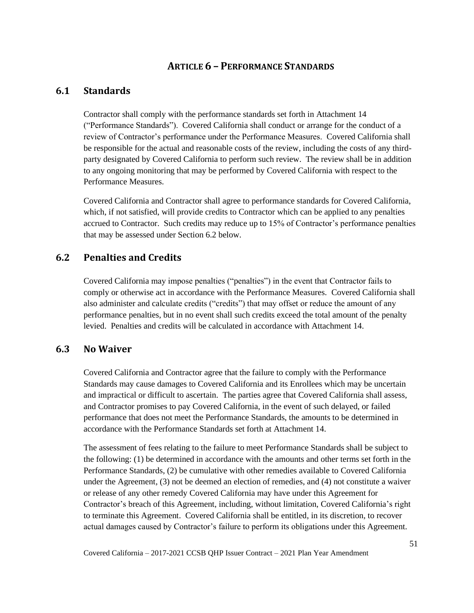# **ARTICLE 6 – PERFORMANCE STANDARDS**

# **6.1 Standards**

Contractor shall comply with the performance standards set forth in Attachment 14 ("Performance Standards"). Covered California shall conduct or arrange for the conduct of a review of Contractor's performance under the Performance Measures. Covered California shall be responsible for the actual and reasonable costs of the review, including the costs of any thirdparty designated by Covered California to perform such review. The review shall be in addition to any ongoing monitoring that may be performed by Covered California with respect to the Performance Measures.

Covered California and Contractor shall agree to performance standards for Covered California, which, if not satisfied, will provide credits to Contractor which can be applied to any penalties accrued to Contractor. Such credits may reduce up to 15% of Contractor's performance penalties that may be assessed under Section 6.2 below.

# **6.2 Penalties and Credits**

Covered California may impose penalties ("penalties") in the event that Contractor fails to comply or otherwise act in accordance with the Performance Measures. Covered California shall also administer and calculate credits ("credits") that may offset or reduce the amount of any performance penalties, but in no event shall such credits exceed the total amount of the penalty levied. Penalties and credits will be calculated in accordance with Attachment 14.

#### **6.3 No Waiver**

Covered California and Contractor agree that the failure to comply with the Performance Standards may cause damages to Covered California and its Enrollees which may be uncertain and impractical or difficult to ascertain. The parties agree that Covered California shall assess, and Contractor promises to pay Covered California, in the event of such delayed, or failed performance that does not meet the Performance Standards, the amounts to be determined in accordance with the Performance Standards set forth at Attachment 14.

The assessment of fees relating to the failure to meet Performance Standards shall be subject to the following: (1) be determined in accordance with the amounts and other terms set forth in the Performance Standards, (2) be cumulative with other remedies available to Covered California under the Agreement, (3) not be deemed an election of remedies, and (4) not constitute a waiver or release of any other remedy Covered California may have under this Agreement for Contractor's breach of this Agreement, including, without limitation, Covered California's right to terminate this Agreement. Covered California shall be entitled, in its discretion, to recover actual damages caused by Contractor's failure to perform its obligations under this Agreement.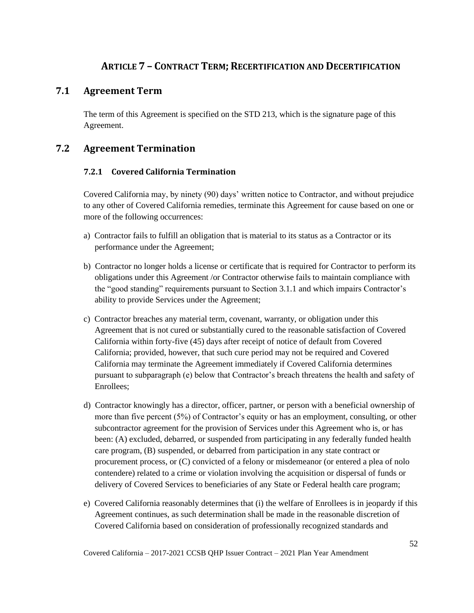# **ARTICLE 7 – CONTRACT TERM; RECERTIFICATION AND DECERTIFICATION**

# **7.1 Agreement Term**

The term of this Agreement is specified on the STD 213, which is the signature page of this Agreement.

# **7.2 Agreement Termination**

# **7.2.1 Covered California Termination**

Covered California may, by ninety (90) days' written notice to Contractor, and without prejudice to any other of Covered California remedies, terminate this Agreement for cause based on one or more of the following occurrences:

- a) Contractor fails to fulfill an obligation that is material to its status as a Contractor or its performance under the Agreement;
- b) Contractor no longer holds a license or certificate that is required for Contractor to perform its obligations under this Agreement /or Contractor otherwise fails to maintain compliance with the "good standing" requirements pursuant to Section 3.1.1 and which impairs Contractor's ability to provide Services under the Agreement;
- c) Contractor breaches any material term, covenant, warranty, or obligation under this Agreement that is not cured or substantially cured to the reasonable satisfaction of Covered California within forty-five (45) days after receipt of notice of default from Covered California; provided, however, that such cure period may not be required and Covered California may terminate the Agreement immediately if Covered California determines pursuant to subparagraph (e) below that Contractor's breach threatens the health and safety of Enrollees;
- d) Contractor knowingly has a director, officer, partner, or person with a beneficial ownership of more than five percent (5%) of Contractor's equity or has an employment, consulting, or other subcontractor agreement for the provision of Services under this Agreement who is, or has been: (A) excluded, debarred, or suspended from participating in any federally funded health care program, (B) suspended, or debarred from participation in any state contract or procurement process, or (C) convicted of a felony or misdemeanor (or entered a plea of nolo contendere) related to a crime or violation involving the acquisition or dispersal of funds or delivery of Covered Services to beneficiaries of any State or Federal health care program;
- e) Covered California reasonably determines that (i) the welfare of Enrollees is in jeopardy if this Agreement continues, as such determination shall be made in the reasonable discretion of Covered California based on consideration of professionally recognized standards and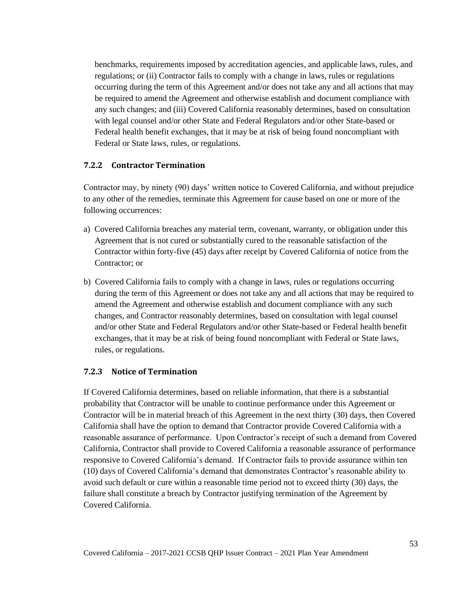benchmarks, requirements imposed by accreditation agencies, and applicable laws, rules, and regulations; or (ii) Contractor fails to comply with a change in laws, rules or regulations occurring during the term of this Agreement and/or does not take any and all actions that may be required to amend the Agreement and otherwise establish and document compliance with any such changes; and (iii) Covered California reasonably determines, based on consultation with legal counsel and/or other State and Federal Regulators and/or other State-based or Federal health benefit exchanges, that it may be at risk of being found noncompliant with Federal or State laws, rules, or regulations.

#### **7.2.2 Contractor Termination**

Contractor may, by ninety (90) days' written notice to Covered California, and without prejudice to any other of the remedies, terminate this Agreement for cause based on one or more of the following occurrences:

- a) Covered California breaches any material term, covenant, warranty, or obligation under this Agreement that is not cured or substantially cured to the reasonable satisfaction of the Contractor within forty-five (45) days after receipt by Covered California of notice from the Contractor; or
- b) Covered California fails to comply with a change in laws, rules or regulations occurring during the term of this Agreement or does not take any and all actions that may be required to amend the Agreement and otherwise establish and document compliance with any such changes, and Contractor reasonably determines, based on consultation with legal counsel and/or other State and Federal Regulators and/or other State-based or Federal health benefit exchanges, that it may be at risk of being found noncompliant with Federal or State laws, rules, or regulations.

#### **7.2.3 Notice of Termination**

If Covered California determines, based on reliable information, that there is a substantial probability that Contractor will be unable to continue performance under this Agreement or Contractor will be in material breach of this Agreement in the next thirty (30) days, then Covered California shall have the option to demand that Contractor provide Covered California with a reasonable assurance of performance. Upon Contractor's receipt of such a demand from Covered California, Contractor shall provide to Covered California a reasonable assurance of performance responsive to Covered California's demand. If Contractor fails to provide assurance within ten (10) days of Covered California's demand that demonstrates Contractor's reasonable ability to avoid such default or cure within a reasonable time period not to exceed thirty (30) days, the failure shall constitute a breach by Contractor justifying termination of the Agreement by Covered California.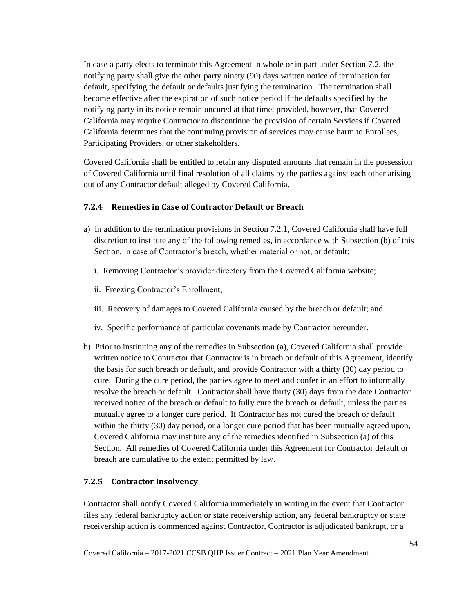In case a party elects to terminate this Agreement in whole or in part under Section 7.2, the notifying party shall give the other party ninety (90) days written notice of termination for default, specifying the default or defaults justifying the termination. The termination shall become effective after the expiration of such notice period if the defaults specified by the notifying party in its notice remain uncured at that time; provided, however, that Covered California may require Contractor to discontinue the provision of certain Services if Covered California determines that the continuing provision of services may cause harm to Enrollees, Participating Providers, or other stakeholders.

Covered California shall be entitled to retain any disputed amounts that remain in the possession of Covered California until final resolution of all claims by the parties against each other arising out of any Contractor default alleged by Covered California.

#### **7.2.4 Remedies in Case of Contractor Default or Breach**

- a) In addition to the termination provisions in Section 7.2.1, Covered California shall have full discretion to institute any of the following remedies, in accordance with Subsection (b) of this Section, in case of Contractor's breach, whether material or not, or default:
	- i. Removing Contractor's provider directory from the Covered California website;
	- ii. Freezing Contractor's Enrollment;
	- iii. Recovery of damages to Covered California caused by the breach or default; and
	- iv. Specific performance of particular covenants made by Contractor hereunder.
- b) Prior to instituting any of the remedies in Subsection (a), Covered California shall provide written notice to Contractor that Contractor is in breach or default of this Agreement, identify the basis for such breach or default, and provide Contractor with a thirty (30) day period to cure. During the cure period, the parties agree to meet and confer in an effort to informally resolve the breach or default. Contractor shall have thirty (30) days from the date Contractor received notice of the breach or default to fully cure the breach or default, unless the parties mutually agree to a longer cure period. If Contractor has not cured the breach or default within the thirty (30) day period, or a longer cure period that has been mutually agreed upon, Covered California may institute any of the remedies identified in Subsection (a) of this Section. All remedies of Covered California under this Agreement for Contractor default or breach are cumulative to the extent permitted by law.

#### **7.2.5 Contractor Insolvency**

Contractor shall notify Covered California immediately in writing in the event that Contractor files any federal bankruptcy action or state receivership action, any federal bankruptcy or state receivership action is commenced against Contractor, Contractor is adjudicated bankrupt, or a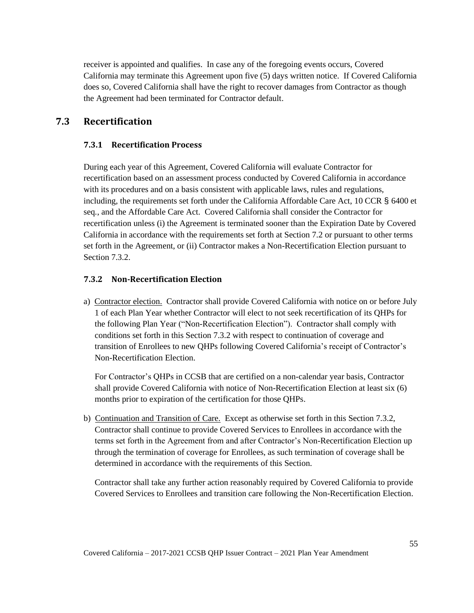receiver is appointed and qualifies. In case any of the foregoing events occurs, Covered California may terminate this Agreement upon five (5) days written notice. If Covered California does so, Covered California shall have the right to recover damages from Contractor as though the Agreement had been terminated for Contractor default.

# **7.3 Recertification**

### **7.3.1 Recertification Process**

During each year of this Agreement, Covered California will evaluate Contractor for recertification based on an assessment process conducted by Covered California in accordance with its procedures and on a basis consistent with applicable laws, rules and regulations, including, the requirements set forth under the California Affordable Care Act, 10 CCR § 6400 et seq*.*, and the Affordable Care Act. Covered California shall consider the Contractor for recertification unless (i) the Agreement is terminated sooner than the Expiration Date by Covered California in accordance with the requirements set forth at Section 7.2 or pursuant to other terms set forth in the Agreement, or (ii) Contractor makes a Non-Recertification Election pursuant to Section 7.3.2.

#### **7.3.2 Non-Recertification Election**

a) Contractor election. Contractor shall provide Covered California with notice on or before July 1 of each Plan Year whether Contractor will elect to not seek recertification of its QHPs for the following Plan Year ("Non-Recertification Election"). Contractor shall comply with conditions set forth in this Section 7.3.2 with respect to continuation of coverage and transition of Enrollees to new QHPs following Covered California's receipt of Contractor's Non-Recertification Election.

For Contractor's QHPs in CCSB that are certified on a non-calendar year basis, Contractor shall provide Covered California with notice of Non-Recertification Election at least six (6) months prior to expiration of the certification for those QHPs.

b) Continuation and Transition of Care. Except as otherwise set forth in this Section 7.3.2, Contractor shall continue to provide Covered Services to Enrollees in accordance with the terms set forth in the Agreement from and after Contractor's Non-Recertification Election up through the termination of coverage for Enrollees, as such termination of coverage shall be determined in accordance with the requirements of this Section.

Contractor shall take any further action reasonably required by Covered California to provide Covered Services to Enrollees and transition care following the Non-Recertification Election.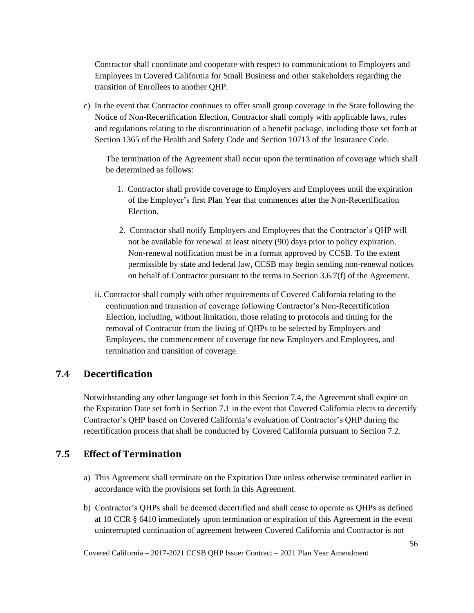Contractor shall coordinate and cooperate with respect to communications to Employers and Employees in Covered California for Small Business and other stakeholders regarding the transition of Enrollees to another QHP.

c) In the event that Contractor continues to offer small group coverage in the State following the Notice of Non-Recertification Election, Contractor shall comply with applicable laws, rules and regulations relating to the discontinuation of a benefit package, including those set forth at Section 1365 of the Health and Safety Code and Section 10713 of the Insurance Code.

The termination of the Agreement shall occur upon the termination of coverage which shall be determined as follows:

- 1. Contractor shall provide coverage to Employers and Employees until the expiration of the Employer's first Plan Year that commences after the Non-Recertification Election.
- 2. Contractor shall notify Employers and Employees that the Contractor's QHP will not be available for renewal at least ninety (90) days prior to policy expiration. Non-renewal notification must be in a format approved by CCSB. To the extent permissible by state and federal law, CCSB may begin sending non-renewal notices on behalf of Contractor pursuant to the terms in Section 3.6.7(f) of the Agreement.
- ii. Contractor shall comply with other requirements of Covered California relating to the continuation and transition of coverage following Contractor's Non-Recertification Election, including, without limitation, those relating to protocols and timing for the removal of Contractor from the listing of QHPs to be selected by Employers and Employees, the commencement of coverage for new Employers and Employees, and termination and transition of coverage.

# **7.4 Decertification**

Notwithstanding any other language set forth in this Section 7.4, the Agreement shall expire on the Expiration Date set forth in Section 7.1 in the event that Covered California elects to decertify Contractor's QHP based on Covered California's evaluation of Contractor's QHP during the recertification process that shall be conducted by Covered California pursuant to Section 7.2.

# **7.5 Effect of Termination**

- a) This Agreement shall terminate on the Expiration Date unless otherwise terminated earlier in accordance with the provisions set forth in this Agreement.
- b) Contractor's QHPs shall be deemed decertified and shall cease to operate as QHPs as defined at 10 CCR § 6410 immediately upon termination or expiration of this Agreement in the event uninterrupted continuation of agreement between Covered California and Contractor is not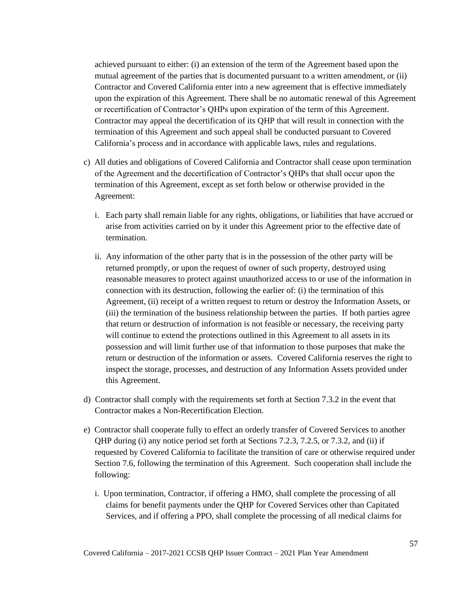achieved pursuant to either: (i) an extension of the term of the Agreement based upon the mutual agreement of the parties that is documented pursuant to a written amendment, or (ii) Contractor and Covered California enter into a new agreement that is effective immediately upon the expiration of this Agreement. There shall be no automatic renewal of this Agreement or recertification of Contractor's QHPs upon expiration of the term of this Agreement. Contractor may appeal the decertification of its QHP that will result in connection with the termination of this Agreement and such appeal shall be conducted pursuant to Covered California's process and in accordance with applicable laws, rules and regulations.

- c) All duties and obligations of Covered California and Contractor shall cease upon termination of the Agreement and the decertification of Contractor's QHPs that shall occur upon the termination of this Agreement, except as set forth below or otherwise provided in the Agreement:
	- i. Each party shall remain liable for any rights, obligations, or liabilities that have accrued or arise from activities carried on by it under this Agreement prior to the effective date of termination.
	- ii. Any information of the other party that is in the possession of the other party will be returned promptly, or upon the request of owner of such property, destroyed using reasonable measures to protect against unauthorized access to or use of the information in connection with its destruction, following the earlier of: (i) the termination of this Agreement, (ii) receipt of a written request to return or destroy the Information Assets, or (iii) the termination of the business relationship between the parties. If both parties agree that return or destruction of information is not feasible or necessary, the receiving party will continue to extend the protections outlined in this Agreement to all assets in its possession and will limit further use of that information to those purposes that make the return or destruction of the information or assets. Covered California reserves the right to inspect the storage, processes, and destruction of any Information Assets provided under this Agreement.
- d) Contractor shall comply with the requirements set forth at Section 7.3.2 in the event that Contractor makes a Non-Recertification Election.
- e) Contractor shall cooperate fully to effect an orderly transfer of Covered Services to another QHP during (i) any notice period set forth at Sections 7.2.3, 7.2.5, or 7.3.2, and (ii) if requested by Covered California to facilitate the transition of care or otherwise required under Section 7.6, following the termination of this Agreement. Such cooperation shall include the following:
	- i. Upon termination, Contractor, if offering a HMO, shall complete the processing of all claims for benefit payments under the QHP for Covered Services other than Capitated Services, and if offering a PPO, shall complete the processing of all medical claims for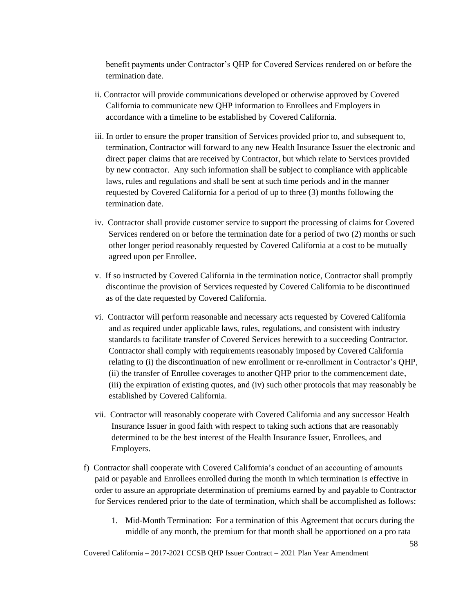benefit payments under Contractor's QHP for Covered Services rendered on or before the termination date.

- ii. Contractor will provide communications developed or otherwise approved by Covered California to communicate new QHP information to Enrollees and Employers in accordance with a timeline to be established by Covered California.
- iii. In order to ensure the proper transition of Services provided prior to, and subsequent to, termination, Contractor will forward to any new Health Insurance Issuer the electronic and direct paper claims that are received by Contractor, but which relate to Services provided by new contractor. Any such information shall be subject to compliance with applicable laws, rules and regulations and shall be sent at such time periods and in the manner requested by Covered California for a period of up to three (3) months following the termination date.
- iv. Contractor shall provide customer service to support the processing of claims for Covered Services rendered on or before the termination date for a period of two (2) months or such other longer period reasonably requested by Covered California at a cost to be mutually agreed upon per Enrollee.
- v. If so instructed by Covered California in the termination notice, Contractor shall promptly discontinue the provision of Services requested by Covered California to be discontinued as of the date requested by Covered California.
- vi. Contractor will perform reasonable and necessary acts requested by Covered California and as required under applicable laws, rules, regulations, and consistent with industry standards to facilitate transfer of Covered Services herewith to a succeeding Contractor. Contractor shall comply with requirements reasonably imposed by Covered California relating to (i) the discontinuation of new enrollment or re-enrollment in Contractor's QHP, (ii) the transfer of Enrollee coverages to another QHP prior to the commencement date, (iii) the expiration of existing quotes, and (iv) such other protocols that may reasonably be established by Covered California.
- vii. Contractor will reasonably cooperate with Covered California and any successor Health Insurance Issuer in good faith with respect to taking such actions that are reasonably determined to be the best interest of the Health Insurance Issuer, Enrollees, and Employers.
- f) Contractor shall cooperate with Covered California's conduct of an accounting of amounts paid or payable and Enrollees enrolled during the month in which termination is effective in order to assure an appropriate determination of premiums earned by and payable to Contractor for Services rendered prior to the date of termination, which shall be accomplished as follows:
	- 1. Mid-Month Termination: For a termination of this Agreement that occurs during the middle of any month, the premium for that month shall be apportioned on a pro rata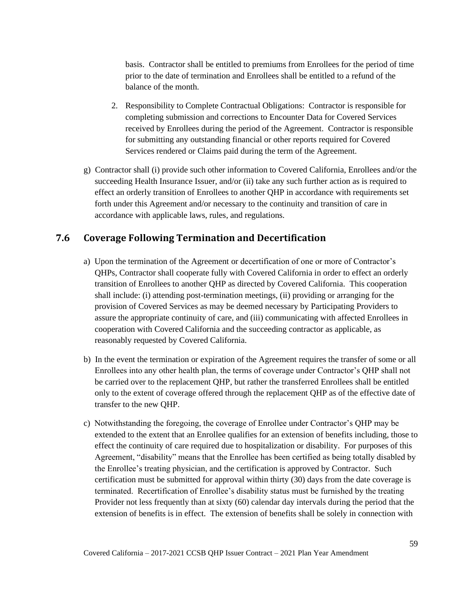basis. Contractor shall be entitled to premiums from Enrollees for the period of time prior to the date of termination and Enrollees shall be entitled to a refund of the balance of the month.

- 2. Responsibility to Complete Contractual Obligations: Contractor is responsible for completing submission and corrections to Encounter Data for Covered Services received by Enrollees during the period of the Agreement. Contractor is responsible for submitting any outstanding financial or other reports required for Covered Services rendered or Claims paid during the term of the Agreement.
- g) Contractor shall (i) provide such other information to Covered California, Enrollees and/or the succeeding Health Insurance Issuer, and/or (ii) take any such further action as is required to effect an orderly transition of Enrollees to another QHP in accordance with requirements set forth under this Agreement and/or necessary to the continuity and transition of care in accordance with applicable laws, rules, and regulations.

# **7.6 Coverage Following Termination and Decertification**

- a) Upon the termination of the Agreement or decertification of one or more of Contractor's QHPs, Contractor shall cooperate fully with Covered California in order to effect an orderly transition of Enrollees to another QHP as directed by Covered California. This cooperation shall include: (i) attending post-termination meetings, (ii) providing or arranging for the provision of Covered Services as may be deemed necessary by Participating Providers to assure the appropriate continuity of care, and (iii) communicating with affected Enrollees in cooperation with Covered California and the succeeding contractor as applicable, as reasonably requested by Covered California.
- b) In the event the termination or expiration of the Agreement requires the transfer of some or all Enrollees into any other health plan, the terms of coverage under Contractor's QHP shall not be carried over to the replacement QHP, but rather the transferred Enrollees shall be entitled only to the extent of coverage offered through the replacement QHP as of the effective date of transfer to the new QHP.
- c) Notwithstanding the foregoing, the coverage of Enrollee under Contractor's QHP may be extended to the extent that an Enrollee qualifies for an extension of benefits including, those to effect the continuity of care required due to hospitalization or disability. For purposes of this Agreement, "disability" means that the Enrollee has been certified as being totally disabled by the Enrollee's treating physician, and the certification is approved by Contractor. Such certification must be submitted for approval within thirty (30) days from the date coverage is terminated. Recertification of Enrollee's disability status must be furnished by the treating Provider not less frequently than at sixty (60) calendar day intervals during the period that the extension of benefits is in effect. The extension of benefits shall be solely in connection with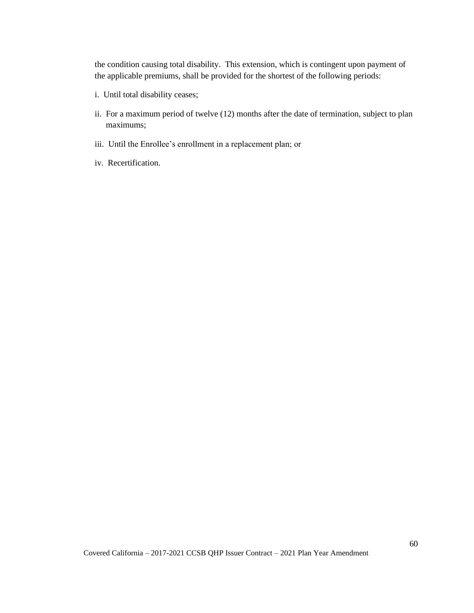the condition causing total disability. This extension, which is contingent upon payment of the applicable premiums, shall be provided for the shortest of the following periods:

- i. Until total disability ceases;
- ii. For a maximum period of twelve (12) months after the date of termination, subject to plan maximums;
- iii. Until the Enrollee's enrollment in a replacement plan; or
- iv. Recertification.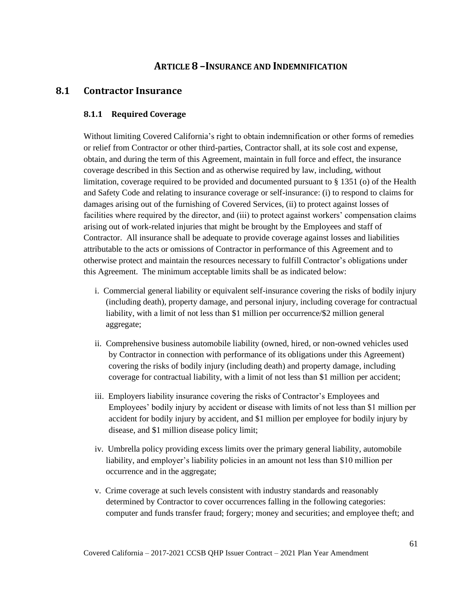# **ARTICLE 8 –INSURANCE AND INDEMNIFICATION**

# **8.1 Contractor Insurance**

#### **8.1.1 Required Coverage**

Without limiting Covered California's right to obtain indemnification or other forms of remedies or relief from Contractor or other third-parties, Contractor shall, at its sole cost and expense, obtain, and during the term of this Agreement, maintain in full force and effect, the insurance coverage described in this Section and as otherwise required by law, including, without limitation, coverage required to be provided and documented pursuant to § 1351 (o) of the Health and Safety Code and relating to insurance coverage or self-insurance: (i) to respond to claims for damages arising out of the furnishing of Covered Services, (ii) to protect against losses of facilities where required by the director, and (iii) to protect against workers' compensation claims arising out of work-related injuries that might be brought by the Employees and staff of Contractor. All insurance shall be adequate to provide coverage against losses and liabilities attributable to the acts or omissions of Contractor in performance of this Agreement and to otherwise protect and maintain the resources necessary to fulfill Contractor's obligations under this Agreement. The minimum acceptable limits shall be as indicated below:

- i. Commercial general liability or equivalent self-insurance covering the risks of bodily injury (including death), property damage, and personal injury, including coverage for contractual liability, with a limit of not less than \$1 million per occurrence/\$2 million general aggregate;
- ii. Comprehensive business automobile liability (owned, hired, or non-owned vehicles used by Contractor in connection with performance of its obligations under this Agreement) covering the risks of bodily injury (including death) and property damage, including coverage for contractual liability, with a limit of not less than \$1 million per accident;
- iii. Employers liability insurance covering the risks of Contractor's Employees and Employees' bodily injury by accident or disease with limits of not less than \$1 million per accident for bodily injury by accident, and \$1 million per employee for bodily injury by disease, and \$1 million disease policy limit;
- iv. Umbrella policy providing excess limits over the primary general liability, automobile liability, and employer's liability policies in an amount not less than \$10 million per occurrence and in the aggregate;
- v. Crime coverage at such levels consistent with industry standards and reasonably determined by Contractor to cover occurrences falling in the following categories: computer and funds transfer fraud; forgery; money and securities; and employee theft; and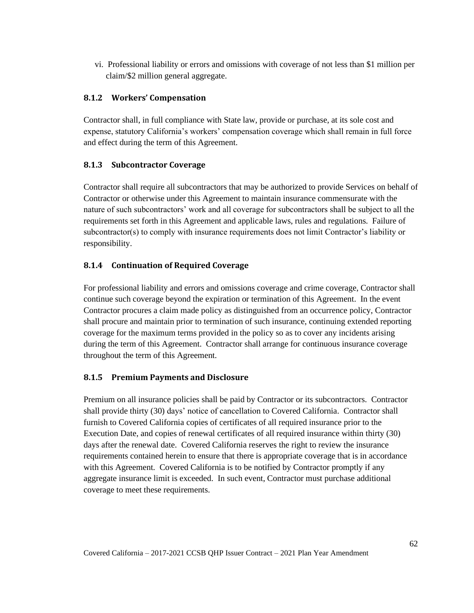vi. Professional liability or errors and omissions with coverage of not less than \$1 million per claim/\$2 million general aggregate.

### **8.1.2 Workers' Compensation**

Contractor shall, in full compliance with State law, provide or purchase, at its sole cost and expense, statutory California's workers' compensation coverage which shall remain in full force and effect during the term of this Agreement.

#### **8.1.3 Subcontractor Coverage**

Contractor shall require all subcontractors that may be authorized to provide Services on behalf of Contractor or otherwise under this Agreement to maintain insurance commensurate with the nature of such subcontractors' work and all coverage for subcontractors shall be subject to all the requirements set forth in this Agreement and applicable laws, rules and regulations. Failure of subcontractor(s) to comply with insurance requirements does not limit Contractor's liability or responsibility.

#### **8.1.4 Continuation of Required Coverage**

For professional liability and errors and omissions coverage and crime coverage, Contractor shall continue such coverage beyond the expiration or termination of this Agreement. In the event Contractor procures a claim made policy as distinguished from an occurrence policy, Contractor shall procure and maintain prior to termination of such insurance, continuing extended reporting coverage for the maximum terms provided in the policy so as to cover any incidents arising during the term of this Agreement. Contractor shall arrange for continuous insurance coverage throughout the term of this Agreement.

# **8.1.5 Premium Payments and Disclosure**

Premium on all insurance policies shall be paid by Contractor or its subcontractors. Contractor shall provide thirty (30) days' notice of cancellation to Covered California. Contractor shall furnish to Covered California copies of certificates of all required insurance prior to the Execution Date, and copies of renewal certificates of all required insurance within thirty (30) days after the renewal date. Covered California reserves the right to review the insurance requirements contained herein to ensure that there is appropriate coverage that is in accordance with this Agreement. Covered California is to be notified by Contractor promptly if any aggregate insurance limit is exceeded. In such event, Contractor must purchase additional coverage to meet these requirements.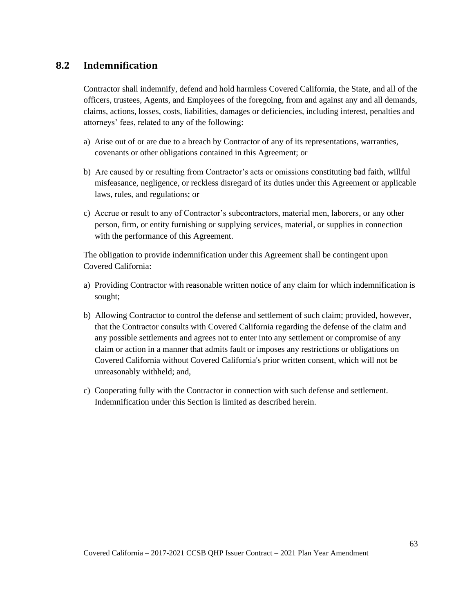# **8.2 Indemnification**

Contractor shall indemnify, defend and hold harmless Covered California, the State, and all of the officers, trustees, Agents, and Employees of the foregoing, from and against any and all demands, claims, actions, losses, costs, liabilities, damages or deficiencies, including interest, penalties and attorneys' fees, related to any of the following:

- a) Arise out of or are due to a breach by Contractor of any of its representations, warranties, covenants or other obligations contained in this Agreement; or
- b) Are caused by or resulting from Contractor's acts or omissions constituting bad faith, willful misfeasance, negligence, or reckless disregard of its duties under this Agreement or applicable laws, rules, and regulations; or
- c) Accrue or result to any of Contractor's subcontractors, material men, laborers, or any other person, firm, or entity furnishing or supplying services, material, or supplies in connection with the performance of this Agreement.

The obligation to provide indemnification under this Agreement shall be contingent upon Covered California:

- a) Providing Contractor with reasonable written notice of any claim for which indemnification is sought;
- b) Allowing Contractor to control the defense and settlement of such claim; provided, however, that the Contractor consults with Covered California regarding the defense of the claim and any possible settlements and agrees not to enter into any settlement or compromise of any claim or action in a manner that admits fault or imposes any restrictions or obligations on Covered California without Covered California's prior written consent, which will not be unreasonably withheld; and,
- c) Cooperating fully with the Contractor in connection with such defense and settlement. Indemnification under this Section is limited as described herein.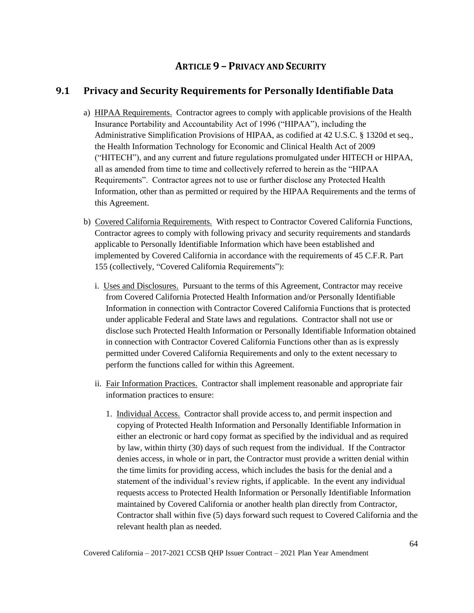# **ARTICLE 9 – PRIVACY AND SECURITY**

# **9.1 Privacy and Security Requirements for Personally Identifiable Data**

- a) HIPAA Requirements. Contractor agrees to comply with applicable provisions of the Health Insurance Portability and Accountability Act of 1996 ("HIPAA"), including the Administrative Simplification Provisions of HIPAA, as codified at 42 U.S.C. § 1320d et seq., the Health Information Technology for Economic and Clinical Health Act of 2009 ("HITECH"), and any current and future regulations promulgated under HITECH or HIPAA, all as amended from time to time and collectively referred to herein as the "HIPAA Requirements". Contractor agrees not to use or further disclose any Protected Health Information, other than as permitted or required by the HIPAA Requirements and the terms of this Agreement.
- b) Covered California Requirements. With respect to Contractor Covered California Functions, Contractor agrees to comply with following privacy and security requirements and standards applicable to Personally Identifiable Information which have been established and implemented by Covered California in accordance with the requirements of 45 C.F.R. Part 155 (collectively, "Covered California Requirements"):
	- i. Uses and Disclosures. Pursuant to the terms of this Agreement, Contractor may receive from Covered California Protected Health Information and/or Personally Identifiable Information in connection with Contractor Covered California Functions that is protected under applicable Federal and State laws and regulations. Contractor shall not use or disclose such Protected Health Information or Personally Identifiable Information obtained in connection with Contractor Covered California Functions other than as is expressly permitted under Covered California Requirements and only to the extent necessary to perform the functions called for within this Agreement.
	- ii. Fair Information Practices. Contractor shall implement reasonable and appropriate fair information practices to ensure:
		- 1. Individual Access. Contractor shall provide access to, and permit inspection and copying of Protected Health Information and Personally Identifiable Information in either an electronic or hard copy format as specified by the individual and as required by law, within thirty (30) days of such request from the individual. If the Contractor denies access, in whole or in part, the Contractor must provide a written denial within the time limits for providing access, which includes the basis for the denial and a statement of the individual's review rights, if applicable. In the event any individual requests access to Protected Health Information or Personally Identifiable Information maintained by Covered California or another health plan directly from Contractor, Contractor shall within five (5) days forward such request to Covered California and the relevant health plan as needed.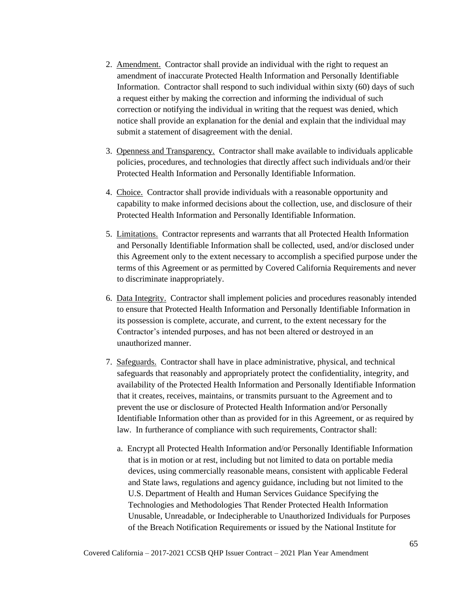- 2. Amendment. Contractor shall provide an individual with the right to request an amendment of inaccurate Protected Health Information and Personally Identifiable Information. Contractor shall respond to such individual within sixty (60) days of such a request either by making the correction and informing the individual of such correction or notifying the individual in writing that the request was denied, which notice shall provide an explanation for the denial and explain that the individual may submit a statement of disagreement with the denial.
- 3. Openness and Transparency. Contractor shall make available to individuals applicable policies, procedures, and technologies that directly affect such individuals and/or their Protected Health Information and Personally Identifiable Information.
- 4. Choice. Contractor shall provide individuals with a reasonable opportunity and capability to make informed decisions about the collection, use, and disclosure of their Protected Health Information and Personally Identifiable Information.
- 5. Limitations. Contractor represents and warrants that all Protected Health Information and Personally Identifiable Information shall be collected, used, and/or disclosed under this Agreement only to the extent necessary to accomplish a specified purpose under the terms of this Agreement or as permitted by Covered California Requirements and never to discriminate inappropriately.
- 6. Data Integrity. Contractor shall implement policies and procedures reasonably intended to ensure that Protected Health Information and Personally Identifiable Information in its possession is complete, accurate, and current, to the extent necessary for the Contractor's intended purposes, and has not been altered or destroyed in an unauthorized manner.
- 7. Safeguards. Contractor shall have in place administrative, physical, and technical safeguards that reasonably and appropriately protect the confidentiality, integrity, and availability of the Protected Health Information and Personally Identifiable Information that it creates, receives, maintains, or transmits pursuant to the Agreement and to prevent the use or disclosure of Protected Health Information and/or Personally Identifiable Information other than as provided for in this Agreement, or as required by law. In furtherance of compliance with such requirements, Contractor shall:
	- a. Encrypt all Protected Health Information and/or Personally Identifiable Information that is in motion or at rest, including but not limited to data on portable media devices, using commercially reasonable means, consistent with applicable Federal and State laws, regulations and agency guidance, including but not limited to the U.S. Department of Health and Human Services Guidance Specifying the Technologies and Methodologies That Render Protected Health Information Unusable, Unreadable, or Indecipherable to Unauthorized Individuals for Purposes of the Breach Notification Requirements or issued by the National Institute for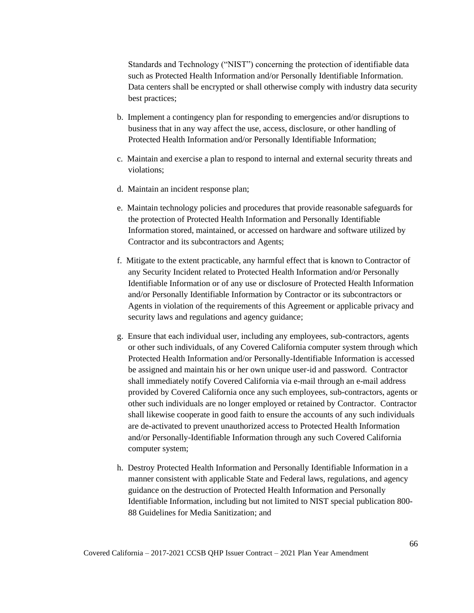Standards and Technology ("NIST") concerning the protection of identifiable data such as Protected Health Information and/or Personally Identifiable Information. Data centers shall be encrypted or shall otherwise comply with industry data security best practices;

- b. Implement a contingency plan for responding to emergencies and/or disruptions to business that in any way affect the use, access, disclosure, or other handling of Protected Health Information and/or Personally Identifiable Information;
- c. Maintain and exercise a plan to respond to internal and external security threats and violations;
- d. Maintain an incident response plan;
- e. Maintain technology policies and procedures that provide reasonable safeguards for the protection of Protected Health Information and Personally Identifiable Information stored, maintained, or accessed on hardware and software utilized by Contractor and its subcontractors and Agents;
- f. Mitigate to the extent practicable, any harmful effect that is known to Contractor of any Security Incident related to Protected Health Information and/or Personally Identifiable Information or of any use or disclosure of Protected Health Information and/or Personally Identifiable Information by Contractor or its subcontractors or Agents in violation of the requirements of this Agreement or applicable privacy and security laws and regulations and agency guidance;
- g. Ensure that each individual user, including any employees, sub-contractors, agents or other such individuals, of any Covered California computer system through which Protected Health Information and/or Personally-Identifiable Information is accessed be assigned and maintain his or her own unique user-id and password. Contractor shall immediately notify Covered California via e-mail through an e-mail address provided by Covered California once any such employees, sub-contractors, agents or other such individuals are no longer employed or retained by Contractor. Contractor shall likewise cooperate in good faith to ensure the accounts of any such individuals are de-activated to prevent unauthorized access to Protected Health Information and/or Personally-Identifiable Information through any such Covered California computer system;
- h. Destroy Protected Health Information and Personally Identifiable Information in a manner consistent with applicable State and Federal laws, regulations, and agency guidance on the destruction of Protected Health Information and Personally Identifiable Information, including but not limited to NIST special publication 800- 88 Guidelines for Media Sanitization; and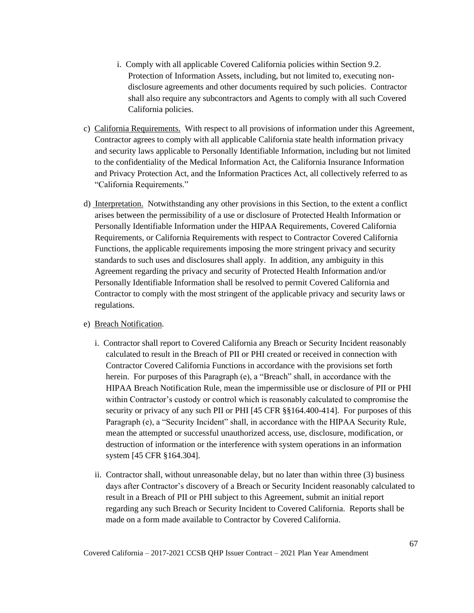- i. Comply with all applicable Covered California policies within Section 9.2. Protection of Information Assets, including, but not limited to, executing nondisclosure agreements and other documents required by such policies. Contractor shall also require any subcontractors and Agents to comply with all such Covered California policies.
- c) California Requirements. With respect to all provisions of information under this Agreement, Contractor agrees to comply with all applicable California state health information privacy and security laws applicable to Personally Identifiable Information, including but not limited to the confidentiality of the Medical Information Act, the California Insurance Information and Privacy Protection Act, and the Information Practices Act, all collectively referred to as "California Requirements."
- d) Interpretation. Notwithstanding any other provisions in this Section, to the extent a conflict arises between the permissibility of a use or disclosure of Protected Health Information or Personally Identifiable Information under the HIPAA Requirements, Covered California Requirements, or California Requirements with respect to Contractor Covered California Functions, the applicable requirements imposing the more stringent privacy and security standards to such uses and disclosures shall apply. In addition, any ambiguity in this Agreement regarding the privacy and security of Protected Health Information and/or Personally Identifiable Information shall be resolved to permit Covered California and Contractor to comply with the most stringent of the applicable privacy and security laws or regulations.

#### e) Breach Notification.

- i. Contractor shall report to Covered California any Breach or Security Incident reasonably calculated to result in the Breach of PII or PHI created or received in connection with Contractor Covered California Functions in accordance with the provisions set forth herein. For purposes of this Paragraph (e), a "Breach" shall, in accordance with the HIPAA Breach Notification Rule, mean the impermissible use or disclosure of PII or PHI within Contractor's custody or control which is reasonably calculated to compromise the security or privacy of any such PII or PHI [45 CFR §§164.400-414]. For purposes of this Paragraph (e), a "Security Incident" shall, in accordance with the HIPAA Security Rule, mean the attempted or successful unauthorized access, use, disclosure, modification, or destruction of information or the interference with system operations in an information system [45 CFR §164.304].
- ii. Contractor shall, without unreasonable delay, but no later than within three (3) business days after Contractor's discovery of a Breach or Security Incident reasonably calculated to result in a Breach of PII or PHI subject to this Agreement, submit an initial report regarding any such Breach or Security Incident to Covered California. Reports shall be made on a form made available to Contractor by Covered California.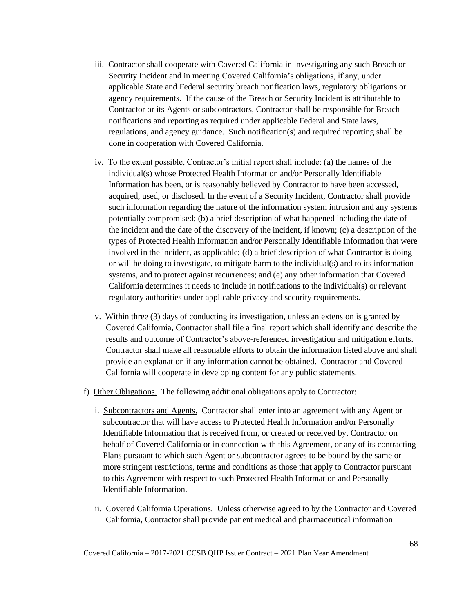- iii. Contractor shall cooperate with Covered California in investigating any such Breach or Security Incident and in meeting Covered California's obligations, if any, under applicable State and Federal security breach notification laws, regulatory obligations or agency requirements. If the cause of the Breach or Security Incident is attributable to Contractor or its Agents or subcontractors, Contractor shall be responsible for Breach notifications and reporting as required under applicable Federal and State laws, regulations, and agency guidance. Such notification(s) and required reporting shall be done in cooperation with Covered California.
- iv. To the extent possible, Contractor's initial report shall include: (a) the names of the individual(s) whose Protected Health Information and/or Personally Identifiable Information has been, or is reasonably believed by Contractor to have been accessed, acquired, used, or disclosed. In the event of a Security Incident, Contractor shall provide such information regarding the nature of the information system intrusion and any systems potentially compromised; (b) a brief description of what happened including the date of the incident and the date of the discovery of the incident, if known; (c) a description of the types of Protected Health Information and/or Personally Identifiable Information that were involved in the incident, as applicable; (d) a brief description of what Contractor is doing or will be doing to investigate, to mitigate harm to the individual(s) and to its information systems, and to protect against recurrences; and (e) any other information that Covered California determines it needs to include in notifications to the individual(s) or relevant regulatory authorities under applicable privacy and security requirements.
- v. Within three (3) days of conducting its investigation, unless an extension is granted by Covered California, Contractor shall file a final report which shall identify and describe the results and outcome of Contractor's above-referenced investigation and mitigation efforts. Contractor shall make all reasonable efforts to obtain the information listed above and shall provide an explanation if any information cannot be obtained. Contractor and Covered California will cooperate in developing content for any public statements.
- f) Other Obligations. The following additional obligations apply to Contractor:
	- i. Subcontractors and Agents. Contractor shall enter into an agreement with any Agent or subcontractor that will have access to Protected Health Information and/or Personally Identifiable Information that is received from, or created or received by, Contractor on behalf of Covered California or in connection with this Agreement, or any of its contracting Plans pursuant to which such Agent or subcontractor agrees to be bound by the same or more stringent restrictions, terms and conditions as those that apply to Contractor pursuant to this Agreement with respect to such Protected Health Information and Personally Identifiable Information.
	- ii. Covered California Operations. Unless otherwise agreed to by the Contractor and Covered California, Contractor shall provide patient medical and pharmaceutical information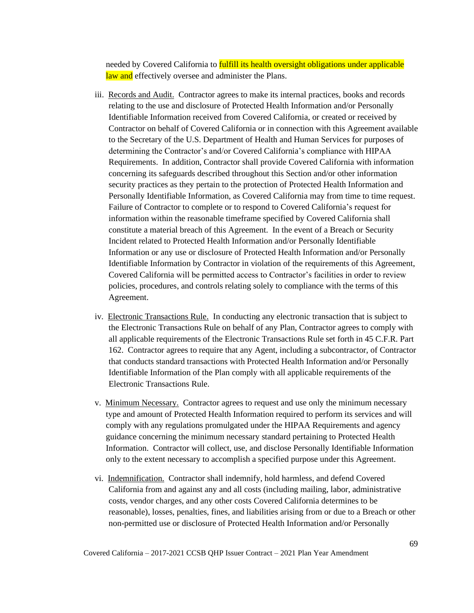needed by Covered California to fulfill its health oversight obligations under applicable law and effectively oversee and administer the Plans.

- iii. Records and Audit. Contractor agrees to make its internal practices, books and records relating to the use and disclosure of Protected Health Information and/or Personally Identifiable Information received from Covered California, or created or received by Contractor on behalf of Covered California or in connection with this Agreement available to the Secretary of the U.S. Department of Health and Human Services for purposes of determining the Contractor's and/or Covered California's compliance with HIPAA Requirements. In addition, Contractor shall provide Covered California with information concerning its safeguards described throughout this Section and/or other information security practices as they pertain to the protection of Protected Health Information and Personally Identifiable Information, as Covered California may from time to time request. Failure of Contractor to complete or to respond to Covered California's request for information within the reasonable timeframe specified by Covered California shall constitute a material breach of this Agreement. In the event of a Breach or Security Incident related to Protected Health Information and/or Personally Identifiable Information or any use or disclosure of Protected Health Information and/or Personally Identifiable Information by Contractor in violation of the requirements of this Agreement, Covered California will be permitted access to Contractor's facilities in order to review policies, procedures, and controls relating solely to compliance with the terms of this Agreement.
- iv. Electronic Transactions Rule. In conducting any electronic transaction that is subject to the Electronic Transactions Rule on behalf of any Plan, Contractor agrees to comply with all applicable requirements of the Electronic Transactions Rule set forth in 45 C.F.R. Part 162. Contractor agrees to require that any Agent, including a subcontractor, of Contractor that conducts standard transactions with Protected Health Information and/or Personally Identifiable Information of the Plan comply with all applicable requirements of the Electronic Transactions Rule.
- v. Minimum Necessary. Contractor agrees to request and use only the minimum necessary type and amount of Protected Health Information required to perform its services and will comply with any regulations promulgated under the HIPAA Requirements and agency guidance concerning the minimum necessary standard pertaining to Protected Health Information. Contractor will collect, use, and disclose Personally Identifiable Information only to the extent necessary to accomplish a specified purpose under this Agreement.
- vi. Indemnification. Contractor shall indemnify, hold harmless, and defend Covered California from and against any and all costs (including mailing, labor, administrative costs, vendor charges, and any other costs Covered California determines to be reasonable), losses, penalties, fines, and liabilities arising from or due to a Breach or other non-permitted use or disclosure of Protected Health Information and/or Personally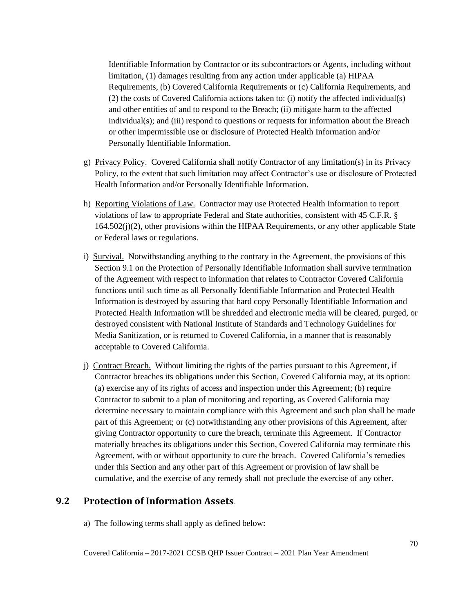Identifiable Information by Contractor or its subcontractors or Agents, including without limitation, (1) damages resulting from any action under applicable (a) HIPAA Requirements, (b) Covered California Requirements or (c) California Requirements, and (2) the costs of Covered California actions taken to: (i) notify the affected individual(s) and other entities of and to respond to the Breach; (ii) mitigate harm to the affected individual(s); and (iii) respond to questions or requests for information about the Breach or other impermissible use or disclosure of Protected Health Information and/or Personally Identifiable Information.

- g) Privacy Policy. Covered California shall notify Contractor of any limitation(s) in its Privacy Policy, to the extent that such limitation may affect Contractor's use or disclosure of Protected Health Information and/or Personally Identifiable Information.
- h) Reporting Violations of Law. Contractor may use Protected Health Information to report violations of law to appropriate Federal and State authorities, consistent with 45 C.F.R. § 164.502(j)(2), other provisions within the HIPAA Requirements, or any other applicable State or Federal laws or regulations.
- i) Survival. Notwithstanding anything to the contrary in the Agreement, the provisions of this Section 9.1 on the Protection of Personally Identifiable Information shall survive termination of the Agreement with respect to information that relates to Contractor Covered California functions until such time as all Personally Identifiable Information and Protected Health Information is destroyed by assuring that hard copy Personally Identifiable Information and Protected Health Information will be shredded and electronic media will be cleared, purged, or destroyed consistent with National Institute of Standards and Technology Guidelines for Media Sanitization, or is returned to Covered California, in a manner that is reasonably acceptable to Covered California.
- j) Contract Breach. Without limiting the rights of the parties pursuant to this Agreement, if Contractor breaches its obligations under this Section, Covered California may, at its option: (a) exercise any of its rights of access and inspection under this Agreement; (b) require Contractor to submit to a plan of monitoring and reporting, as Covered California may determine necessary to maintain compliance with this Agreement and such plan shall be made part of this Agreement; or (c) notwithstanding any other provisions of this Agreement, after giving Contractor opportunity to cure the breach, terminate this Agreement. If Contractor materially breaches its obligations under this Section, Covered California may terminate this Agreement, with or without opportunity to cure the breach. Covered California's remedies under this Section and any other part of this Agreement or provision of law shall be cumulative, and the exercise of any remedy shall not preclude the exercise of any other.

### **9.2 Protection of Information Assets**.

a) The following terms shall apply as defined below: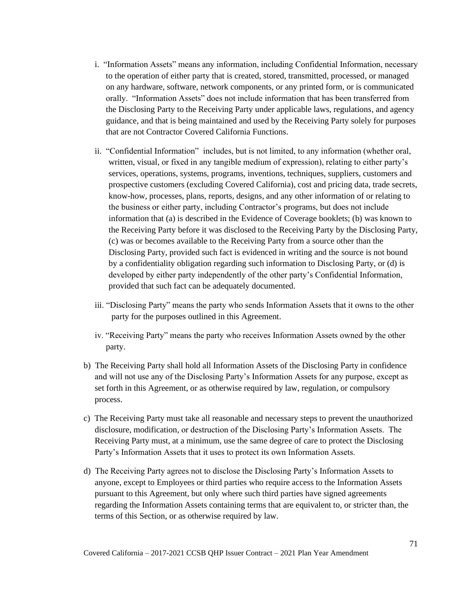- i. "Information Assets" means any information, including Confidential Information, necessary to the operation of either party that is created, stored, transmitted, processed, or managed on any hardware, software, network components, or any printed form, or is communicated orally. "Information Assets" does not include information that has been transferred from the Disclosing Party to the Receiving Party under applicable laws, regulations, and agency guidance, and that is being maintained and used by the Receiving Party solely for purposes that are not Contractor Covered California Functions.
- ii. "Confidential Information" includes, but is not limited, to any information (whether oral, written, visual, or fixed in any tangible medium of expression), relating to either party's services, operations, systems, programs, inventions, techniques, suppliers, customers and prospective customers (excluding Covered California), cost and pricing data, trade secrets, know-how, processes, plans, reports, designs, and any other information of or relating to the business or either party, including Contractor's programs, but does not include information that (a) is described in the Evidence of Coverage booklets; (b) was known to the Receiving Party before it was disclosed to the Receiving Party by the Disclosing Party, (c) was or becomes available to the Receiving Party from a source other than the Disclosing Party, provided such fact is evidenced in writing and the source is not bound by a confidentiality obligation regarding such information to Disclosing Party, or (d) is developed by either party independently of the other party's Confidential Information, provided that such fact can be adequately documented.
- iii. "Disclosing Party" means the party who sends Information Assets that it owns to the other party for the purposes outlined in this Agreement.
- iv. "Receiving Party" means the party who receives Information Assets owned by the other party.
- b) The Receiving Party shall hold all Information Assets of the Disclosing Party in confidence and will not use any of the Disclosing Party's Information Assets for any purpose, except as set forth in this Agreement, or as otherwise required by law, regulation, or compulsory process.
- c) The Receiving Party must take all reasonable and necessary steps to prevent the unauthorized disclosure, modification, or destruction of the Disclosing Party's Information Assets. The Receiving Party must, at a minimum, use the same degree of care to protect the Disclosing Party's Information Assets that it uses to protect its own Information Assets.
- d) The Receiving Party agrees not to disclose the Disclosing Party's Information Assets to anyone, except to Employees or third parties who require access to the Information Assets pursuant to this Agreement, but only where such third parties have signed agreements regarding the Information Assets containing terms that are equivalent to, or stricter than, the terms of this Section, or as otherwise required by law.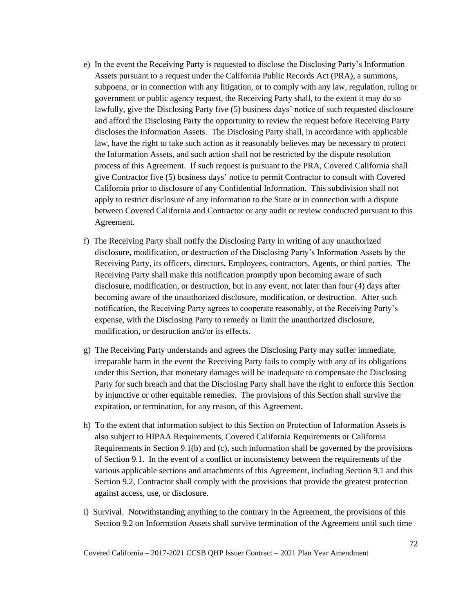- e) In the event the Receiving Party is requested to disclose the Disclosing Party's Information Assets pursuant to a request under the California Public Records Act (PRA), a summons, subpoena, or in connection with any litigation, or to comply with any law, regulation, ruling or government or public agency request, the Receiving Party shall, to the extent it may do so lawfully, give the Disclosing Party five (5) business days' notice of such requested disclosure and afford the Disclosing Party the opportunity to review the request before Receiving Party discloses the Information Assets. The Disclosing Party shall, in accordance with applicable law, have the right to take such action as it reasonably believes may be necessary to protect the Information Assets, and such action shall not be restricted by the dispute resolution process of this Agreement. If such request is pursuant to the PRA, Covered California shall give Contractor five (5) business days' notice to permit Contractor to consult with Covered California prior to disclosure of any Confidential Information. This subdivision shall not apply to restrict disclosure of any information to the State or in connection with a dispute between Covered California and Contractor or any audit or review conducted pursuant to this Agreement.
- f) The Receiving Party shall notify the Disclosing Party in writing of any unauthorized disclosure, modification, or destruction of the Disclosing Party's Information Assets by the Receiving Party, its officers, directors, Employees, contractors, Agents, or third parties. The Receiving Party shall make this notification promptly upon becoming aware of such disclosure, modification, or destruction, but in any event, not later than four (4) days after becoming aware of the unauthorized disclosure, modification, or destruction. After such notification, the Receiving Party agrees to cooperate reasonably, at the Receiving Party's expense, with the Disclosing Party to remedy or limit the unauthorized disclosure, modification, or destruction and/or its effects.
- g) The Receiving Party understands and agrees the Disclosing Party may suffer immediate, irreparable harm in the event the Receiving Party fails to comply with any of its obligations under this Section, that monetary damages will be inadequate to compensate the Disclosing Party for such breach and that the Disclosing Party shall have the right to enforce this Section by injunctive or other equitable remedies. The provisions of this Section shall survive the expiration, or termination, for any reason, of this Agreement.
- h) To the extent that information subject to this Section on Protection of Information Assets is also subject to HIPAA Requirements, Covered California Requirements or California Requirements in Section 9.1(b) and (c), such information shall be governed by the provisions of Section 9.1. In the event of a conflict or inconsistency between the requirements of the various applicable sections and attachments of this Agreement, including Section 9.1 and this Section 9.2, Contractor shall comply with the provisions that provide the greatest protection against access, use, or disclosure.
- i) Survival. Notwithstanding anything to the contrary in the Agreement, the provisions of this Section 9.2 on Information Assets shall survive termination of the Agreement until such time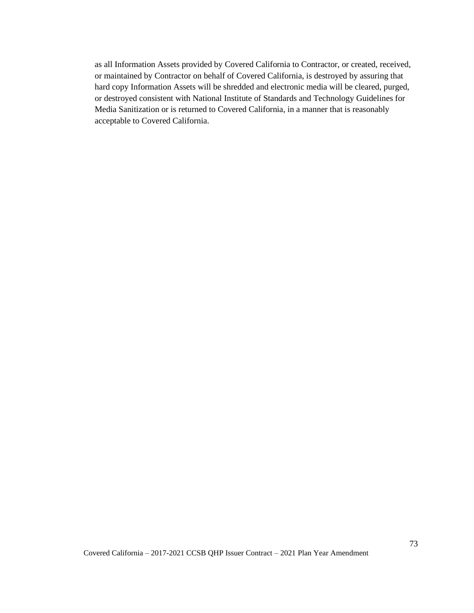as all Information Assets provided by Covered California to Contractor, or created, received, or maintained by Contractor on behalf of Covered California, is destroyed by assuring that hard copy Information Assets will be shredded and electronic media will be cleared, purged, or destroyed consistent with National Institute of Standards and Technology Guidelines for Media Sanitization or is returned to Covered California, in a manner that is reasonably acceptable to Covered California.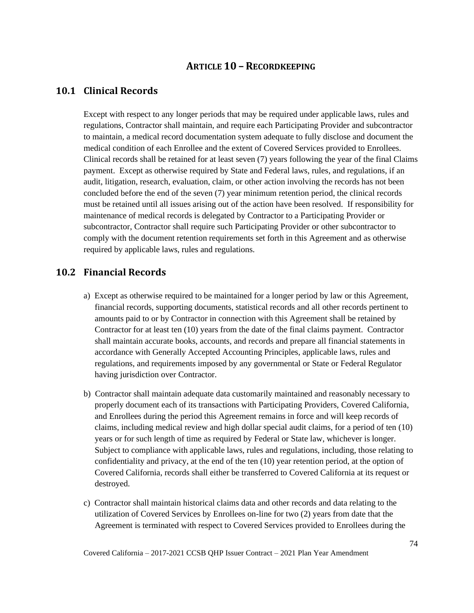### **ARTICLE 10 – RECORDKEEPING**

#### **10.1 Clinical Records**

Except with respect to any longer periods that may be required under applicable laws, rules and regulations, Contractor shall maintain, and require each Participating Provider and subcontractor to maintain, a medical record documentation system adequate to fully disclose and document the medical condition of each Enrollee and the extent of Covered Services provided to Enrollees. Clinical records shall be retained for at least seven (7) years following the year of the final Claims payment. Except as otherwise required by State and Federal laws, rules, and regulations, if an audit, litigation, research, evaluation, claim, or other action involving the records has not been concluded before the end of the seven (7) year minimum retention period, the clinical records must be retained until all issues arising out of the action have been resolved. If responsibility for maintenance of medical records is delegated by Contractor to a Participating Provider or subcontractor, Contractor shall require such Participating Provider or other subcontractor to comply with the document retention requirements set forth in this Agreement and as otherwise required by applicable laws, rules and regulations.

#### **10.2 Financial Records**

- a) Except as otherwise required to be maintained for a longer period by law or this Agreement, financial records, supporting documents, statistical records and all other records pertinent to amounts paid to or by Contractor in connection with this Agreement shall be retained by Contractor for at least ten (10) years from the date of the final claims payment. Contractor shall maintain accurate books, accounts, and records and prepare all financial statements in accordance with Generally Accepted Accounting Principles, applicable laws, rules and regulations, and requirements imposed by any governmental or State or Federal Regulator having jurisdiction over Contractor.
- b) Contractor shall maintain adequate data customarily maintained and reasonably necessary to properly document each of its transactions with Participating Providers, Covered California, and Enrollees during the period this Agreement remains in force and will keep records of claims, including medical review and high dollar special audit claims, for a period of ten (10) years or for such length of time as required by Federal or State law, whichever is longer. Subject to compliance with applicable laws, rules and regulations, including, those relating to confidentiality and privacy, at the end of the ten (10) year retention period, at the option of Covered California, records shall either be transferred to Covered California at its request or destroyed.
- c) Contractor shall maintain historical claims data and other records and data relating to the utilization of Covered Services by Enrollees on-line for two (2) years from date that the Agreement is terminated with respect to Covered Services provided to Enrollees during the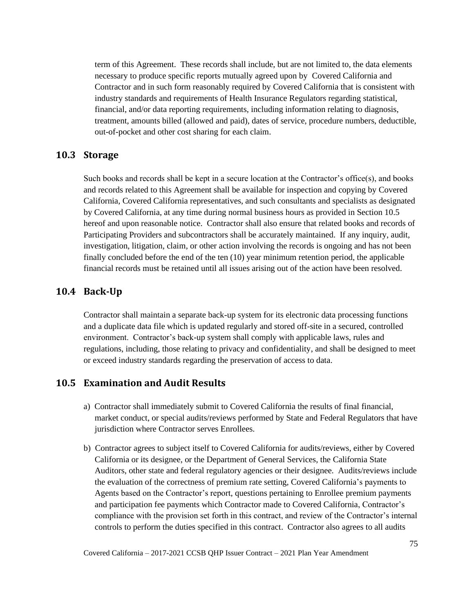term of this Agreement. These records shall include, but are not limited to, the data elements necessary to produce specific reports mutually agreed upon by Covered California and Contractor and in such form reasonably required by Covered California that is consistent with industry standards and requirements of Health Insurance Regulators regarding statistical, financial, and/or data reporting requirements, including information relating to diagnosis, treatment, amounts billed (allowed and paid), dates of service, procedure numbers, deductible, out-of-pocket and other cost sharing for each claim.

#### **10.3 Storage**

Such books and records shall be kept in a secure location at the Contractor's office(s), and books and records related to this Agreement shall be available for inspection and copying by Covered California, Covered California representatives, and such consultants and specialists as designated by Covered California, at any time during normal business hours as provided in Section 10.5 hereof and upon reasonable notice. Contractor shall also ensure that related books and records of Participating Providers and subcontractors shall be accurately maintained. If any inquiry, audit, investigation, litigation, claim, or other action involving the records is ongoing and has not been finally concluded before the end of the ten (10) year minimum retention period, the applicable financial records must be retained until all issues arising out of the action have been resolved.

#### **10.4 Back-Up**

Contractor shall maintain a separate back-up system for its electronic data processing functions and a duplicate data file which is updated regularly and stored off-site in a secured, controlled environment. Contractor's back-up system shall comply with applicable laws, rules and regulations, including, those relating to privacy and confidentiality, and shall be designed to meet or exceed industry standards regarding the preservation of access to data.

#### **10.5 Examination and Audit Results**

- a) Contractor shall immediately submit to Covered California the results of final financial, market conduct, or special audits/reviews performed by State and Federal Regulators that have jurisdiction where Contractor serves Enrollees.
- b) Contractor agrees to subject itself to Covered California for audits/reviews, either by Covered California or its designee, or the Department of General Services, the California State Auditors, other state and federal regulatory agencies or their designee. Audits/reviews include the evaluation of the correctness of premium rate setting, Covered California's payments to Agents based on the Contractor's report, questions pertaining to Enrollee premium payments and participation fee payments which Contractor made to Covered California, Contractor's compliance with the provision set forth in this contract, and review of the Contractor's internal controls to perform the duties specified in this contract. Contractor also agrees to all audits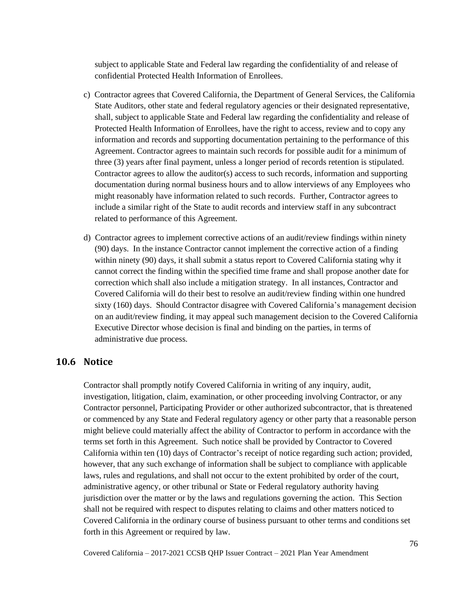subject to applicable State and Federal law regarding the confidentiality of and release of confidential Protected Health Information of Enrollees.

- c) Contractor agrees that Covered California, the Department of General Services, the California State Auditors, other state and federal regulatory agencies or their designated representative, shall, subject to applicable State and Federal law regarding the confidentiality and release of Protected Health Information of Enrollees, have the right to access, review and to copy any information and records and supporting documentation pertaining to the performance of this Agreement. Contractor agrees to maintain such records for possible audit for a minimum of three (3) years after final payment, unless a longer period of records retention is stipulated. Contractor agrees to allow the auditor(s) access to such records, information and supporting documentation during normal business hours and to allow interviews of any Employees who might reasonably have information related to such records. Further, Contractor agrees to include a similar right of the State to audit records and interview staff in any subcontract related to performance of this Agreement.
- d) Contractor agrees to implement corrective actions of an audit/review findings within ninety (90) days. In the instance Contractor cannot implement the corrective action of a finding within ninety (90) days, it shall submit a status report to Covered California stating why it cannot correct the finding within the specified time frame and shall propose another date for correction which shall also include a mitigation strategy. In all instances, Contractor and Covered California will do their best to resolve an audit/review finding within one hundred sixty (160) days. Should Contractor disagree with Covered California's management decision on an audit/review finding, it may appeal such management decision to the Covered California Executive Director whose decision is final and binding on the parties, in terms of administrative due process.

#### **10.6 Notice**

Contractor shall promptly notify Covered California in writing of any inquiry, audit, investigation, litigation, claim, examination, or other proceeding involving Contractor, or any Contractor personnel, Participating Provider or other authorized subcontractor, that is threatened or commenced by any State and Federal regulatory agency or other party that a reasonable person might believe could materially affect the ability of Contractor to perform in accordance with the terms set forth in this Agreement. Such notice shall be provided by Contractor to Covered California within ten (10) days of Contractor's receipt of notice regarding such action; provided, however, that any such exchange of information shall be subject to compliance with applicable laws, rules and regulations, and shall not occur to the extent prohibited by order of the court, administrative agency, or other tribunal or State or Federal regulatory authority having jurisdiction over the matter or by the laws and regulations governing the action. This Section shall not be required with respect to disputes relating to claims and other matters noticed to Covered California in the ordinary course of business pursuant to other terms and conditions set forth in this Agreement or required by law.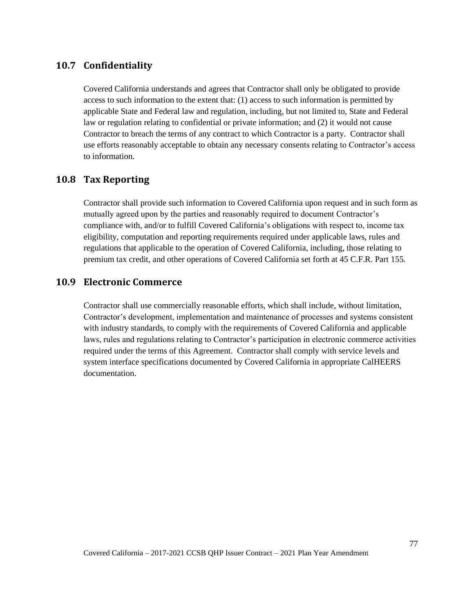# **10.7 Confidentiality**

Covered California understands and agrees that Contractor shall only be obligated to provide access to such information to the extent that: (1) access to such information is permitted by applicable State and Federal law and regulation, including, but not limited to, State and Federal law or regulation relating to confidential or private information; and (2) it would not cause Contractor to breach the terms of any contract to which Contractor is a party. Contractor shall use efforts reasonably acceptable to obtain any necessary consents relating to Contractor's access to information.

## **10.8 Tax Reporting**

Contractor shall provide such information to Covered California upon request and in such form as mutually agreed upon by the parties and reasonably required to document Contractor's compliance with, and/or to fulfill Covered California's obligations with respect to, income tax eligibility, computation and reporting requirements required under applicable laws, rules and regulations that applicable to the operation of Covered California, including, those relating to premium tax credit, and other operations of Covered California set forth at 45 C.F.R. Part 155*.*

#### **10.9 Electronic Commerce**

Contractor shall use commercially reasonable efforts, which shall include, without limitation, Contractor's development, implementation and maintenance of processes and systems consistent with industry standards, to comply with the requirements of Covered California and applicable laws, rules and regulations relating to Contractor's participation in electronic commerce activities required under the terms of this Agreement. Contractor shall comply with service levels and system interface specifications documented by Covered California in appropriate CalHEERS documentation.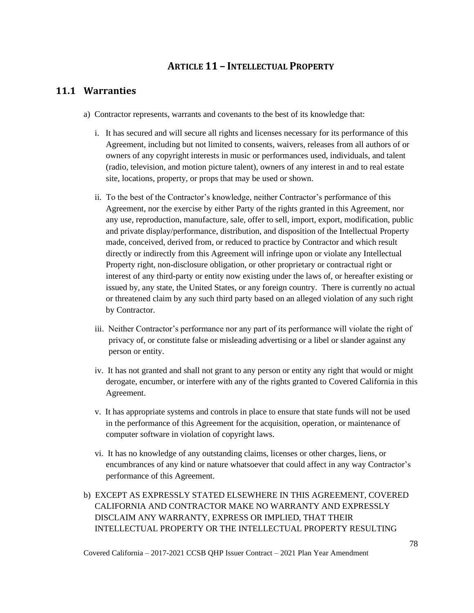# **ARTICLE 11 – INTELLECTUAL PROPERTY**

## **11.1 Warranties**

- a) Contractor represents, warrants and covenants to the best of its knowledge that:
	- i. It has secured and will secure all rights and licenses necessary for its performance of this Agreement, including but not limited to consents, waivers, releases from all authors of or owners of any copyright interests in music or performances used, individuals, and talent (radio, television, and motion picture talent), owners of any interest in and to real estate site, locations, property, or props that may be used or shown.
	- ii. To the best of the Contractor's knowledge, neither Contractor's performance of this Agreement, nor the exercise by either Party of the rights granted in this Agreement, nor any use, reproduction, manufacture, sale, offer to sell, import, export, modification, public and private display/performance, distribution, and disposition of the Intellectual Property made, conceived, derived from, or reduced to practice by Contractor and which result directly or indirectly from this Agreement will infringe upon or violate any Intellectual Property right, non-disclosure obligation, or other proprietary or contractual right or interest of any third-party or entity now existing under the laws of, or hereafter existing or issued by, any state, the United States, or any foreign country. There is currently no actual or threatened claim by any such third party based on an alleged violation of any such right by Contractor.
	- iii. Neither Contractor's performance nor any part of its performance will violate the right of privacy of, or constitute false or misleading advertising or a libel or slander against any person or entity.
	- iv. It has not granted and shall not grant to any person or entity any right that would or might derogate, encumber, or interfere with any of the rights granted to Covered California in this Agreement.
	- v. It has appropriate systems and controls in place to ensure that state funds will not be used in the performance of this Agreement for the acquisition, operation, or maintenance of computer software in violation of copyright laws.
	- vi. It has no knowledge of any outstanding claims, licenses or other charges, liens, or encumbrances of any kind or nature whatsoever that could affect in any way Contractor's performance of this Agreement.
- b) EXCEPT AS EXPRESSLY STATED ELSEWHERE IN THIS AGREEMENT, COVERED CALIFORNIA AND CONTRACTOR MAKE NO WARRANTY AND EXPRESSLY DISCLAIM ANY WARRANTY, EXPRESS OR IMPLIED, THAT THEIR INTELLECTUAL PROPERTY OR THE INTELLECTUAL PROPERTY RESULTING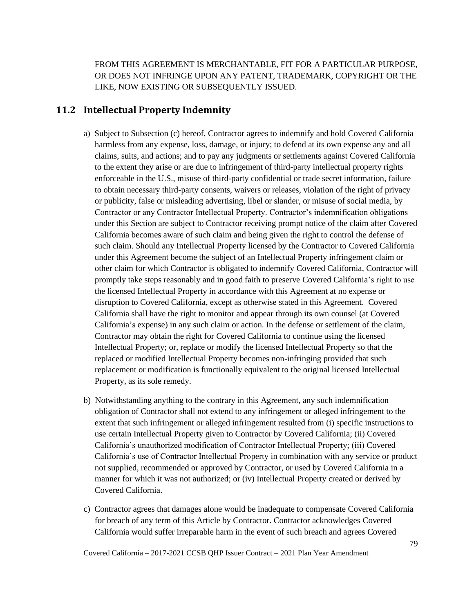FROM THIS AGREEMENT IS MERCHANTABLE, FIT FOR A PARTICULAR PURPOSE, OR DOES NOT INFRINGE UPON ANY PATENT, TRADEMARK, COPYRIGHT OR THE LIKE, NOW EXISTING OR SUBSEQUENTLY ISSUED.

#### **11.2 Intellectual Property Indemnity**

- a) Subject to Subsection (c) hereof, Contractor agrees to indemnify and hold Covered California harmless from any expense, loss, damage, or injury; to defend at its own expense any and all claims, suits, and actions; and to pay any judgments or settlements against Covered California to the extent they arise or are due to infringement of third-party intellectual property rights enforceable in the U.S., misuse of third-party confidential or trade secret information, failure to obtain necessary third-party consents, waivers or releases, violation of the right of privacy or publicity, false or misleading advertising, libel or slander, or misuse of social media, by Contractor or any Contractor Intellectual Property. Contractor's indemnification obligations under this Section are subject to Contractor receiving prompt notice of the claim after Covered California becomes aware of such claim and being given the right to control the defense of such claim. Should any Intellectual Property licensed by the Contractor to Covered California under this Agreement become the subject of an Intellectual Property infringement claim or other claim for which Contractor is obligated to indemnify Covered California, Contractor will promptly take steps reasonably and in good faith to preserve Covered California's right to use the licensed Intellectual Property in accordance with this Agreement at no expense or disruption to Covered California, except as otherwise stated in this Agreement. Covered California shall have the right to monitor and appear through its own counsel (at Covered California's expense) in any such claim or action. In the defense or settlement of the claim, Contractor may obtain the right for Covered California to continue using the licensed Intellectual Property; or, replace or modify the licensed Intellectual Property so that the replaced or modified Intellectual Property becomes non-infringing provided that such replacement or modification is functionally equivalent to the original licensed Intellectual Property, as its sole remedy.
- b) Notwithstanding anything to the contrary in this Agreement, any such indemnification obligation of Contractor shall not extend to any infringement or alleged infringement to the extent that such infringement or alleged infringement resulted from (i) specific instructions to use certain Intellectual Property given to Contractor by Covered California; (ii) Covered California's unauthorized modification of Contractor Intellectual Property; (iii) Covered California's use of Contractor Intellectual Property in combination with any service or product not supplied, recommended or approved by Contractor, or used by Covered California in a manner for which it was not authorized; or (iv) Intellectual Property created or derived by Covered California.
- c) Contractor agrees that damages alone would be inadequate to compensate Covered California for breach of any term of this Article by Contractor. Contractor acknowledges Covered California would suffer irreparable harm in the event of such breach and agrees Covered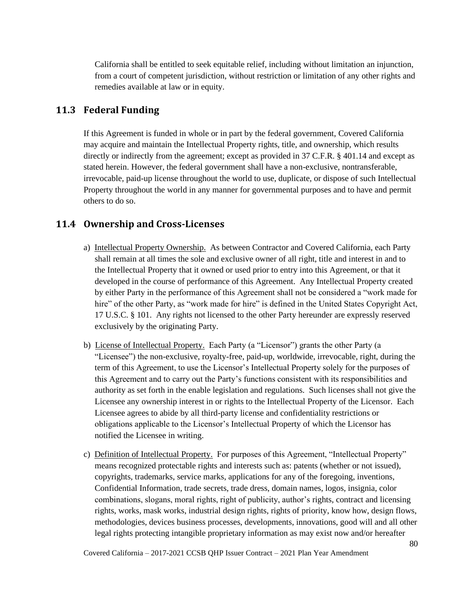California shall be entitled to seek equitable relief, including without limitation an injunction, from a court of competent jurisdiction, without restriction or limitation of any other rights and remedies available at law or in equity.

## **11.3 Federal Funding**

If this Agreement is funded in whole or in part by the federal government, Covered California may acquire and maintain the Intellectual Property rights, title, and ownership, which results directly or indirectly from the agreement; except as provided in 37 C.F.R. § 401.14 and except as stated herein. However, the federal government shall have a non-exclusive, nontransferable, irrevocable, paid-up license throughout the world to use, duplicate, or dispose of such Intellectual Property throughout the world in any manner for governmental purposes and to have and permit others to do so.

# **11.4 Ownership and Cross-Licenses**

- a) Intellectual Property Ownership. As between Contractor and Covered California, each Party shall remain at all times the sole and exclusive owner of all right, title and interest in and to the Intellectual Property that it owned or used prior to entry into this Agreement, or that it developed in the course of performance of this Agreement. Any Intellectual Property created by either Party in the performance of this Agreement shall not be considered a "work made for hire" of the other Party, as "work made for hire" is defined in the United States Copyright Act, 17 U.S.C. § 101. Any rights not licensed to the other Party hereunder are expressly reserved exclusively by the originating Party.
- b) License of Intellectual Property. Each Party (a "Licensor") grants the other Party (a "Licensee") the non-exclusive, royalty-free, paid-up, worldwide, irrevocable, right, during the term of this Agreement, to use the Licensor's Intellectual Property solely for the purposes of this Agreement and to carry out the Party's functions consistent with its responsibilities and authority as set forth in the enable legislation and regulations. Such licenses shall not give the Licensee any ownership interest in or rights to the Intellectual Property of the Licensor. Each Licensee agrees to abide by all third-party license and confidentiality restrictions or obligations applicable to the Licensor's Intellectual Property of which the Licensor has notified the Licensee in writing.
- c) Definition of Intellectual Property. For purposes of this Agreement, "Intellectual Property" means recognized protectable rights and interests such as: patents (whether or not issued), copyrights, trademarks, service marks, applications for any of the foregoing, inventions, Confidential Information, trade secrets, trade dress, domain names, logos, insignia, color combinations, slogans, moral rights, right of publicity, author's rights, contract and licensing rights, works, mask works, industrial design rights, rights of priority, know how, design flows, methodologies, devices business processes, developments, innovations, good will and all other legal rights protecting intangible proprietary information as may exist now and/or hereafter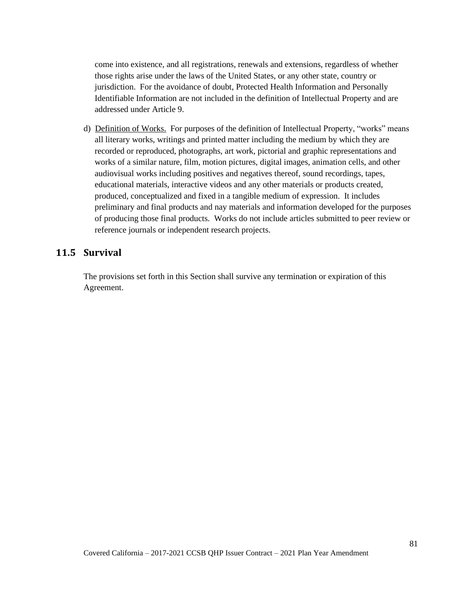come into existence, and all registrations, renewals and extensions, regardless of whether those rights arise under the laws of the United States, or any other state, country or jurisdiction. For the avoidance of doubt, Protected Health Information and Personally Identifiable Information are not included in the definition of Intellectual Property and are addressed under Article 9.

d) Definition of Works. For purposes of the definition of Intellectual Property, "works" means all literary works, writings and printed matter including the medium by which they are recorded or reproduced, photographs, art work, pictorial and graphic representations and works of a similar nature, film, motion pictures, digital images, animation cells, and other audiovisual works including positives and negatives thereof, sound recordings, tapes, educational materials, interactive videos and any other materials or products created, produced, conceptualized and fixed in a tangible medium of expression. It includes preliminary and final products and nay materials and information developed for the purposes of producing those final products. Works do not include articles submitted to peer review or reference journals or independent research projects.

# **11.5 Survival**

The provisions set forth in this Section shall survive any termination or expiration of this Agreement.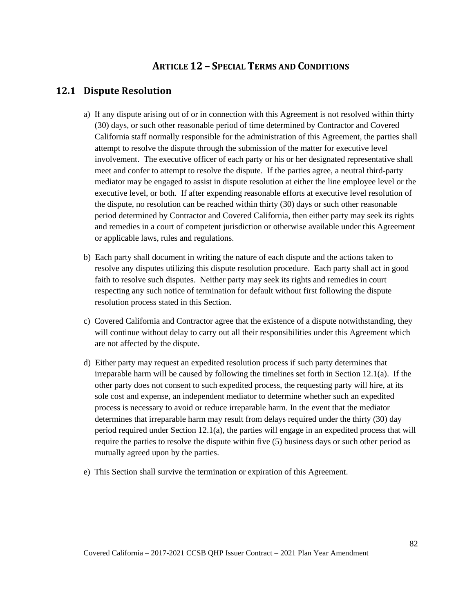# **ARTICLE 12 – SPECIAL TERMS AND CONDITIONS**

# **12.1 Dispute Resolution**

- a) If any dispute arising out of or in connection with this Agreement is not resolved within thirty (30) days, or such other reasonable period of time determined by Contractor and Covered California staff normally responsible for the administration of this Agreement, the parties shall attempt to resolve the dispute through the submission of the matter for executive level involvement. The executive officer of each party or his or her designated representative shall meet and confer to attempt to resolve the dispute. If the parties agree, a neutral third-party mediator may be engaged to assist in dispute resolution at either the line employee level or the executive level, or both. If after expending reasonable efforts at executive level resolution of the dispute, no resolution can be reached within thirty (30) days or such other reasonable period determined by Contractor and Covered California, then either party may seek its rights and remedies in a court of competent jurisdiction or otherwise available under this Agreement or applicable laws, rules and regulations.
- b) Each party shall document in writing the nature of each dispute and the actions taken to resolve any disputes utilizing this dispute resolution procedure. Each party shall act in good faith to resolve such disputes. Neither party may seek its rights and remedies in court respecting any such notice of termination for default without first following the dispute resolution process stated in this Section.
- c) Covered California and Contractor agree that the existence of a dispute notwithstanding, they will continue without delay to carry out all their responsibilities under this Agreement which are not affected by the dispute.
- d) Either party may request an expedited resolution process if such party determines that irreparable harm will be caused by following the timelines set forth in Section 12.1(a). If the other party does not consent to such expedited process, the requesting party will hire, at its sole cost and expense, an independent mediator to determine whether such an expedited process is necessary to avoid or reduce irreparable harm. In the event that the mediator determines that irreparable harm may result from delays required under the thirty (30) day period required under Section 12.1(a), the parties will engage in an expedited process that will require the parties to resolve the dispute within five (5) business days or such other period as mutually agreed upon by the parties.
- e) This Section shall survive the termination or expiration of this Agreement.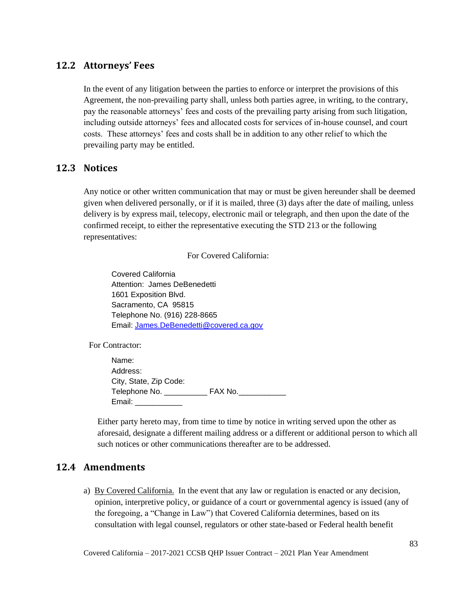## **12.2 Attorneys' Fees**

In the event of any litigation between the parties to enforce or interpret the provisions of this Agreement, the non-prevailing party shall, unless both parties agree, in writing, to the contrary, pay the reasonable attorneys' fees and costs of the prevailing party arising from such litigation, including outside attorneys' fees and allocated costs for services of in-house counsel, and court costs. These attorneys' fees and costs shall be in addition to any other relief to which the prevailing party may be entitled.

#### **12.3 Notices**

Any notice or other written communication that may or must be given hereunder shall be deemed given when delivered personally, or if it is mailed, three (3) days after the date of mailing, unless delivery is by express mail, telecopy, electronic mail or telegraph, and then upon the date of the confirmed receipt, to either the representative executing the STD 213 or the following representatives:

For Covered California:

Covered California Attention: James DeBenedetti 1601 Exposition Blvd. Sacramento, CA 95815 Telephone No. (916) 228-8665 Email: [James.DeBenedetti@covered.ca.gov](mailto:James.DeBenedetti@covered.ca.gov)

For Contractor:

Name: Address: City, State, Zip Code: Telephone No. \_\_\_\_\_\_\_\_\_\_\_\_\_\_\_\_ FAX No.\_ Email: \_\_\_\_\_\_\_\_\_\_\_

Either party hereto may, from time to time by notice in writing served upon the other as aforesaid, designate a different mailing address or a different or additional person to which all such notices or other communications thereafter are to be addressed.

## **12.4 Amendments**

a) By Covered California. In the event that any law or regulation is enacted or any decision, opinion, interpretive policy, or guidance of a court or governmental agency is issued (any of the foregoing, a "Change in Law") that Covered California determines, based on its consultation with legal counsel, regulators or other state-based or Federal health benefit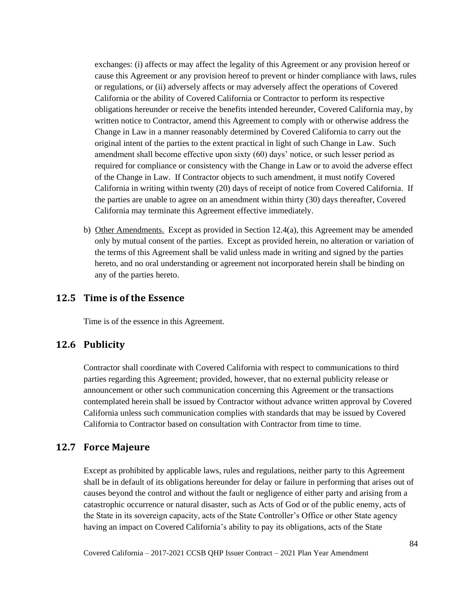exchanges: (i) affects or may affect the legality of this Agreement or any provision hereof or cause this Agreement or any provision hereof to prevent or hinder compliance with laws, rules or regulations, or (ii) adversely affects or may adversely affect the operations of Covered California or the ability of Covered California or Contractor to perform its respective obligations hereunder or receive the benefits intended hereunder, Covered California may, by written notice to Contractor, amend this Agreement to comply with or otherwise address the Change in Law in a manner reasonably determined by Covered California to carry out the original intent of the parties to the extent practical in light of such Change in Law. Such amendment shall become effective upon sixty (60) days' notice, or such lesser period as required for compliance or consistency with the Change in Law or to avoid the adverse effect of the Change in Law. If Contractor objects to such amendment, it must notify Covered California in writing within twenty (20) days of receipt of notice from Covered California. If the parties are unable to agree on an amendment within thirty (30) days thereafter, Covered California may terminate this Agreement effective immediately.

b) Other Amendments. Except as provided in Section 12.4(a), this Agreement may be amended only by mutual consent of the parties. Except as provided herein, no alteration or variation of the terms of this Agreement shall be valid unless made in writing and signed by the parties hereto, and no oral understanding or agreement not incorporated herein shall be binding on any of the parties hereto.

## **12.5 Time is of the Essence**

Time is of the essence in this Agreement.

#### **12.6 Publicity**

Contractor shall coordinate with Covered California with respect to communications to third parties regarding this Agreement; provided, however, that no external publicity release or announcement or other such communication concerning this Agreement or the transactions contemplated herein shall be issued by Contractor without advance written approval by Covered California unless such communication complies with standards that may be issued by Covered California to Contractor based on consultation with Contractor from time to time.

#### **12.7 Force Majeure**

Except as prohibited by applicable laws, rules and regulations, neither party to this Agreement shall be in default of its obligations hereunder for delay or failure in performing that arises out of causes beyond the control and without the fault or negligence of either party and arising from a catastrophic occurrence or natural disaster, such as Acts of God or of the public enemy, acts of the State in its sovereign capacity, acts of the State Controller's Office or other State agency having an impact on Covered California's ability to pay its obligations, acts of the State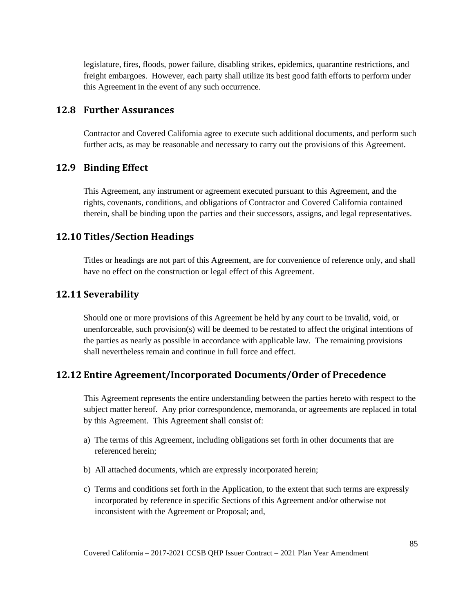legislature, fires, floods, power failure, disabling strikes, epidemics, quarantine restrictions, and freight embargoes. However, each party shall utilize its best good faith efforts to perform under this Agreement in the event of any such occurrence.

#### **12.8 Further Assurances**

Contractor and Covered California agree to execute such additional documents, and perform such further acts, as may be reasonable and necessary to carry out the provisions of this Agreement.

#### **12.9 Binding Effect**

This Agreement, any instrument or agreement executed pursuant to this Agreement, and the rights, covenants, conditions, and obligations of Contractor and Covered California contained therein, shall be binding upon the parties and their successors, assigns, and legal representatives.

## **12.10 Titles/Section Headings**

Titles or headings are not part of this Agreement, are for convenience of reference only, and shall have no effect on the construction or legal effect of this Agreement.

#### **12.11 Severability**

Should one or more provisions of this Agreement be held by any court to be invalid, void, or unenforceable, such provision(s) will be deemed to be restated to affect the original intentions of the parties as nearly as possible in accordance with applicable law. The remaining provisions shall nevertheless remain and continue in full force and effect.

## **12.12 Entire Agreement/Incorporated Documents/Order of Precedence**

This Agreement represents the entire understanding between the parties hereto with respect to the subject matter hereof. Any prior correspondence, memoranda, or agreements are replaced in total by this Agreement. This Agreement shall consist of:

- a) The terms of this Agreement, including obligations set forth in other documents that are referenced herein;
- b) All attached documents, which are expressly incorporated herein;
- c) Terms and conditions set forth in the Application, to the extent that such terms are expressly incorporated by reference in specific Sections of this Agreement and/or otherwise not inconsistent with the Agreement or Proposal; and,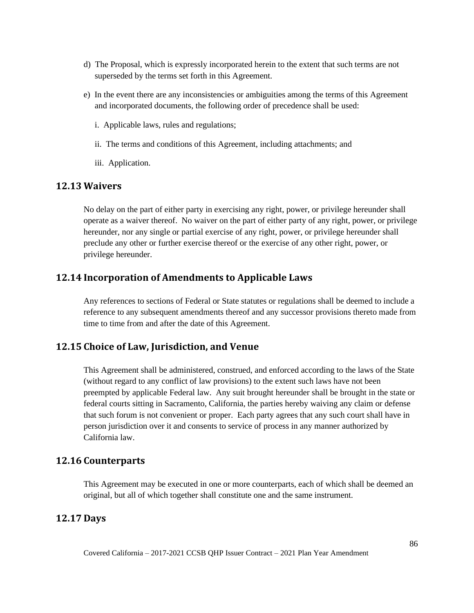- d) The Proposal, which is expressly incorporated herein to the extent that such terms are not superseded by the terms set forth in this Agreement.
- e) In the event there are any inconsistencies or ambiguities among the terms of this Agreement and incorporated documents, the following order of precedence shall be used:
	- i. Applicable laws, rules and regulations;
	- ii. The terms and conditions of this Agreement, including attachments; and
	- iii. Application.

#### **12.13 Waivers**

No delay on the part of either party in exercising any right, power, or privilege hereunder shall operate as a waiver thereof. No waiver on the part of either party of any right, power, or privilege hereunder, nor any single or partial exercise of any right, power, or privilege hereunder shall preclude any other or further exercise thereof or the exercise of any other right, power, or privilege hereunder.

## **12.14 Incorporation of Amendments to Applicable Laws**

Any references to sections of Federal or State statutes or regulations shall be deemed to include a reference to any subsequent amendments thereof and any successor provisions thereto made from time to time from and after the date of this Agreement.

## **12.15 Choice of Law, Jurisdiction, and Venue**

This Agreement shall be administered, construed, and enforced according to the laws of the State (without regard to any conflict of law provisions) to the extent such laws have not been preempted by applicable Federal law. Any suit brought hereunder shall be brought in the state or federal courts sitting in Sacramento, California, the parties hereby waiving any claim or defense that such forum is not convenient or proper. Each party agrees that any such court shall have in person jurisdiction over it and consents to service of process in any manner authorized by California law.

#### **12.16 Counterparts**

This Agreement may be executed in one or more counterparts, each of which shall be deemed an original, but all of which together shall constitute one and the same instrument.

## **12.17 Days**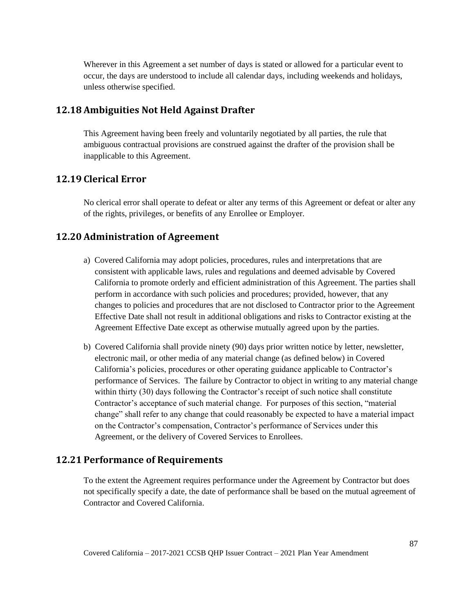Wherever in this Agreement a set number of days is stated or allowed for a particular event to occur, the days are understood to include all calendar days, including weekends and holidays, unless otherwise specified.

## **12.18 Ambiguities Not Held Against Drafter**

This Agreement having been freely and voluntarily negotiated by all parties, the rule that ambiguous contractual provisions are construed against the drafter of the provision shall be inapplicable to this Agreement.

## **12.19 Clerical Error**

No clerical error shall operate to defeat or alter any terms of this Agreement or defeat or alter any of the rights, privileges, or benefits of any Enrollee or Employer.

# **12.20 Administration of Agreement**

- a) Covered California may adopt policies, procedures, rules and interpretations that are consistent with applicable laws, rules and regulations and deemed advisable by Covered California to promote orderly and efficient administration of this Agreement. The parties shall perform in accordance with such policies and procedures; provided, however, that any changes to policies and procedures that are not disclosed to Contractor prior to the Agreement Effective Date shall not result in additional obligations and risks to Contractor existing at the Agreement Effective Date except as otherwise mutually agreed upon by the parties.
- b) Covered California shall provide ninety (90) days prior written notice by letter, newsletter, electronic mail, or other media of any material change (as defined below) in Covered California's policies, procedures or other operating guidance applicable to Contractor's performance of Services. The failure by Contractor to object in writing to any material change within thirty (30) days following the Contractor's receipt of such notice shall constitute Contractor's acceptance of such material change. For purposes of this section, "material change" shall refer to any change that could reasonably be expected to have a material impact on the Contractor's compensation, Contractor's performance of Services under this Agreement, or the delivery of Covered Services to Enrollees.

## **12.21 Performance of Requirements**

To the extent the Agreement requires performance under the Agreement by Contractor but does not specifically specify a date, the date of performance shall be based on the mutual agreement of Contractor and Covered California.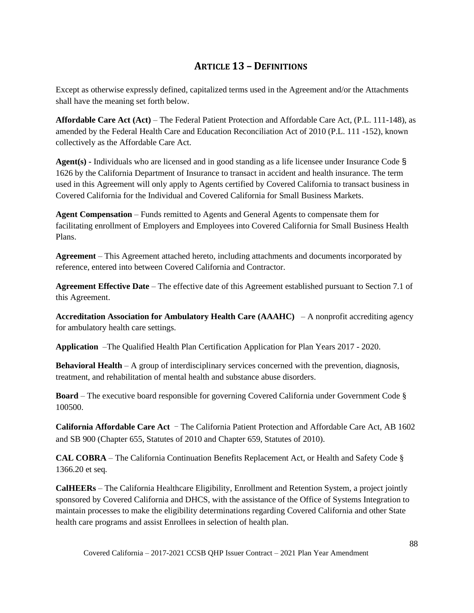# **ARTICLE 13 – DEFINITIONS**

Except as otherwise expressly defined, capitalized terms used in the Agreement and/or the Attachments shall have the meaning set forth below.

**Affordable Care Act (Act)** – The Federal Patient Protection and Affordable Care Act, (P.L. 111-148), as amended by the Federal Health Care and Education Reconciliation Act of 2010 (P.L. 111 -152), known collectively as the Affordable Care Act.

**Agent(s) -** Individuals who are licensed and in good standing as a life licensee under Insurance Code § 1626 by the California Department of Insurance to transact in accident and health insurance. The term used in this Agreement will only apply to Agents certified by Covered California to transact business in Covered California for the Individual and Covered California for Small Business Markets.

**Agent Compensation** – Funds remitted to Agents and General Agents to compensate them for facilitating enrollment of Employers and Employees into Covered California for Small Business Health Plans.

**Agreement** – This Agreement attached hereto, including attachments and documents incorporated by reference, entered into between Covered California and Contractor.

**Agreement Effective Date** – The effective date of this Agreement established pursuant to Section 7.1 of this Agreement.

**Accreditation Association for Ambulatory Health Care (AAAHC)** – A nonprofit accrediting agency for ambulatory health care settings.

**Application** –The Qualified Health Plan Certification Application for Plan Years 2017 - 2020.

**Behavioral Health** – A group of interdisciplinary services concerned with the prevention, diagnosis, treatment, and rehabilitation of mental health and substance abuse disorders.

**Board** – The executive board responsible for governing Covered California under Government Code § 100500.

**California Affordable Care Act** ‒ The California Patient Protection and Affordable Care Act, AB 1602 and SB 900 (Chapter 655, Statutes of 2010 and Chapter 659, Statutes of 2010).

**CAL COBRA** – The California Continuation Benefits Replacement Act, or Health and Safety Code § 1366.20 et seq*.*

**CalHEERs** – The California Healthcare Eligibility, Enrollment and Retention System, a project jointly sponsored by Covered California and DHCS, with the assistance of the Office of Systems Integration to maintain processes to make the eligibility determinations regarding Covered California and other State health care programs and assist Enrollees in selection of health plan.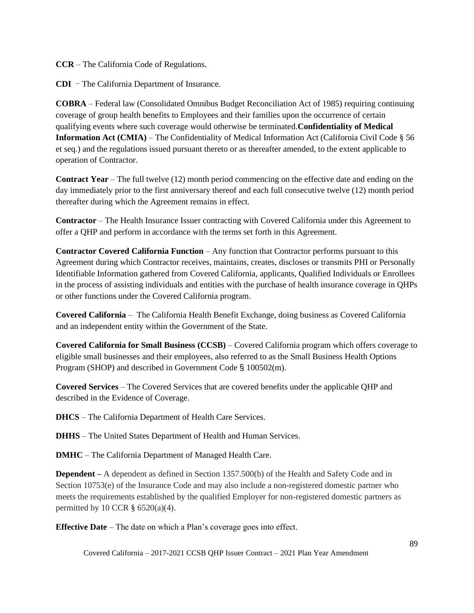**CCR** – The California Code of Regulations.

**CDI** – The California Department of Insurance.

**COBRA** – Federal law (Consolidated Omnibus Budget Reconciliation Act of 1985) requiring continuing coverage of group health benefits to Employees and their families upon the occurrence of certain qualifying events where such coverage would otherwise be terminated.**Confidentiality of Medical Information Act (CMIA)** – The Confidentiality of Medical Information Act (California Civil Code § 56 et seq*.*) and the regulations issued pursuant thereto or as thereafter amended, to the extent applicable to operation of Contractor.

**Contract Year** – The full twelve (12) month period commencing on the effective date and ending on the day immediately prior to the first anniversary thereof and each full consecutive twelve (12) month period thereafter during which the Agreement remains in effect.

**Contractor** – The Health Insurance Issuer contracting with Covered California under this Agreement to offer a QHP and perform in accordance with the terms set forth in this Agreement.

**Contractor Covered California Function** – Any function that Contractor performs pursuant to this Agreement during which Contractor receives, maintains, creates, discloses or transmits PHI or Personally Identifiable Information gathered from Covered California, applicants, Qualified Individuals or Enrollees in the process of assisting individuals and entities with the purchase of health insurance coverage in QHPs or other functions under the Covered California program.

**Covered California** – The California Health Benefit Exchange, doing business as Covered California and an independent entity within the Government of the State.

**Covered California for Small Business (CCSB)** – Covered California program which offers coverage to eligible small businesses and their employees, also referred to as the Small Business Health Options Program (SHOP) and described in Government Code § 100502(m).

**Covered Services** – The Covered Services that are covered benefits under the applicable QHP and described in the Evidence of Coverage.

**DHCS** – The California Department of Health Care Services.

**DHHS** – The United States Department of Health and Human Services.

**DMHC** – The California Department of Managed Health Care.

**Dependent** – A dependent as defined in Section 1357.500(b) of the Health and Safety Code and in Section 10753(e) of the Insurance Code and may also include a non-registered domestic partner who meets the requirements established by the qualified Employer for non-registered domestic partners as permitted by 10 CCR  $\S$  6520(a)(4).

**Effective Date** – The date on which a Plan's coverage goes into effect.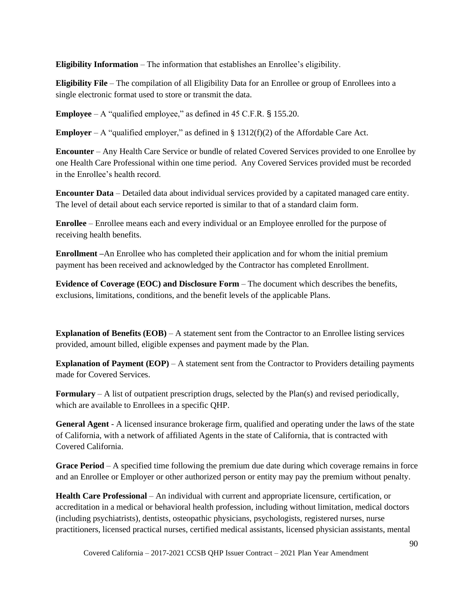**Eligibility Information** – The information that establishes an Enrollee's eligibility.

**Eligibility File** – The compilation of all Eligibility Data for an Enrollee or group of Enrollees into a single electronic format used to store or transmit the data.

**Employee** – A "qualified employee," as defined in 45 C.F.R. § 155.20.

**Employer** – A "qualified employer," as defined in  $\S$  1312(f)(2) of the Affordable Care Act.

**Encounter** – Any Health Care Service or bundle of related Covered Services provided to one Enrollee by one Health Care Professional within one time period. Any Covered Services provided must be recorded in the Enrollee's health record.

**Encounter Data** – Detailed data about individual services provided by a capitated managed care entity. The level of detail about each service reported is similar to that of a standard claim form.

**Enrollee** – Enrollee means each and every individual or an Employee enrolled for the purpose of receiving health benefits.

**Enrollment –**An Enrollee who has completed their application and for whom the initial premium payment has been received and acknowledged by the Contractor has completed Enrollment.

**Evidence of Coverage (EOC) and Disclosure Form** – The document which describes the benefits, exclusions, limitations, conditions, and the benefit levels of the applicable Plans.

**Explanation of Benefits (EOB)** – A statement sent from the Contractor to an Enrollee listing services provided, amount billed, eligible expenses and payment made by the Plan.

**Explanation of Payment (EOP)** – A statement sent from the Contractor to Providers detailing payments made for Covered Services.

**Formulary** – A list of outpatient prescription drugs, selected by the Plan(s) and revised periodically, which are available to Enrollees in a specific QHP.

**General Agent** - A licensed insurance brokerage firm, qualified and operating under the laws of the state of California, with a network of affiliated Agents in the state of California, that is contracted with Covered California.

**Grace Period** – A specified time following the premium due date during which coverage remains in force and an Enrollee or Employer or other authorized person or entity may pay the premium without penalty.

**Health Care Professional** – An individual with current and appropriate licensure, certification, or accreditation in a medical or behavioral health profession, including without limitation, medical doctors (including psychiatrists), dentists, osteopathic physicians, psychologists, registered nurses, nurse practitioners, licensed practical nurses, certified medical assistants, licensed physician assistants, mental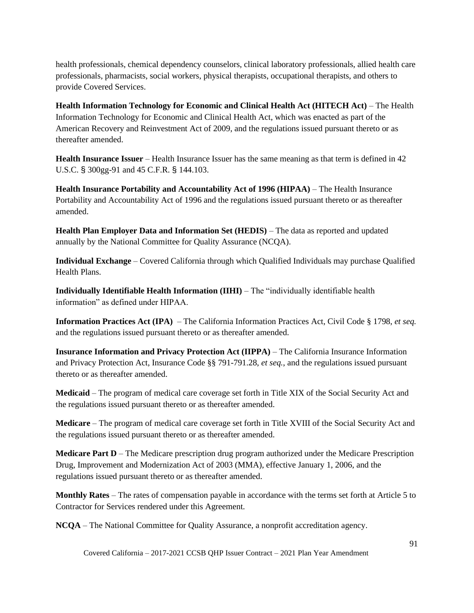health professionals, chemical dependency counselors, clinical laboratory professionals, allied health care professionals, pharmacists, social workers, physical therapists, occupational therapists, and others to provide Covered Services.

**Health Information Technology for Economic and Clinical Health Act (HITECH Act)** – The Health Information Technology for Economic and Clinical Health Act, which was enacted as part of the American Recovery and Reinvestment Act of 2009, and the regulations issued pursuant thereto or as thereafter amended.

**Health Insurance Issuer** – Health Insurance Issuer has the same meaning as that term is defined in 42 U.S.C. § 300gg-91 and 45 C.F.R. § 144.103.

**Health Insurance Portability and Accountability Act of 1996 (HIPAA)** – The Health Insurance Portability and Accountability Act of 1996 and the regulations issued pursuant thereto or as thereafter amended.

**Health Plan Employer Data and Information Set (HEDIS)** – The data as reported and updated annually by the National Committee for Quality Assurance (NCQA).

**Individual Exchange** – Covered California through which Qualified Individuals may purchase Qualified Health Plans.

**Individually Identifiable Health Information (IIHI)** – The "individually identifiable health information" as defined under HIPAA.

**Information Practices Act (IPA)** – The California Information Practices Act, Civil Code § 1798, *et seq.* and the regulations issued pursuant thereto or as thereafter amended.

**Insurance Information and Privacy Protection Act (IIPPA)** – The California Insurance Information and Privacy Protection Act, Insurance Code §§ 791-791.28, *et seq.*, and the regulations issued pursuant thereto or as thereafter amended.

**Medicaid** – The program of medical care coverage set forth in Title XIX of the Social Security Act and the regulations issued pursuant thereto or as thereafter amended.

**Medicare** – The program of medical care coverage set forth in Title XVIII of the Social Security Act and the regulations issued pursuant thereto or as thereafter amended.

**Medicare Part D** – The Medicare prescription drug program authorized under the Medicare Prescription Drug, Improvement and Modernization Act of 2003 (MMA), effective January 1, 2006, and the regulations issued pursuant thereto or as thereafter amended.

**Monthly Rates** – The rates of compensation payable in accordance with the terms set forth at Article 5 to Contractor for Services rendered under this Agreement.

**NCQA** – The National Committee for Quality Assurance, a nonprofit accreditation agency.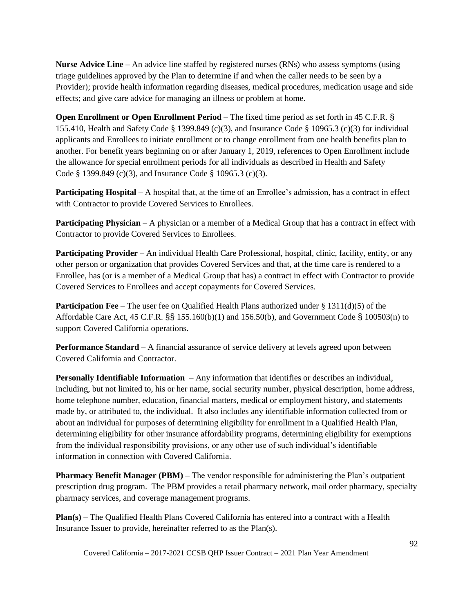**Nurse Advice Line** – An advice line staffed by registered nurses (RNs) who assess symptoms (using triage guidelines approved by the Plan to determine if and when the caller needs to be seen by a Provider); provide health information regarding diseases, medical procedures, medication usage and side effects; and give care advice for managing an illness or problem at home.

**Open Enrollment or Open Enrollment Period** – The fixed time period as set forth in 45 C.F.R. § 155.410, Health and Safety Code § 1399.849 (c)(3), and Insurance Code § 10965.3 (c)(3) for individual applicants and Enrollees to initiate enrollment or to change enrollment from one health benefits plan to another. For benefit years beginning on or after January 1, 2019, references to Open Enrollment include the allowance for special enrollment periods for all individuals as described in Health and Safety Code § 1399.849 (c)(3), and Insurance Code § 10965.3 (c)(3).

**Participating Hospital** – A hospital that, at the time of an Enrollee's admission, has a contract in effect with Contractor to provide Covered Services to Enrollees.

**Participating Physician** – A physician or a member of a Medical Group that has a contract in effect with Contractor to provide Covered Services to Enrollees.

**Participating Provider** – An individual Health Care Professional, hospital, clinic, facility, entity, or any other person or organization that provides Covered Services and that, at the time care is rendered to a Enrollee, has (or is a member of a Medical Group that has) a contract in effect with Contractor to provide Covered Services to Enrollees and accept copayments for Covered Services.

**Participation Fee** – The user fee on Qualified Health Plans authorized under § 1311(d)(5) of the Affordable Care Act, 45 C.F.R. §§ 155.160(b)(1) and 156.50(b), and Government Code § 100503(n) to support Covered California operations.

**Performance Standard** – A financial assurance of service delivery at levels agreed upon between Covered California and Contractor.

**Personally Identifiable Information** – Any information that identifies or describes an individual, including, but not limited to, his or her name, social security number, physical description, home address, home telephone number, education, financial matters, medical or employment history, and statements made by, or attributed to, the individual. It also includes any identifiable information collected from or about an individual for purposes of determining eligibility for enrollment in a Qualified Health Plan, determining eligibility for other insurance affordability programs, determining eligibility for exemptions from the individual responsibility provisions, or any other use of such individual's identifiable information in connection with Covered California.

**Pharmacy Benefit Manager (PBM)** – The vendor responsible for administering the Plan's outpatient prescription drug program. The PBM provides a retail pharmacy network, mail order pharmacy, specialty pharmacy services, and coverage management programs.

**Plan(s)** – The Qualified Health Plans Covered California has entered into a contract with a Health Insurance Issuer to provide, hereinafter referred to as the Plan(s).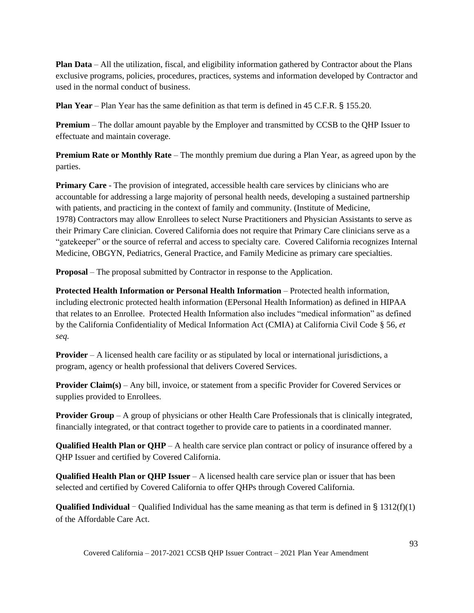**Plan Data** – All the utilization, fiscal, and eligibility information gathered by Contractor about the Plans exclusive programs, policies, procedures, practices, systems and information developed by Contractor and used in the normal conduct of business.

**Plan Year** – Plan Year has the same definition as that term is defined in 45 C.F.R. § 155.20.

**Premium** – The dollar amount payable by the Employer and transmitted by CCSB to the QHP Issuer to effectuate and maintain coverage.

**Premium Rate or Monthly Rate** – The monthly premium due during a Plan Year, as agreed upon by the parties.

**Primary Care** - The provision of integrated, accessible health care services by clinicians who are accountable for addressing a large majority of personal health needs, developing a sustained partnership with patients, and practicing in the context of family and community. (Institute of Medicine, 1978) Contractors may allow Enrollees to select Nurse Practitioners and Physician Assistants to serve as their Primary Care clinician. Covered California does not require that Primary Care clinicians serve as a "gatekeeper" or the source of referral and access to specialty care. Covered California recognizes Internal Medicine, OBGYN, Pediatrics, General Practice, and Family Medicine as primary care specialties.

**Proposal** – The proposal submitted by Contractor in response to the Application.

**Protected Health Information or Personal Health Information** – Protected health information, including electronic protected health information (EPersonal Health Information) as defined in HIPAA that relates to an Enrollee. Protected Health Information also includes "medical information" as defined by the California Confidentiality of Medical Information Act (CMIA) at California Civil Code § 56, *et seq.*

**Provider** – A licensed health care facility or as stipulated by local or international jurisdictions, a program, agency or health professional that delivers Covered Services.

**Provider Claim(s)** – Any bill, invoice, or statement from a specific Provider for Covered Services or supplies provided to Enrollees.

**Provider Group** – A group of physicians or other Health Care Professionals that is clinically integrated, financially integrated, or that contract together to provide care to patients in a coordinated manner.

**Qualified Health Plan or QHP** – A health care service plan contract or policy of insurance offered by a QHP Issuer and certified by Covered California.

**Qualified Health Plan or QHP Issuer** – A licensed health care service plan or issuer that has been selected and certified by Covered California to offer QHPs through Covered California.

**Qualified Individual** – Qualified Individual has the same meaning as that term is defined in § 1312(f)(1) of the Affordable Care Act.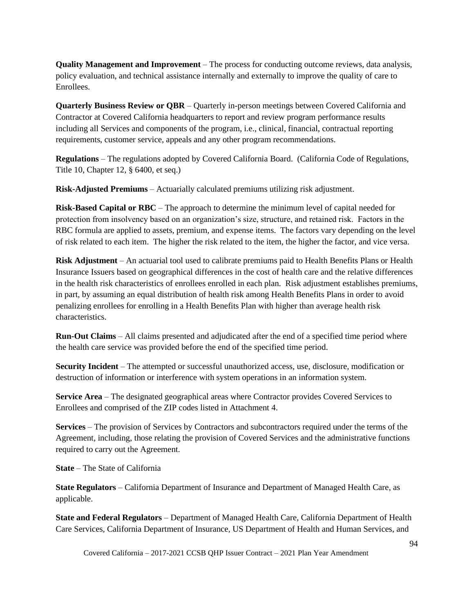**Quality Management and Improvement** – The process for conducting outcome reviews, data analysis, policy evaluation, and technical assistance internally and externally to improve the quality of care to Enrollees.

**Quarterly Business Review or QBR** – Quarterly in-person meetings between Covered California and Contractor at Covered California headquarters to report and review program performance results including all Services and components of the program, i.e., clinical, financial, contractual reporting requirements, customer service, appeals and any other program recommendations.

**Regulations** – The regulations adopted by Covered California Board. (California Code of Regulations, Title 10, Chapter 12, § 6400, et seq.)

**Risk-Adjusted Premiums** – Actuarially calculated premiums utilizing risk adjustment.

**Risk-Based Capital or RBC** – The approach to determine the minimum level of capital needed for protection from insolvency based on an organization's size, structure, and retained risk. Factors in the RBC formula are applied to assets, premium, and expense items. The factors vary depending on the level of risk related to each item. The higher the risk related to the item, the higher the factor, and vice versa.

**Risk Adjustment** – An actuarial tool used to calibrate premiums paid to Health Benefits Plans or Health Insurance Issuers based on geographical differences in the cost of health care and the relative differences in the health risk characteristics of enrollees enrolled in each plan. Risk adjustment establishes premiums, in part, by assuming an equal distribution of health risk among Health Benefits Plans in order to avoid penalizing enrollees for enrolling in a Health Benefits Plan with higher than average health risk characteristics.

**Run-Out Claims** – All claims presented and adjudicated after the end of a specified time period where the health care service was provided before the end of the specified time period.

**Security Incident** – The attempted or successful unauthorized access, use, disclosure, modification or destruction of information or interference with system operations in an information system.

**Service Area** – The designated geographical areas where Contractor provides Covered Services to Enrollees and comprised of the ZIP codes listed in Attachment 4.

**Services** – The provision of Services by Contractors and subcontractors required under the terms of the Agreement, including, those relating the provision of Covered Services and the administrative functions required to carry out the Agreement.

**State** – The State of California

**State Regulators** – California Department of Insurance and Department of Managed Health Care, as applicable.

**State and Federal Regulators** – Department of Managed Health Care, California Department of Health Care Services, California Department of Insurance, US Department of Health and Human Services, and